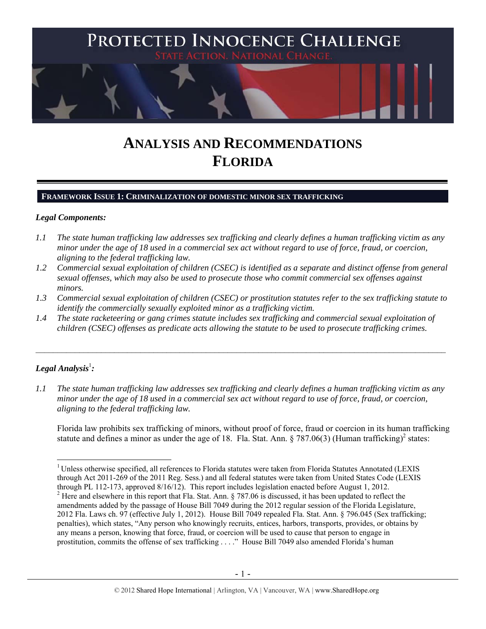

# **ANALYSIS AND RECOMMENDATIONS FLORIDA**

#### **FRAMEWORK ISSUE 1: CRIMINALIZATION OF DOMESTIC MINOR SEX TRAFFICKING**

#### *Legal Components:*

- *1.1 The state human trafficking law addresses sex trafficking and clearly defines a human trafficking victim as any minor under the age of 18 used in a commercial sex act without regard to use of force, fraud, or coercion, aligning to the federal trafficking law.*
- *1.2 Commercial sexual exploitation of children (CSEC) is identified as a separate and distinct offense from general sexual offenses, which may also be used to prosecute those who commit commercial sex offenses against minors.*
- *1.3 Commercial sexual exploitation of children (CSEC) or prostitution statutes refer to the sex trafficking statute to identify the commercially sexually exploited minor as a trafficking victim.*

 $\mathcal{L}_\mathcal{L} = \{ \mathcal{L}_\mathcal{L} = \{ \mathcal{L}_\mathcal{L} = \{ \mathcal{L}_\mathcal{L} = \{ \mathcal{L}_\mathcal{L} = \{ \mathcal{L}_\mathcal{L} = \{ \mathcal{L}_\mathcal{L} = \{ \mathcal{L}_\mathcal{L} = \{ \mathcal{L}_\mathcal{L} = \{ \mathcal{L}_\mathcal{L} = \{ \mathcal{L}_\mathcal{L} = \{ \mathcal{L}_\mathcal{L} = \{ \mathcal{L}_\mathcal{L} = \{ \mathcal{L}_\mathcal{L} = \{ \mathcal{L}_\mathcal{$ 

*1.4 The state racketeering or gang crimes statute includes sex trafficking and commercial sexual exploitation of children (CSEC) offenses as predicate acts allowing the statute to be used to prosecute trafficking crimes.* 

## $\bm{\mathit{Legal\, Analysis^!}}$ :

*1.1 The state human trafficking law addresses sex trafficking and clearly defines a human trafficking victim as any minor under the age of 18 used in a commercial sex act without regard to use of force, fraud, or coercion, aligning to the federal trafficking law.* 

Florida law prohibits sex trafficking of minors, without proof of force, fraud or coercion in its human trafficking statute and defines a minor as under the age of 18. Fla. Stat. Ann.  $\S 787.06(3)$  (Human trafficking)<sup>2</sup> states:

 $\overline{a}$ <sup>1</sup> Unless otherwise specified, all references to Florida statutes were taken from Florida Statutes Annotated (LEXIS through Act 2011-269 of the 2011 Reg. Sess.) and all federal statutes were taken from United States Code (LEXIS through PL 112-173, approved 8/16/12). This report includes legislation enacted before August 1, 2012.  $^{2}$  Here and elsewhere in this report that Fla. Stat. Ann. § 787.06 is discussed, it has been updated to reflect the amendments added by the passage of House Bill 7049 during the 2012 regular session of the Florida Legislature, 2012 Fla. Laws ch. 97 (effective July 1, 2012). House Bill 7049 repealed Fla. Stat. Ann. § 796.045 (Sex trafficking; penalties), which states, "Any person who knowingly recruits, entices, harbors, transports, provides, or obtains by any means a person, knowing that force, fraud, or coercion will be used to cause that person to engage in prostitution, commits the offense of sex trafficking . . . ." House Bill 7049 also amended Florida's human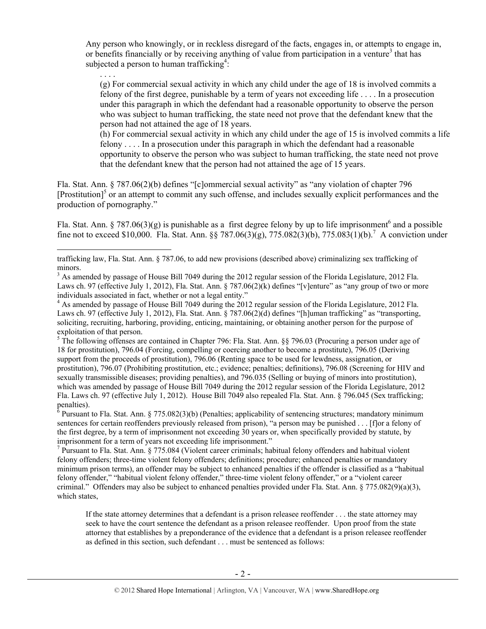Any person who knowingly, or in reckless disregard of the facts, engages in, or attempts to engage in, or benefits financially or by receiving anything of value from participation in a venture<sup>3</sup> that has subjected a person to human trafficking<sup>4</sup>:

. . . . (g) For commercial sexual activity in which any child under the age of 18 is involved commits a felony of the first degree, punishable by a term of years not exceeding life . . . . In a prosecution under this paragraph in which the defendant had a reasonable opportunity to observe the person who was subject to human trafficking, the state need not prove that the defendant knew that the person had not attained the age of 18 years.

(h) For commercial sexual activity in which any child under the age of 15 is involved commits a life felony . . . . In a prosecution under this paragraph in which the defendant had a reasonable opportunity to observe the person who was subject to human trafficking, the state need not prove that the defendant knew that the person had not attained the age of 15 years.

Fla. Stat. Ann. § 787.06(2)(b) defines "[c]ommercial sexual activity" as "any violation of chapter 796 [Prostitution]<sup>5</sup> or an attempt to commit any such offense, and includes sexually explicit performances and the production of pornography."

Fla. Stat. Ann. § 787.06(3)(g) is punishable as a first degree felony by up to life imprisonment<sup>6</sup> and a possible fine not to exceed \$10,000. Fla. Stat. Ann. §§ 787.06(3)(g), 775.082(3)(b), 775.083(1)(b).<sup>7</sup> A conviction under

 $\overline{a}$ 

<sup>5</sup> The following offenses are contained in Chapter 796: Fla. Stat. Ann. §§ 796.03 (Procuring a person under age of 18 for prostitution), 796.04 (Forcing, compelling or coercing another to become a prostitute), 796.05 (Deriving support from the proceeds of prostitution), 796.06 (Renting space to be used for lewdness, assignation, or prostitution), 796.07 (Prohibiting prostitution, etc.; evidence; penalties; definitions), 796.08 (Screening for HIV and sexually transmissible diseases; providing penalties), and 796.035 (Selling or buying of minors into prostitution), which was amended by passage of House Bill 7049 during the 2012 regular session of the Florida Legislature, 2012 Fla. Laws ch. 97 (effective July 1, 2012). House Bill 7049 also repealed Fla. Stat. Ann. § 796.045 (Sex trafficking; penalties).

 $6$  Pursuant to Fla. Stat. Ann. § 775.082(3)(b) (Penalties; applicability of sentencing structures; mandatory minimum sentences for certain reoffenders previously released from prison), "a person may be punished . . . [f]or a felony of the first degree, by a term of imprisonment not exceeding 30 years or, when specifically provided by statute, by imprisonment for a term of years not exceeding life imprisonment."

<sup>7</sup> Pursuant to Fla. Stat. Ann. § 775.084 (Violent career criminals; habitual felony offenders and habitual violent felony offenders; three-time violent felony offenders; definitions; procedure; enhanced penalties or mandatory minimum prison terms), an offender may be subject to enhanced penalties if the offender is classified as a "habitual felony offender," "habitual violent felony offender," three-time violent felony offender," or a "violent career criminal." Offenders may also be subject to enhanced penalties provided under Fla. Stat. Ann. § 775.082(9)(a)(3), which states,

If the state attorney determines that a defendant is a prison releasee reoffender . . . the state attorney may seek to have the court sentence the defendant as a prison releasee reoffender. Upon proof from the state attorney that establishes by a preponderance of the evidence that a defendant is a prison releasee reoffender as defined in this section, such defendant . . . must be sentenced as follows:

trafficking law, Fla. Stat. Ann. § 787.06, to add new provisions (described above) criminalizing sex trafficking of minors.

 $3$  As amended by passage of House Bill 7049 during the 2012 regular session of the Florida Legislature, 2012 Fla. Laws ch. 97 (effective July 1, 2012), Fla. Stat. Ann. § 787.06(2)(k) defines "[v]enture" as "any group of two or more individuals associated in fact, whether or not a legal entity."

<sup>&</sup>lt;sup>4</sup> As amended by passage of House Bill 7049 during the 2012 regular session of the Florida Legislature, 2012 Fla. Laws ch. 97 (effective July 1, 2012), Fla. Stat. Ann. § 787.06(2)(d) defines "[h]uman trafficking" as "transporting, soliciting, recruiting, harboring, providing, enticing, maintaining, or obtaining another person for the purpose of exploitation of that person.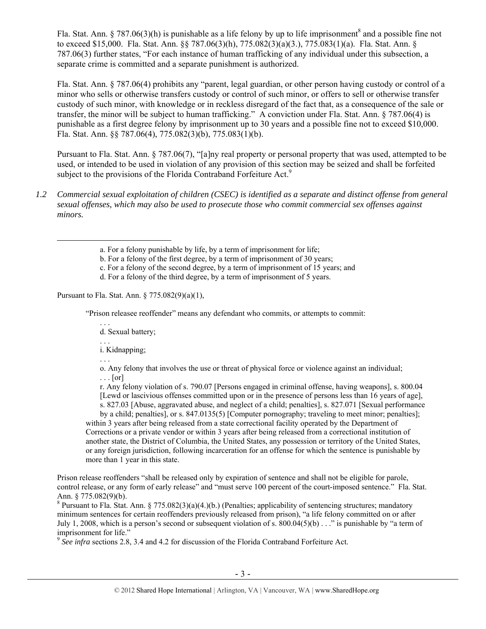Fla. Stat. Ann. § 787.06(3)(h) is punishable as a life felony by up to life imprisonment<sup>8</sup> and a possible fine not to exceed \$15,000. Fla. Stat. Ann. §§ 787.06(3)(h), 775.082(3)(a)(3.), 775.083(1)(a). Fla. Stat. Ann. § 787.06(3) further states, "For each instance of human trafficking of any individual under this subsection, a separate crime is committed and a separate punishment is authorized.

Fla. Stat. Ann. § 787.06(4) prohibits any "parent, legal guardian, or other person having custody or control of a minor who sells or otherwise transfers custody or control of such minor, or offers to sell or otherwise transfer custody of such minor, with knowledge or in reckless disregard of the fact that, as a consequence of the sale or transfer, the minor will be subject to human trafficking." A conviction under Fla. Stat. Ann. § 787.06(4) is punishable as a first degree felony by imprisonment up to 30 years and a possible fine not to exceed \$10,000. Fla. Stat. Ann. §§ 787.06(4), 775.082(3)(b), 775.083(1)(b).

Pursuant to Fla. Stat. Ann. § 787.06(7), "[a]ny real property or personal property that was used, attempted to be used, or intended to be used in violation of any provision of this section may be seized and shall be forfeited subject to the provisions of the Florida Contraband Forfeiture Act.<sup>9</sup>

*1.2 Commercial sexual exploitation of children (CSEC) is identified as a separate and distinct offense from general sexual offenses, which may also be used to prosecute those who commit commercial sex offenses against minors.* 

Pursuant to Fla. Stat. Ann. § 775.082(9)(a)(1),

"Prison releasee reoffender" means any defendant who commits, or attempts to commit:

. . . d. Sexual battery;

. . . i. Kidnapping;

. . .

o. Any felony that involves the use or threat of physical force or violence against an individual; . . . [or]

r. Any felony violation of s. 790.07 [Persons engaged in criminal offense, having weapons], s. 800.04 [Lewd or lascivious offenses committed upon or in the presence of persons less than 16 years of age], s. 827.03 [Abuse, aggravated abuse, and neglect of a child; penalties], s. 827.071 [Sexual performance

by a child; penalties], or s. 847.0135(5) [Computer pornography; traveling to meet minor; penalties]; within 3 years after being released from a state correctional facility operated by the Department of Corrections or a private vendor or within 3 years after being released from a correctional institution of another state, the District of Columbia, the United States, any possession or territory of the United States, or any foreign jurisdiction, following incarceration for an offense for which the sentence is punishable by more than 1 year in this state.

Prison release reoffenders "shall be released only by expiration of sentence and shall not be eligible for parole, control release, or any form of early release" and "must serve 100 percent of the court-imposed sentence." Fla. Stat. Ann. § 775.082(9)(b).

<sup>8</sup> Pursuant to Fla. Stat. Ann. § 775.082(3)(a)(4.)(b.) (Penalties; applicability of sentencing structures; mandatory minimum sentences for certain reoffenders previously released from prison), "a life felony committed on or after July 1, 2008, which is a person's second or subsequent violation of s.  $800.04(5)(b)$ . . ." is punishable by "a term of imprisonment for life."

<sup>9</sup> See infra sections 2.8, 3.4 and 4.2 for discussion of the Florida Contraband Forfeiture Act.

a. For a felony punishable by life, by a term of imprisonment for life;

b. For a felony of the first degree, by a term of imprisonment of 30 years;

c. For a felony of the second degree, by a term of imprisonment of 15 years; and

d. For a felony of the third degree, by a term of imprisonment of 5 years.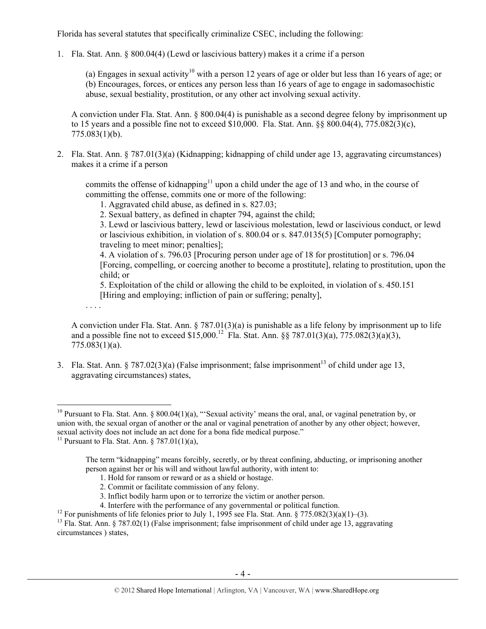Florida has several statutes that specifically criminalize CSEC, including the following:

1. Fla. Stat. Ann. § 800.04(4) (Lewd or lascivious battery) makes it a crime if a person

(a) Engages in sexual activity<sup>10</sup> with a person 12 years of age or older but less than 16 years of age; or (b) Encourages, forces, or entices any person less than 16 years of age to engage in sadomasochistic abuse, sexual bestiality, prostitution, or any other act involving sexual activity.

A conviction under Fla. Stat. Ann. § 800.04(4) is punishable as a second degree felony by imprisonment up to 15 years and a possible fine not to exceed \$10,000. Fla. Stat. Ann. §§ 800.04(4), 775.082(3)(c), 775.083(1)(b).

2. Fla. Stat. Ann. § 787.01(3)(a) (Kidnapping; kidnapping of child under age 13, aggravating circumstances) makes it a crime if a person

commits the offense of kidnapping<sup>11</sup> upon a child under the age of 13 and who, in the course of committing the offense, commits one or more of the following:

1. Aggravated child abuse, as defined in s. 827.03;

2. Sexual battery, as defined in chapter 794, against the child;

3. Lewd or lascivious battery, lewd or lascivious molestation, lewd or lascivious conduct, or lewd or lascivious exhibition, in violation of s. 800.04 or s. 847.0135(5) [Computer pornography; traveling to meet minor; penalties];

4. A violation of s. 796.03 [Procuring person under age of 18 for prostitution] or s. 796.04 [Forcing, compelling, or coercing another to become a prostitute], relating to prostitution, upon the child; or

5. Exploitation of the child or allowing the child to be exploited, in violation of s. 450.151 [Hiring and employing; infliction of pain or suffering; penalty],

. . . .

 $\overline{a}$ 

A conviction under Fla. Stat. Ann. § 787.01(3)(a) is punishable as a life felony by imprisonment up to life and a possible fine not to exceed \$15,000.<sup>12</sup> Fla. Stat. Ann. §§ 787.01(3)(a), 775.082(3)(a)(3), 775.083(1)(a).

3. Fla. Stat. Ann. § 787.02(3)(a) (False imprisonment; false imprisonment<sup>13</sup> of child under age 13, aggravating circumstances) states,

<sup>&</sup>lt;sup>10</sup> Pursuant to Fla. Stat. Ann. § 800.04(1)(a), "Sexual activity' means the oral, anal, or vaginal penetration by, or union with, the sexual organ of another or the anal or vaginal penetration of another by any other object; however, sexual activity does not include an act done for a bona fide medical purpose." <sup>11</sup> Pursuant to Fla. Stat. Ann. § 787.01(1)(a),

The term "kidnapping" means forcibly, secretly, or by threat confining, abducting, or imprisoning another person against her or his will and without lawful authority, with intent to:

<sup>1.</sup> Hold for ransom or reward or as a shield or hostage.

<sup>2.</sup> Commit or facilitate commission of any felony.

<sup>3.</sup> Inflict bodily harm upon or to terrorize the victim or another person.

<sup>4.</sup> Interfere with the performance of any governmental or political function.<br><sup>12</sup> For punishments of life felonies prior to July 1, 1995 see Fla. Stat. Ann. § 775.082(3)(a)(1)–(3).

<sup>&</sup>lt;sup>13</sup> Fla. Stat. Ann. § 787.02(1) (False imprisonment; false imprisonment of child under age 13, aggravating circumstances ) states,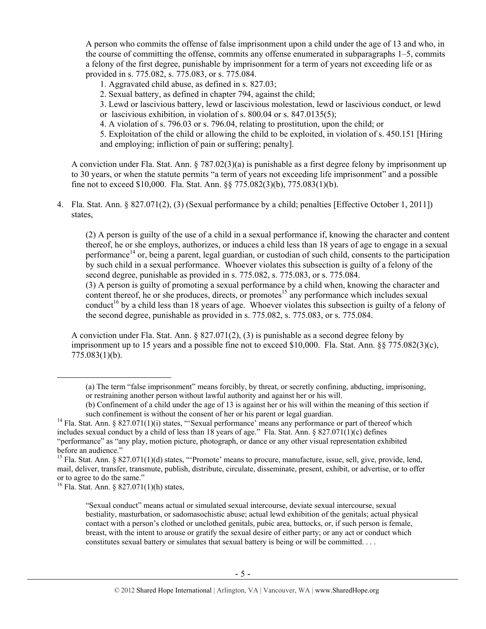A person who commits the offense of false imprisonment upon a child under the age of 13 and who, in the course of committing the offense, commits any offense enumerated in subparagraphs 1–5, commits a felony of the first degree, punishable by imprisonment for a term of years not exceeding life or as provided in s. 775.082, s. 775.083, or s. 775.084.

1. Aggravated child abuse, as defined in s. 827.03;

2. Sexual battery, as defined in chapter 794, against the child;

3. Lewd or lascivious battery, lewd or lascivious molestation, lewd or lascivious conduct, or lewd or lascivious exhibition, in violation of s. 800.04 or s. 847.0135(5);

4. A violation of s. 796.03 or s. 796.04, relating to prostitution, upon the child; or

5. Exploitation of the child or allowing the child to be exploited, in violation of s. 450.151 [Hiring and employing; infliction of pain or suffering; penalty].

A conviction under Fla. Stat. Ann. § 787.02(3)(a) is punishable as a first degree felony by imprisonment up to 30 years, or when the statute permits "a term of years not exceeding life imprisonment" and a possible fine not to exceed \$10,000. Fla. Stat. Ann. §§ 775.082(3)(b), 775.083(1)(b).

4. Fla. Stat. Ann. § 827.071(2), (3) (Sexual performance by a child; penalties [Effective October 1, 2011]) states,

(2) A person is guilty of the use of a child in a sexual performance if, knowing the character and content thereof, he or she employs, authorizes, or induces a child less than 18 years of age to engage in a sexual performance<sup>14</sup> or, being a parent, legal guardian, or custodian of such child, consents to the participation by such child in a sexual performance. Whoever violates this subsection is guilty of a felony of the second degree, punishable as provided in s. 775.082, s. 775.083, or s. 775.084.

(3) A person is guilty of promoting a sexual performance by a child when, knowing the character and content thereof, he or she produces, directs, or promotes<sup>15</sup> any performance which includes sexual conduct<sup>16</sup> by a child less than 18 years of age. Whoever violates this subsection is guilty of a felony of the second degree, punishable as provided in s. 775.082, s. 775.083, or s. 775.084.

A conviction under Fla. Stat. Ann. § 827.071(2), (3) is punishable as a second degree felony by imprisonment up to 15 years and a possible fine not to exceed \$10,000. Fla. Stat. Ann. §§ 775.082(3)(c), 775.083(1)(b).

<sup>15</sup> Fla. Stat. Ann. § 827.071(1)(d) states, "Promote' means to procure, manufacture, issue, sell, give, provide, lend, mail, deliver, transfer, transmute, publish, distribute, circulate, disseminate, present, exhibit, or advertise, or to offer or to agree to do the same."

<sup>16</sup> Fla. Stat. Ann. § 827.071(1)(h) states,

"Sexual conduct" means actual or simulated sexual intercourse, deviate sexual intercourse, sexual bestiality, masturbation, or sadomasochistic abuse; actual lewd exhibition of the genitals; actual physical contact with a person's clothed or unclothed genitals, pubic area, buttocks, or, if such person is female, breast, with the intent to arouse or gratify the sexual desire of either party; or any act or conduct which constitutes sexual battery or simulates that sexual battery is being or will be committed. . . .

 <sup>(</sup>a) The term "false imprisonment" means forcibly, by threat, or secretly confining, abducting, imprisoning, or restraining another person without lawful authority and against her or his will.

<sup>(</sup>b) Confinement of a child under the age of 13 is against her or his will within the meaning of this section if such confinement is without the consent of her or his parent or legal guardian.<br><sup>14</sup> Fla. Stat. Ann. § 827.071(1)(i) states, "'Sexual performance' means any performance or part of thereof which

includes sexual conduct by a child of less than 18 years of age." Fla. Stat. Ann. § 827.071(1)(c) defines "performance" as "any play, motion picture, photograph, or dance or any other visual representation exhibited before an audience."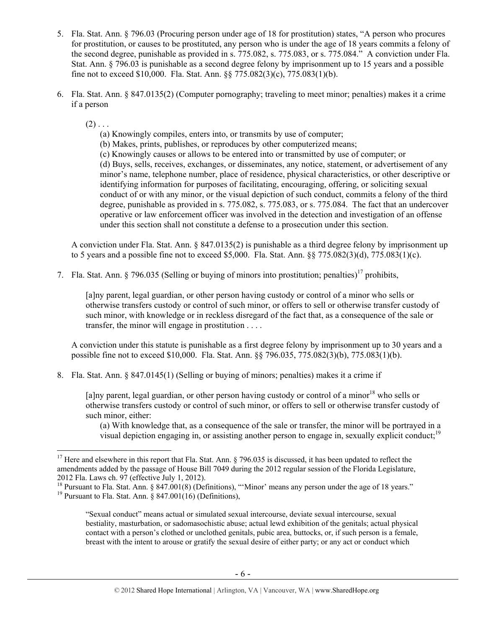- 5. Fla. Stat. Ann. § 796.03 (Procuring person under age of 18 for prostitution) states, "A person who procures for prostitution, or causes to be prostituted, any person who is under the age of 18 years commits a felony of the second degree, punishable as provided in s. 775.082, s. 775.083, or s. 775.084." A conviction under Fla. Stat. Ann. § 796.03 is punishable as a second degree felony by imprisonment up to 15 years and a possible fine not to exceed \$10,000. Fla. Stat. Ann. §§ 775.082(3)(c), 775.083(1)(b).
- 6. Fla. Stat. Ann. § 847.0135(2) (Computer pornography; traveling to meet minor; penalties) makes it a crime if a person
	- $(2)$ ...
		- (a) Knowingly compiles, enters into, or transmits by use of computer;

(b) Makes, prints, publishes, or reproduces by other computerized means;

(c) Knowingly causes or allows to be entered into or transmitted by use of computer; or

(d) Buys, sells, receives, exchanges, or disseminates, any notice, statement, or advertisement of any minor's name, telephone number, place of residence, physical characteristics, or other descriptive or identifying information for purposes of facilitating, encouraging, offering, or soliciting sexual conduct of or with any minor, or the visual depiction of such conduct, commits a felony of the third degree, punishable as provided in s. 775.082, s. 775.083, or s. 775.084. The fact that an undercover operative or law enforcement officer was involved in the detection and investigation of an offense under this section shall not constitute a defense to a prosecution under this section.

A conviction under Fla. Stat. Ann. § 847.0135(2) is punishable as a third degree felony by imprisonment up to 5 years and a possible fine not to exceed \$5,000. Fla. Stat. Ann. §§ 775.082(3)(d), 775.083(1)(c).

7. Fla. Stat. Ann. § 796.035 (Selling or buying of minors into prostitution; penalties)<sup>17</sup> prohibits,

[a]ny parent, legal guardian, or other person having custody or control of a minor who sells or otherwise transfers custody or control of such minor, or offers to sell or otherwise transfer custody of such minor, with knowledge or in reckless disregard of the fact that, as a consequence of the sale or transfer, the minor will engage in prostitution . . . .

A conviction under this statute is punishable as a first degree felony by imprisonment up to 30 years and a possible fine not to exceed \$10,000. Fla. Stat. Ann. §§ 796.035, 775.082(3)(b), 775.083(1)(b).

8. Fla. Stat. Ann. § 847.0145(1) (Selling or buying of minors; penalties) makes it a crime if

[a]ny parent, legal guardian, or other person having custody or control of a minor<sup>18</sup> who sells or otherwise transfers custody or control of such minor, or offers to sell or otherwise transfer custody of such minor, either:

(a) With knowledge that, as a consequence of the sale or transfer, the minor will be portrayed in a visual depiction engaging in, or assisting another person to engage in, sexually explicit conduct;19

<sup>&</sup>lt;sup>17</sup> Here and elsewhere in this report that Fla. Stat. Ann.  $\S$  796.035 is discussed, it has been updated to reflect the amendments added by the passage of House Bill 7049 during the 2012 regular session of the Florida Legislature, 2012 Fla. Laws ch. 97 (effective July 1, 2012).

<sup>&</sup>lt;sup>18</sup> Pursuant to Fla. Stat. Ann. § 847.001(8) (Definitions), "Minor' means any person under the age of 18 years."

<sup>&</sup>lt;sup>19</sup> Pursuant to Fla. Stat. Ann.  $\frac{8}{9}$  847.001(16) (Definitions),

<sup>&</sup>quot;Sexual conduct" means actual or simulated sexual intercourse, deviate sexual intercourse, sexual bestiality, masturbation, or sadomasochistic abuse; actual lewd exhibition of the genitals; actual physical contact with a person's clothed or unclothed genitals, pubic area, buttocks, or, if such person is a female, breast with the intent to arouse or gratify the sexual desire of either party; or any act or conduct which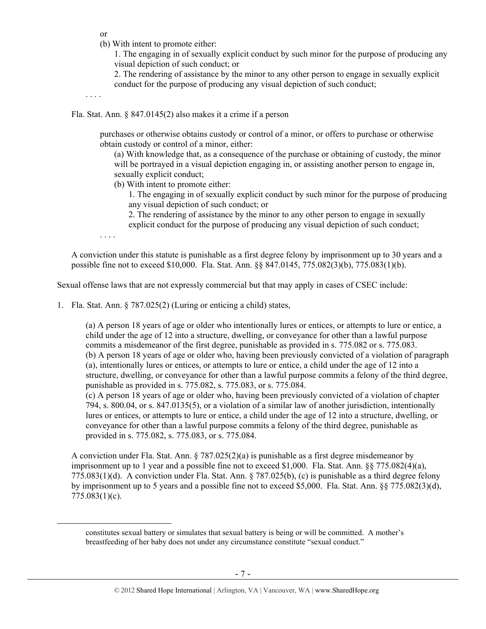or

- (b) With intent to promote either:
	- 1. The engaging in of sexually explicit conduct by such minor for the purpose of producing any visual depiction of such conduct; or

2. The rendering of assistance by the minor to any other person to engage in sexually explicit conduct for the purpose of producing any visual depiction of such conduct;

. . . .

Fla. Stat. Ann. § 847.0145(2) also makes it a crime if a person

purchases or otherwise obtains custody or control of a minor, or offers to purchase or otherwise obtain custody or control of a minor, either:

(a) With knowledge that, as a consequence of the purchase or obtaining of custody, the minor will be portrayed in a visual depiction engaging in, or assisting another person to engage in, sexually explicit conduct;

(b) With intent to promote either:

1. The engaging in of sexually explicit conduct by such minor for the purpose of producing any visual depiction of such conduct; or

2. The rendering of assistance by the minor to any other person to engage in sexually explicit conduct for the purpose of producing any visual depiction of such conduct;

. . . .

A conviction under this statute is punishable as a first degree felony by imprisonment up to 30 years and a possible fine not to exceed \$10,000. Fla. Stat. Ann. §§ 847.0145, 775.082(3)(b), 775.083(1)(b).

Sexual offense laws that are not expressly commercial but that may apply in cases of CSEC include:

1. Fla. Stat. Ann. § 787.025(2) (Luring or enticing a child) states,

(a) A person 18 years of age or older who intentionally lures or entices, or attempts to lure or entice, a child under the age of 12 into a structure, dwelling, or conveyance for other than a lawful purpose commits a misdemeanor of the first degree, punishable as provided in s. 775.082 or s. 775.083. (b) A person 18 years of age or older who, having been previously convicted of a violation of paragraph (a), intentionally lures or entices, or attempts to lure or entice, a child under the age of 12 into a structure, dwelling, or conveyance for other than a lawful purpose commits a felony of the third degree, punishable as provided in s. 775.082, s. 775.083, or s. 775.084.

(c) A person 18 years of age or older who, having been previously convicted of a violation of chapter 794, s. 800.04, or s. 847.0135(5), or a violation of a similar law of another jurisdiction, intentionally lures or entices, or attempts to lure or entice, a child under the age of 12 into a structure, dwelling, or conveyance for other than a lawful purpose commits a felony of the third degree, punishable as provided in s. 775.082, s. 775.083, or s. 775.084.

A conviction under Fla. Stat. Ann.  $\S 787.025(2)(a)$  is punishable as a first degree misdemeanor by imprisonment up to 1 year and a possible fine not to exceed \$1,000. Fla. Stat. Ann. §§ 775.082(4)(a), 775.083(1)(d). A conviction under Fla. Stat. Ann. § 787.025(b), (c) is punishable as a third degree felony by imprisonment up to 5 years and a possible fine not to exceed \$5,000. Fla. Stat. Ann. §§ 775.082(3)(d), 775.083(1)(c).

constitutes sexual battery or simulates that sexual battery is being or will be committed. A mother's breastfeeding of her baby does not under any circumstance constitute "sexual conduct."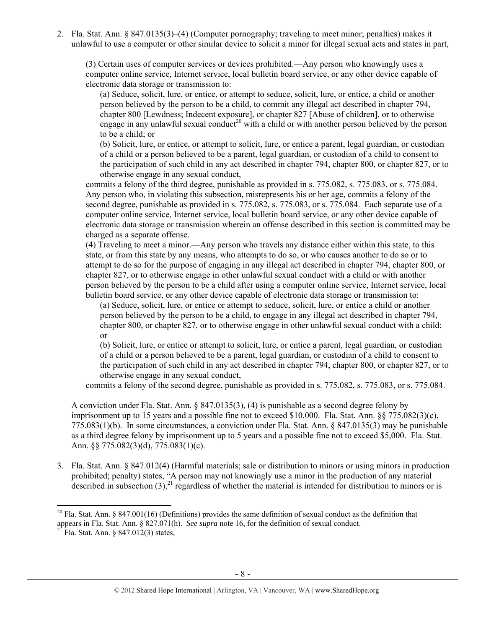2. Fla. Stat. Ann. § 847.0135(3)–(4) (Computer pornography; traveling to meet minor; penalties) makes it unlawful to use a computer or other similar device to solicit a minor for illegal sexual acts and states in part,

(3) Certain uses of computer services or devices prohibited.—Any person who knowingly uses a computer online service, Internet service, local bulletin board service, or any other device capable of electronic data storage or transmission to:

(a) Seduce, solicit, lure, or entice, or attempt to seduce, solicit, lure, or entice, a child or another person believed by the person to be a child, to commit any illegal act described in chapter 794, chapter 800 [Lewdness; Indecent exposure], or chapter 827 [Abuse of children], or to otherwise engage in any unlawful sexual conduct<sup>20</sup> with a child or with another person believed by the person to be a child; or

(b) Solicit, lure, or entice, or attempt to solicit, lure, or entice a parent, legal guardian, or custodian of a child or a person believed to be a parent, legal guardian, or custodian of a child to consent to the participation of such child in any act described in chapter 794, chapter 800, or chapter 827, or to otherwise engage in any sexual conduct,

commits a felony of the third degree, punishable as provided in s. 775.082, s. 775.083, or s. 775.084. Any person who, in violating this subsection, misrepresents his or her age, commits a felony of the second degree, punishable as provided in s. 775.082, s. 775.083, or s. 775.084. Each separate use of a computer online service, Internet service, local bulletin board service, or any other device capable of electronic data storage or transmission wherein an offense described in this section is committed may be charged as a separate offense.

(4) Traveling to meet a minor.—Any person who travels any distance either within this state, to this state, or from this state by any means, who attempts to do so, or who causes another to do so or to attempt to do so for the purpose of engaging in any illegal act described in chapter 794, chapter 800, or chapter 827, or to otherwise engage in other unlawful sexual conduct with a child or with another person believed by the person to be a child after using a computer online service, Internet service, local bulletin board service, or any other device capable of electronic data storage or transmission to:

(a) Seduce, solicit, lure, or entice or attempt to seduce, solicit, lure, or entice a child or another person believed by the person to be a child, to engage in any illegal act described in chapter 794, chapter 800, or chapter 827, or to otherwise engage in other unlawful sexual conduct with a child; or

(b) Solicit, lure, or entice or attempt to solicit, lure, or entice a parent, legal guardian, or custodian of a child or a person believed to be a parent, legal guardian, or custodian of a child to consent to the participation of such child in any act described in chapter 794, chapter 800, or chapter 827, or to otherwise engage in any sexual conduct,

commits a felony of the second degree, punishable as provided in s. 775.082, s. 775.083, or s. 775.084.

A conviction under Fla. Stat. Ann. § 847.0135(3), (4) is punishable as a second degree felony by imprisonment up to 15 years and a possible fine not to exceed \$10,000. Fla. Stat. Ann. §§ 775.082(3)(c), 775.083(1)(b). In some circumstances, a conviction under Fla. Stat. Ann. § 847.0135(3) may be punishable as a third degree felony by imprisonment up to 5 years and a possible fine not to exceed \$5,000. Fla. Stat. Ann. §§ 775.082(3)(d), 775.083(1)(c).

3. Fla. Stat. Ann. § 847.012(4) (Harmful materials; sale or distribution to minors or using minors in production prohibited; penalty) states, "A person may not knowingly use a minor in the production of any material described in subsection  $(3)$ ,<sup>21</sup> regardless of whether the material is intended for distribution to minors or is

<sup>&</sup>lt;sup>20</sup> Fla. Stat. Ann. § 847.001(16) (Definitions) provides the same definition of sexual conduct as the definition that appears in Fla. Stat. Ann. § 827.071(h). *See supra* note 16, for the definition of sexual conduct. <sup>21</sup> Fla. Stat. Ann. § 847.012(3) states,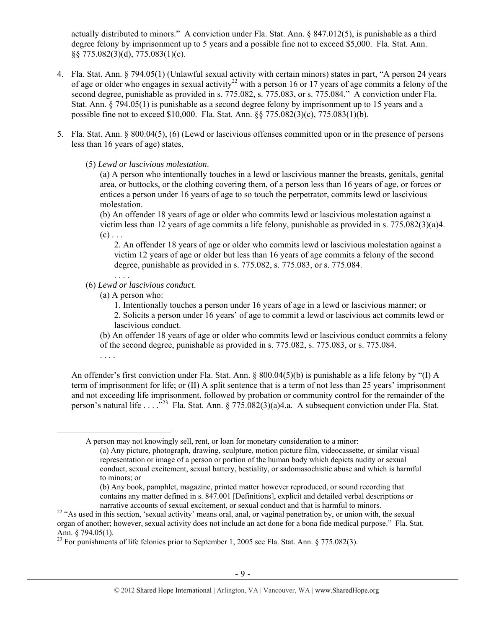actually distributed to minors." A conviction under Fla. Stat. Ann.  $\S$  847.012(5), is punishable as a third degree felony by imprisonment up to 5 years and a possible fine not to exceed \$5,000. Fla. Stat. Ann. §§ 775.082(3)(d), 775.083(1)(c).

- 4. Fla. Stat. Ann. § 794.05(1) (Unlawful sexual activity with certain minors) states in part, "A person 24 years of age or older who engages in sexual activity<sup>22</sup> with a person 16 or 17 years of age commits a felony of the second degree, punishable as provided in s. 775.082, s. 775.083, or s. 775.084." A conviction under Fla. Stat. Ann. § 794.05(1) is punishable as a second degree felony by imprisonment up to 15 years and a possible fine not to exceed \$10,000. Fla. Stat. Ann. §§ 775.082(3)(c), 775.083(1)(b).
- 5. Fla. Stat. Ann. § 800.04(5), (6) (Lewd or lascivious offenses committed upon or in the presence of persons less than 16 years of age) states,
	- (5) *Lewd or lascivious molestation*.

(a) A person who intentionally touches in a lewd or lascivious manner the breasts, genitals, genital area, or buttocks, or the clothing covering them, of a person less than 16 years of age, or forces or entices a person under 16 years of age to so touch the perpetrator, commits lewd or lascivious molestation.

(b) An offender 18 years of age or older who commits lewd or lascivious molestation against a victim less than 12 years of age commits a life felony, punishable as provided in s. 775.082(3)(a)4.  $(c)$  . . .

2. An offender 18 years of age or older who commits lewd or lascivious molestation against a victim 12 years of age or older but less than 16 years of age commits a felony of the second degree, punishable as provided in s. 775.082, s. 775.083, or s. 775.084.

- (6) *Lewd or lascivious conduct*.
	- (a) A person who:

. . . .

1. Intentionally touches a person under 16 years of age in a lewd or lascivious manner; or

2. Solicits a person under 16 years' of age to commit a lewd or lascivious act commits lewd or lascivious conduct.

(b) An offender 18 years of age or older who commits lewd or lascivious conduct commits a felony of the second degree, punishable as provided in s. 775.082, s. 775.083, or s. 775.084.

. . . .

An offender's first conviction under Fla. Stat. Ann. § 800.04(5)(b) is punishable as a life felony by "(I) A term of imprisonment for life; or (II) A split sentence that is a term of not less than 25 years' imprisonment and not exceeding life imprisonment, followed by probation or community control for the remainder of the person's natural life . . .  $\cdot^{323}$  Fla. Stat. Ann. § 775.082(3)(a)4.a. A subsequent conviction under Fla. Stat.

(b) Any book, pamphlet, magazine, printed matter however reproduced, or sound recording that contains any matter defined in s. 847.001 [Definitions], explicit and detailed verbal descriptions or

A person may not knowingly sell, rent, or loan for monetary consideration to a minor:

<sup>(</sup>a) Any picture, photograph, drawing, sculpture, motion picture film, videocassette, or similar visual representation or image of a person or portion of the human body which depicts nudity or sexual conduct, sexual excitement, sexual battery, bestiality, or sadomasochistic abuse and which is harmful to minors; or

narrative accounts of sexual excitement, or sexual conduct and that is harmful to minors.<br><sup>22</sup> "As used in this section, 'sexual activity' means oral, anal, or vaginal penetration by, or union with, the sexual organ of another; however, sexual activity does not include an act done for a bona fide medical purpose." Fla. Stat. Ann. § 794.05(1).

<sup>&</sup>lt;sup>23</sup> For punishments of life felonies prior to September 1, 2005 see Fla. Stat. Ann.  $\S 775.082(3)$ .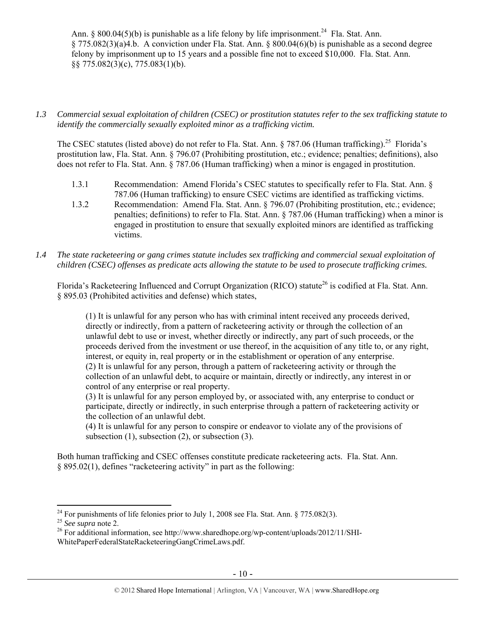Ann. § 800.04(5)(b) is punishable as a life felony by life imprisonment.<sup>24</sup> Fla. Stat. Ann. § 775.082(3)(a)4.b. A conviction under Fla. Stat. Ann. § 800.04(6)(b) is punishable as a second degree felony by imprisonment up to 15 years and a possible fine not to exceed \$10,000. Fla. Stat. Ann. §§ 775.082(3)(c), 775.083(1)(b).

*1.3 Commercial sexual exploitation of children (CSEC) or prostitution statutes refer to the sex trafficking statute to identify the commercially sexually exploited minor as a trafficking victim.* 

The CSEC statutes (listed above) do not refer to Fla. Stat. Ann. § 787.06 (Human trafficking).<sup>25</sup> Florida's prostitution law, Fla. Stat. Ann. § 796.07 (Prohibiting prostitution, etc.; evidence; penalties; definitions), also does not refer to Fla. Stat. Ann. § 787.06 (Human trafficking) when a minor is engaged in prostitution.

- 1.3.1 Recommendation: Amend Florida's CSEC statutes to specifically refer to Fla. Stat. Ann. § 787.06 (Human trafficking) to ensure CSEC victims are identified as trafficking victims.
- 1.3.2 Recommendation: Amend Fla. Stat. Ann. § 796.07 (Prohibiting prostitution, etc.; evidence; penalties; definitions) to refer to Fla. Stat. Ann. § 787.06 (Human trafficking) when a minor is engaged in prostitution to ensure that sexually exploited minors are identified as trafficking victims.
- *1.4 The state racketeering or gang crimes statute includes sex trafficking and commercial sexual exploitation of children (CSEC) offenses as predicate acts allowing the statute to be used to prosecute trafficking crimes.*

Florida's Racketeering Influenced and Corrupt Organization (RICO) statute<sup>26</sup> is codified at Fla. Stat. Ann. § 895.03 (Prohibited activities and defense) which states,

(1) It is unlawful for any person who has with criminal intent received any proceeds derived, directly or indirectly, from a pattern of racketeering activity or through the collection of an unlawful debt to use or invest, whether directly or indirectly, any part of such proceeds, or the proceeds derived from the investment or use thereof, in the acquisition of any title to, or any right, interest, or equity in, real property or in the establishment or operation of any enterprise. (2) It is unlawful for any person, through a pattern of racketeering activity or through the collection of an unlawful debt, to acquire or maintain, directly or indirectly, any interest in or control of any enterprise or real property.

(3) It is unlawful for any person employed by, or associated with, any enterprise to conduct or participate, directly or indirectly, in such enterprise through a pattern of racketeering activity or the collection of an unlawful debt.

(4) It is unlawful for any person to conspire or endeavor to violate any of the provisions of subsection  $(1)$ , subsection  $(2)$ , or subsection  $(3)$ .

Both human trafficking and CSEC offenses constitute predicate racketeering acts. Fla. Stat. Ann. § 895.02(1), defines "racketeering activity" in part as the following:

<sup>&</sup>lt;sup>24</sup> For punishments of life felonies prior to July 1, 2008 see Fla. Stat. Ann. § 775.082(3).<br><sup>25</sup> See supra note 2.

<sup>&</sup>lt;sup>26</sup> For additional information, see http://www.sharedhope.org/wp-content/uploads/2012/11/SHI-WhitePaperFederalStateRacketeeringGangCrimeLaws.pdf.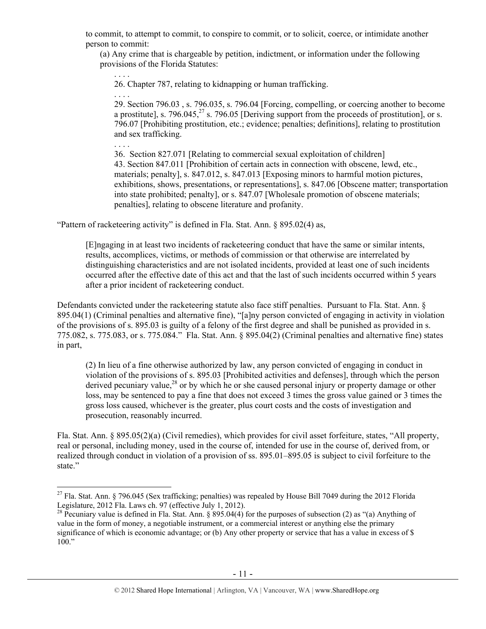to commit, to attempt to commit, to conspire to commit, or to solicit, coerce, or intimidate another person to commit:

(a) Any crime that is chargeable by petition, indictment, or information under the following provisions of the Florida Statutes:

. . . . 26. Chapter 787, relating to kidnapping or human trafficking.

29. Section 796.03 , s. 796.035, s. 796.04 [Forcing, compelling, or coercing another to become a prostitute], s. 796.045, $^{27}$  s. 796.05 [Deriving support from the proceeds of prostitution], or s. 796.07 [Prohibiting prostitution, etc.; evidence; penalties; definitions], relating to prostitution and sex trafficking.

36. Section 827.071 [Relating to commercial sexual exploitation of children] 43. Section 847.011 [Prohibition of certain acts in connection with obscene, lewd, etc., materials; penalty], s. 847.012, s. 847.013 [Exposing minors to harmful motion pictures, exhibitions, shows, presentations, or representations], s. 847.06 [Obscene matter; transportation into state prohibited; penalty], or s. 847.07 [Wholesale promotion of obscene materials; penalties], relating to obscene literature and profanity.

"Pattern of racketeering activity" is defined in Fla. Stat. Ann. § 895.02(4) as,

. . . .

 $\overline{a}$ 

[E]ngaging in at least two incidents of racketeering conduct that have the same or similar intents, results, accomplices, victims, or methods of commission or that otherwise are interrelated by distinguishing characteristics and are not isolated incidents, provided at least one of such incidents occurred after the effective date of this act and that the last of such incidents occurred within 5 years after a prior incident of racketeering conduct.

Defendants convicted under the racketeering statute also face stiff penalties. Pursuant to Fla. Stat. Ann. § 895.04(1) (Criminal penalties and alternative fine), "[a]ny person convicted of engaging in activity in violation of the provisions of s. 895.03 is guilty of a felony of the first degree and shall be punished as provided in s. 775.082, s. 775.083, or s. 775.084." Fla. Stat. Ann. § 895.04(2) (Criminal penalties and alternative fine) states in part,

(2) In lieu of a fine otherwise authorized by law, any person convicted of engaging in conduct in violation of the provisions of s. 895.03 [Prohibited activities and defenses], through which the person derived pecuniary value,<sup>28</sup> or by which he or she caused personal injury or property damage or other loss, may be sentenced to pay a fine that does not exceed 3 times the gross value gained or 3 times the gross loss caused, whichever is the greater, plus court costs and the costs of investigation and prosecution, reasonably incurred.

Fla. Stat. Ann. § 895.05(2)(a) (Civil remedies), which provides for civil asset forfeiture, states, "All property, real or personal, including money, used in the course of, intended for use in the course of, derived from, or realized through conduct in violation of a provision of ss. 895.01–895.05 is subject to civil forfeiture to the state."

<sup>&</sup>lt;sup>27</sup> Fla. Stat. Ann. § 796.045 (Sex trafficking; penalties) was repealed by House Bill 7049 during the 2012 Florida Legislature, 2012 Fla. Laws ch. 97 (effective July 1, 2012).

<sup>&</sup>lt;sup>28</sup> Pecuniary value is defined in Fla. Stat. Ann. § 895.04(4) for the purposes of subsection (2) as "(a) Anything of value in the form of money, a negotiable instrument, or a commercial interest or anything else the primary significance of which is economic advantage; or (b) Any other property or service that has a value in excess of \$  $100."$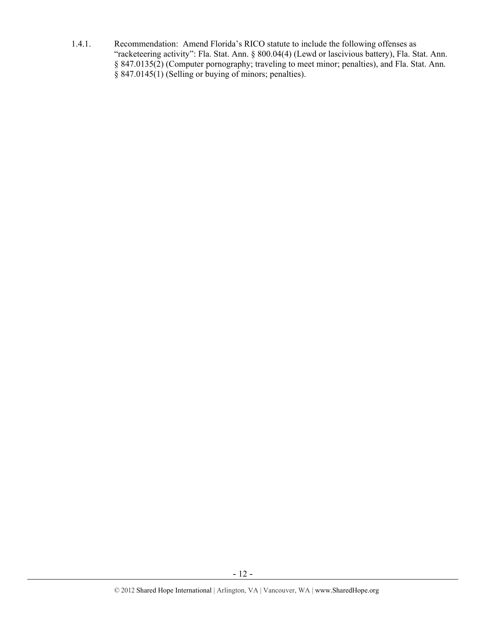1.4.1. Recommendation: Amend Florida's RICO statute to include the following offenses as "racketeering activity": Fla. Stat. Ann. § 800.04(4) (Lewd or lascivious battery), Fla. Stat. Ann. § 847.0135(2) (Computer pornography; traveling to meet minor; penalties), and Fla. Stat. Ann. § 847.0145(1) (Selling or buying of minors; penalties).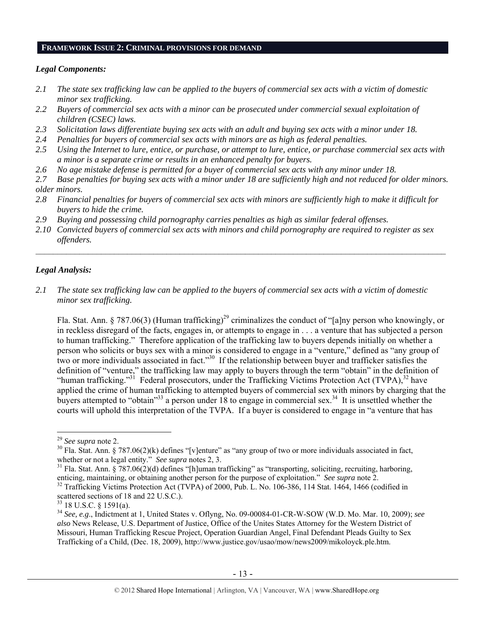#### **FRAMEWORK ISSUE 2: CRIMINAL PROVISIONS FOR DEMAND**

#### *Legal Components:*

- *2.1 The state sex trafficking law can be applied to the buyers of commercial sex acts with a victim of domestic minor sex trafficking.*
- *2.2 Buyers of commercial sex acts with a minor can be prosecuted under commercial sexual exploitation of children (CSEC) laws.*
- *2.3 Solicitation laws differentiate buying sex acts with an adult and buying sex acts with a minor under 18.*
- *2.4 Penalties for buyers of commercial sex acts with minors are as high as federal penalties.*
- *2.5 Using the Internet to lure, entice, or purchase, or attempt to lure, entice, or purchase commercial sex acts with a minor is a separate crime or results in an enhanced penalty for buyers.*
- *2.6 No age mistake defense is permitted for a buyer of commercial sex acts with any minor under 18.*
- *2.7 Base penalties for buying sex acts with a minor under 18 are sufficiently high and not reduced for older minors. older minors.*
- *2.8 Financial penalties for buyers of commercial sex acts with minors are sufficiently high to make it difficult for buyers to hide the crime.*
- *2.9 Buying and possessing child pornography carries penalties as high as similar federal offenses.*
- *2.10 Convicted buyers of commercial sex acts with minors and child pornography are required to register as sex offenders.*

 $\_$ 

#### *Legal Analysis:*

*2.1 The state sex trafficking law can be applied to the buyers of commercial sex acts with a victim of domestic minor sex trafficking.* 

Fla. Stat. Ann. § 787.06(3) (Human trafficking)<sup>29</sup> criminalizes the conduct of "[a]ny person who knowingly, or in reckless disregard of the facts, engages in, or attempts to engage in . . . a venture that has subjected a person to human trafficking." Therefore application of the trafficking law to buyers depends initially on whether a person who solicits or buys sex with a minor is considered to engage in a "venture," defined as "any group of two or more individuals associated in fact."<sup>30</sup> If the relationship between buyer and trafficker satisfies the definition of "venture," the trafficking law may apply to buyers through the term "obtain" in the definition of "human trafficking."<sup>31</sup> Federal prosecutors, under the Trafficking Victims Protection Act (TVPA),<sup>32</sup> have applied the crime of human trafficking to attempted buyers of commercial sex with minors by charging that the buyers attempted to "obtain"<sup>33</sup> a person under 18 to engage in commercial sex.<sup>34</sup> It is unsettled whether the courts will uphold this interpretation of the TVPA. If a buyer is considered to engage in "a venture that has

<sup>&</sup>lt;sup>29</sup> *See supra* note 2.<br><sup>30</sup> Fla. Stat. Ann. § 787.06(2)(k) defines "[v]enture" as "any group of two or more individuals associated in fact, whether or not a legal entity." *See supra* notes 2, 3.

<sup>&</sup>lt;sup>31</sup> Fla. Stat. Ann. § 787.06(2)(d) defines "[h]uman trafficking" as "transporting, soliciting, recruiting, harboring,

enticing, maintaining, or obtaining another person for the purpose of exploitation." *See supra* note 2.<br><sup>32</sup> Trafficking Victims Protection Act (TVPA) of 2000, Pub. L. No. 106-386, 114 Stat. 1464, 1466 (codified in scattered sections of 18 and 22 U.S.C.).

 $33$  18 U.S.C. § 1591(a).

<sup>34</sup> *See, e.g*., Indictment at 1, United States v. Oflyng, No. 09-00084-01-CR-W-SOW (W.D. Mo. Mar. 10, 2009); *see also* News Release, U.S. Department of Justice, Office of the Unites States Attorney for the Western District of Missouri, Human Trafficking Rescue Project, Operation Guardian Angel, Final Defendant Pleads Guilty to Sex Trafficking of a Child, (Dec. 18, 2009), http://www.justice.gov/usao/mow/news2009/mikoloyck.ple.htm.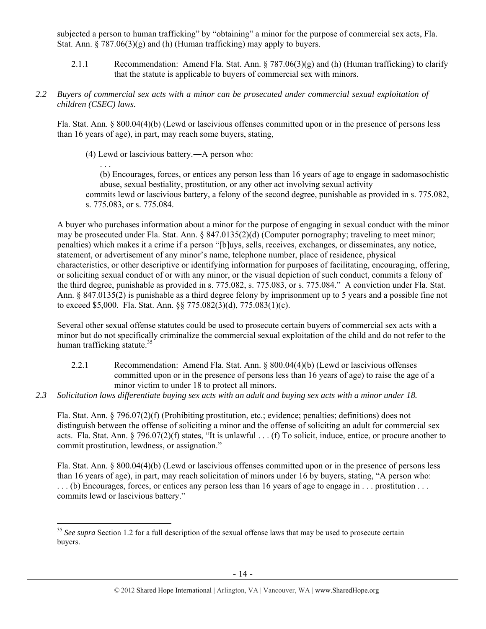subjected a person to human trafficking" by "obtaining" a minor for the purpose of commercial sex acts, Fla. Stat. Ann.  $\S 787.06(3)(g)$  and (h) (Human trafficking) may apply to buyers.

- 2.1.1 Recommendation: Amend Fla. Stat. Ann. § 787.06(3)(g) and (h) (Human trafficking) to clarify that the statute is applicable to buyers of commercial sex with minors.
- *2.2 Buyers of commercial sex acts with a minor can be prosecuted under commercial sexual exploitation of children (CSEC) laws.*

Fla. Stat. Ann. § 800.04(4)(b) (Lewd or lascivious offenses committed upon or in the presence of persons less than 16 years of age), in part, may reach some buyers, stating,

(4) Lewd or lascivious battery.―A person who:

. . . (b) Encourages, forces, or entices any person less than 16 years of age to engage in sadomasochistic abuse, sexual bestiality, prostitution, or any other act involving sexual activity commits lewd or lascivious battery, a felony of the second degree, punishable as provided in s. 775.082, s. 775.083, or s. 775.084.

A buyer who purchases information about a minor for the purpose of engaging in sexual conduct with the minor may be prosecuted under Fla. Stat. Ann. § 847.0135(2)(d) (Computer pornography; traveling to meet minor; penalties) which makes it a crime if a person "[b]uys, sells, receives, exchanges, or disseminates, any notice, statement, or advertisement of any minor's name, telephone number, place of residence, physical characteristics, or other descriptive or identifying information for purposes of facilitating, encouraging, offering, or soliciting sexual conduct of or with any minor, or the visual depiction of such conduct, commits a felony of the third degree, punishable as provided in s. 775.082, s. 775.083, or s. 775.084." A conviction under Fla. Stat. Ann. § 847.0135(2) is punishable as a third degree felony by imprisonment up to 5 years and a possible fine not to exceed \$5,000. Fla. Stat. Ann. §§ 775.082(3)(d), 775.083(1)(c).

Several other sexual offense statutes could be used to prosecute certain buyers of commercial sex acts with a minor but do not specifically criminalize the commercial sexual exploitation of the child and do not refer to the human trafficking statute. $35$ 

2.2.1 Recommendation: Amend Fla. Stat. Ann. § 800.04(4)(b) (Lewd or lascivious offenses committed upon or in the presence of persons less than 16 years of age) to raise the age of a minor victim to under 18 to protect all minors.

## *2.3 Solicitation laws differentiate buying sex acts with an adult and buying sex acts with a minor under 18.*

Fla. Stat. Ann. § 796.07(2)(f) (Prohibiting prostitution, etc.; evidence; penalties; definitions) does not distinguish between the offense of soliciting a minor and the offense of soliciting an adult for commercial sex acts. Fla. Stat. Ann. § 796.07(2)(f) states, "It is unlawful . . . (f) To solicit, induce, entice, or procure another to commit prostitution, lewdness, or assignation."

Fla. Stat. Ann. § 800.04(4)(b) (Lewd or lascivious offenses committed upon or in the presence of persons less than 16 years of age), in part, may reach solicitation of minors under 16 by buyers, stating, "A person who: . . . (b) Encourages, forces, or entices any person less than 16 years of age to engage in . . . prostitution . . . commits lewd or lascivious battery."

<sup>&</sup>lt;sup>35</sup> See supra Section 1.2 for a full description of the sexual offense laws that may be used to prosecute certain buyers.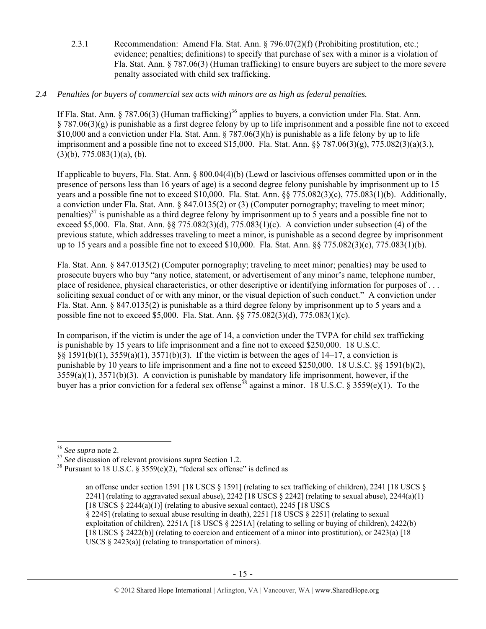2.3.1 Recommendation: Amend Fla. Stat. Ann. § 796.07(2)(f) (Prohibiting prostitution, etc.; evidence; penalties; definitions) to specify that purchase of sex with a minor is a violation of Fla. Stat. Ann. § 787.06(3) (Human trafficking) to ensure buyers are subject to the more severe penalty associated with child sex trafficking.

# *2.4 Penalties for buyers of commercial sex acts with minors are as high as federal penalties.*

If Fla. Stat. Ann. § 787.06(3) (Human trafficking)<sup>36</sup> applies to buyers, a conviction under Fla. Stat. Ann. § 787.06(3)(g) is punishable as a first degree felony by up to life imprisonment and a possible fine not to exceed \$10,000 and a conviction under Fla. Stat. Ann.  $\S 787.06(3)$ (h) is punishable as a life felony by up to life imprisonment and a possible fine not to exceed \$15,000. Fla. Stat. Ann.  $\S$   $\frac{8}{787.06(3)(g)}$ ,  $\frac{775.082(3)(a)(3)}{2}$ ,  $(3)(b)$ , 775.083 $(1)(a)$ ,  $(b)$ .

If applicable to buyers, Fla. Stat. Ann. § 800.04(4)(b) (Lewd or lascivious offenses committed upon or in the presence of persons less than 16 years of age) is a second degree felony punishable by imprisonment up to 15 years and a possible fine not to exceed \$10,000. Fla. Stat. Ann. §§ 775.082(3)(c), 775.083(1)(b). Additionally, a conviction under Fla. Stat. Ann. § 847.0135(2) or (3) (Computer pornography; traveling to meet minor; penalties) $37$  is punishable as a third degree felony by imprisonment up to 5 years and a possible fine not to exceed \$5,000. Fla. Stat. Ann.  $\S$  775.082(3)(d), 775.083(1)(c). A conviction under subsection (4) of the previous statute, which addresses traveling to meet a minor, is punishable as a second degree by imprisonment up to 15 years and a possible fine not to exceed \$10,000. Fla. Stat. Ann. §§ 775.082(3)(c), 775.083(1)(b).

Fla. Stat. Ann. § 847.0135(2) (Computer pornography; traveling to meet minor; penalties) may be used to prosecute buyers who buy "any notice, statement, or advertisement of any minor's name, telephone number, place of residence, physical characteristics, or other descriptive or identifying information for purposes of . . . soliciting sexual conduct of or with any minor, or the visual depiction of such conduct." A conviction under Fla. Stat. Ann. § 847.0135(2) is punishable as a third degree felony by imprisonment up to 5 years and a possible fine not to exceed \$5,000. Fla. Stat. Ann. §§ 775.082(3)(d), 775.083(1)(c).

In comparison, if the victim is under the age of 14, a conviction under the TVPA for child sex trafficking is punishable by 15 years to life imprisonment and a fine not to exceed \$250,000. 18 U.S.C. §§ 1591(b)(1), 3559(a)(1), 3571(b)(3). If the victim is between the ages of 14–17, a conviction is punishable by 10 years to life imprisonment and a fine not to exceed \$250,000. 18 U.S.C. §§ 1591(b)(2),  $3559(a)(1)$ ,  $3571(b)(3)$ . A conviction is punishable by mandatory life imprisonment, however, if the buyer has a prior conviction for a federal sex offense<sup>38</sup> against a minor. 18 U.S.C. § 3559(e)(1). To the

 $\overline{a}$ 

<sup>&</sup>lt;sup>36</sup> *See supra* note 2.<br><sup>37</sup> *See* discussion of relevant provisions *supra* Section 1.2.<br><sup>38</sup> Pursuant to 18 U.S.C. § 3559(e)(2), "federal sex offense" is defined as

an offense under section 1591 [18 USCS § 1591] (relating to sex trafficking of children), 2241 [18 USCS § 2241] (relating to aggravated sexual abuse), 2242 [18 USCS  $\S$  2242] (relating to sexual abuse), 2244(a)(1) [18 USCS  $\S$  2244(a)(1)] (relating to abusive sexual contact), 2245 [18 USCS] § 2245] (relating to sexual abuse resulting in death), 2251 [18 USCS § 2251] (relating to sexual exploitation of children), 2251A [18 USCS § 2251A] (relating to selling or buying of children), 2422(b) [18 USCS § 2422(b)] (relating to coercion and enticement of a minor into prostitution), or 2423(a) [18 USCS § 2423(a)] (relating to transportation of minors).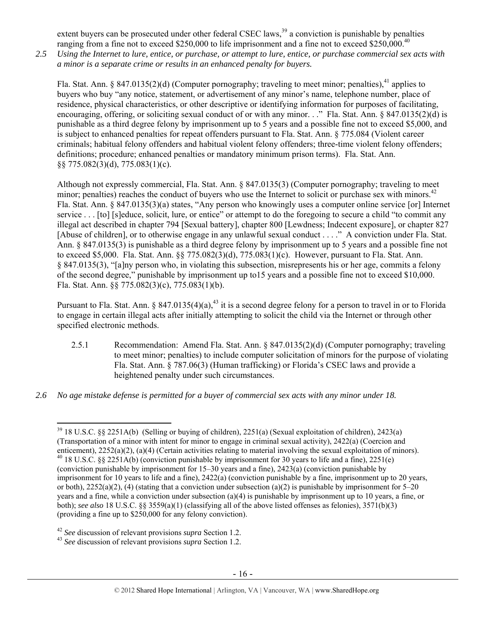extent buyers can be prosecuted under other federal CSEC laws,<sup>39</sup> a conviction is punishable by penalties ranging from a fine not to exceed \$250,000 to life imprisonment and a fine not to exceed \$250,000.<sup>40</sup>

*2.5 Using the Internet to lure, entice, or purchase, or attempt to lure, entice, or purchase commercial sex acts with a minor is a separate crime or results in an enhanced penalty for buyers.* 

Fla. Stat. Ann. § 847.0135(2)(d) (Computer pornography; traveling to meet minor; penalties),  $41$  applies to buyers who buy "any notice, statement, or advertisement of any minor's name, telephone number, place of residence, physical characteristics, or other descriptive or identifying information for purposes of facilitating, encouraging, offering, or soliciting sexual conduct of or with any minor. . ." Fla. Stat. Ann. § 847.0135(2)(d) is punishable as a third degree felony by imprisonment up to 5 years and a possible fine not to exceed \$5,000, and is subject to enhanced penalties for repeat offenders pursuant to Fla. Stat. Ann. § 775.084 (Violent career criminals; habitual felony offenders and habitual violent felony offenders; three-time violent felony offenders; definitions; procedure; enhanced penalties or mandatory minimum prison terms). Fla. Stat. Ann. §§ 775.082(3)(d), 775.083(1)(c).

Although not expressly commercial, Fla. Stat. Ann. § 847.0135(3) (Computer pornography; traveling to meet minor; penalties) reaches the conduct of buyers who use the Internet to solicit or purchase sex with minors.<sup>42</sup> Fla. Stat. Ann. § 847.0135(3)(a) states, "Any person who knowingly uses a computer online service [or] Internet service . . . [to] [s]educe, solicit, lure, or entice" or attempt to do the foregoing to secure a child "to commit any illegal act described in chapter 794 [Sexual battery], chapter 800 [Lewdness; Indecent exposure], or chapter 827 [Abuse of children], or to otherwise engage in any unlawful sexual conduct . . . ." A conviction under Fla. Stat. Ann. § 847.0135(3) is punishable as a third degree felony by imprisonment up to 5 years and a possible fine not to exceed \$5,000. Fla. Stat. Ann. §§ 775.082(3)(d), 775.083(1)(c). However, pursuant to Fla. Stat. Ann. § 847.0135(3), "[a]ny person who, in violating this subsection, misrepresents his or her age, commits a felony of the second degree," punishable by imprisonment up to15 years and a possible fine not to exceed \$10,000. Fla. Stat. Ann. §§ 775.082(3)(c), 775.083(1)(b).

Pursuant to Fla. Stat. Ann. § 847.0135(4)(a),<sup>43</sup> it is a second degree felony for a person to travel in or to Florida to engage in certain illegal acts after initially attempting to solicit the child via the Internet or through other specified electronic methods.

- 2.5.1 Recommendation: Amend Fla. Stat. Ann. § 847.0135(2)(d) (Computer pornography; traveling to meet minor; penalties) to include computer solicitation of minors for the purpose of violating Fla. Stat. Ann. § 787.06(3) (Human trafficking) or Florida's CSEC laws and provide a heightened penalty under such circumstances.
- *2.6 No age mistake defense is permitted for a buyer of commercial sex acts with any minor under 18.*

 $\overline{a}$ <sup>39</sup> 18 U.S.C. §§ 2251A(b) (Selling or buying of children), 2251(a) (Sexual exploitation of children), 2423(a) (Transportation of a minor with intent for minor to engage in criminal sexual activity), 2422(a) (Coercion and enticement), 2252(a)(2), (a)(4) (Certain activities relating to material involving the sexual exploitation of minors). <sup>40</sup> 18 U.S.C. §§ 2251A(b) (conviction punishable by imprisonment for 30 years to life and a fine), 225

<sup>(</sup>conviction punishable by imprisonment for 15–30 years and a fine), 2423(a) (conviction punishable by imprisonment for 10 years to life and a fine), 2422(a) (conviction punishable by a fine, imprisonment up to 20 years, or both),  $2252(a)(2)$ , (4) (stating that a conviction under subsection (a)(2) is punishable by imprisonment for 5–20 years and a fine, while a conviction under subsection (a)(4) is punishable by imprisonment up to 10 years, a fine, or both); *see also* 18 U.S.C. §§ 3559(a)(1) (classifying all of the above listed offenses as felonies), 3571(b)(3) (providing a fine up to \$250,000 for any felony conviction).

<sup>42</sup> *See* discussion of relevant provisions *supra* Section 1.2. 43 *See* discussion of relevant provisions *supra* Section 1.2.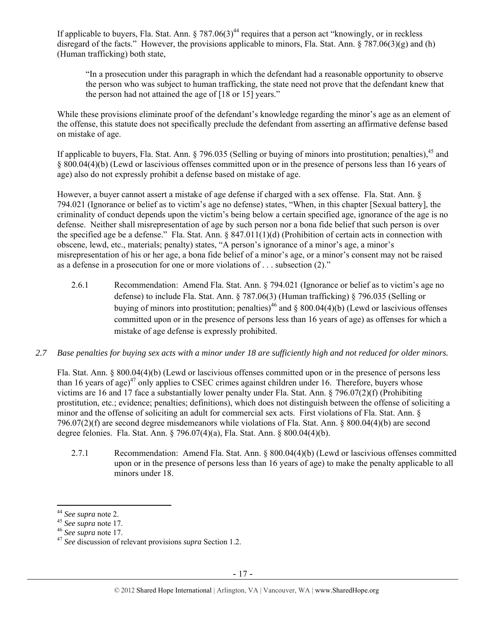If applicable to buyers, Fla. Stat. Ann. § 787.06(3)<sup>44</sup> requires that a person act "knowingly, or in reckless disregard of the facts." However, the provisions applicable to minors, Fla. Stat. Ann.  $\frac{5}{8}$  787.06(3)(g) and (h) (Human trafficking) both state,

"In a prosecution under this paragraph in which the defendant had a reasonable opportunity to observe the person who was subject to human trafficking, the state need not prove that the defendant knew that the person had not attained the age of [18 or 15] years."

While these provisions eliminate proof of the defendant's knowledge regarding the minor's age as an element of the offense, this statute does not specifically preclude the defendant from asserting an affirmative defense based on mistake of age.

If applicable to buyers, Fla. Stat. Ann. § 796.035 (Selling or buying of minors into prostitution; penalties).<sup>45</sup> and § 800.04(4)(b) (Lewd or lascivious offenses committed upon or in the presence of persons less than 16 years of age) also do not expressly prohibit a defense based on mistake of age.

However, a buyer cannot assert a mistake of age defense if charged with a sex offense. Fla. Stat. Ann. § 794.021 (Ignorance or belief as to victim's age no defense) states, "When, in this chapter [Sexual battery], the criminality of conduct depends upon the victim's being below a certain specified age, ignorance of the age is no defense. Neither shall misrepresentation of age by such person nor a bona fide belief that such person is over the specified age be a defense." Fla. Stat. Ann. § 847.011(1)(d) (Prohibition of certain acts in connection with obscene, lewd, etc., materials; penalty) states, "A person's ignorance of a minor's age, a minor's misrepresentation of his or her age, a bona fide belief of a minor's age, or a minor's consent may not be raised as a defense in a prosecution for one or more violations of . . . subsection (2)."

2.6.1 Recommendation: Amend Fla. Stat. Ann. § 794.021 (Ignorance or belief as to victim's age no defense) to include Fla. Stat. Ann. § 787.06(3) (Human trafficking) § 796.035 (Selling or buying of minors into prostitution; penalties)<sup>46</sup> and § 800.04(4)(b) (Lewd or lascivious offenses committed upon or in the presence of persons less than 16 years of age) as offenses for which a mistake of age defense is expressly prohibited.

## *2.7 Base penalties for buying sex acts with a minor under 18 are sufficiently high and not reduced for older minors.*

Fla. Stat. Ann. § 800.04(4)(b) (Lewd or lascivious offenses committed upon or in the presence of persons less than 16 years of age)<sup>47</sup> only applies to CSEC crimes against children under 16. Therefore, buyers whose victims are 16 and 17 face a substantially lower penalty under Fla. Stat. Ann. § 796.07(2)(f) (Prohibiting prostitution, etc.; evidence; penalties; definitions), which does not distinguish between the offense of soliciting a minor and the offense of soliciting an adult for commercial sex acts. First violations of Fla. Stat. Ann. § 796.07(2)(f) are second degree misdemeanors while violations of Fla. Stat. Ann. § 800.04(4)(b) are second degree felonies. Fla. Stat. Ann. § 796.07(4)(a), Fla. Stat. Ann. § 800.04(4)(b).

2.7.1 Recommendation: Amend Fla. Stat. Ann. § 800.04(4)(b) (Lewd or lascivious offenses committed upon or in the presence of persons less than 16 years of age) to make the penalty applicable to all minors under 18.

 $44$  See supra note 2.<br> $45$  See supra note 17.

<sup>&</sup>lt;sup>46</sup> *See supra* note 17. <sup>47</sup> *See* discussion of relevant provisions *supra* Section 1.2.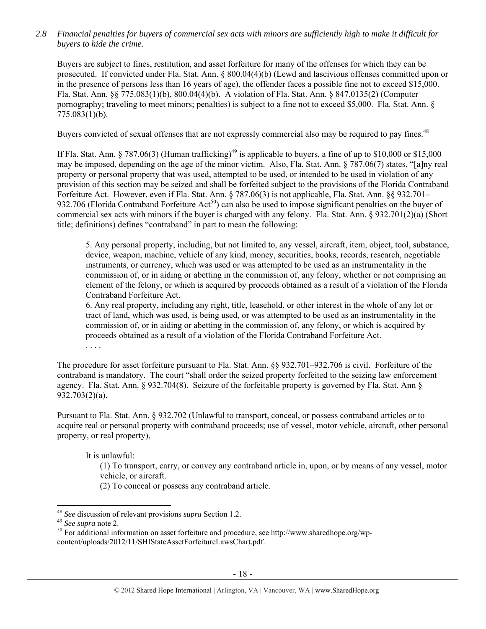*2.8 Financial penalties for buyers of commercial sex acts with minors are sufficiently high to make it difficult for buyers to hide the crime.* 

Buyers are subject to fines, restitution, and asset forfeiture for many of the offenses for which they can be prosecuted. If convicted under Fla. Stat. Ann. § 800.04(4)(b) (Lewd and lascivious offenses committed upon or in the presence of persons less than 16 years of age), the offender faces a possible fine not to exceed \$15,000. Fla. Stat. Ann. §§ 775.083(1)(b), 800.04(4)(b). A violation of Fla. Stat. Ann. § 847.0135(2) (Computer pornography; traveling to meet minors; penalties) is subject to a fine not to exceed \$5,000. Fla. Stat. Ann. § 775.083(1)(b).

Buyers convicted of sexual offenses that are not expressly commercial also may be required to pay fines.<sup>48</sup>

If Fla. Stat. Ann. § 787.06(3) (Human trafficking)<sup>49</sup> is applicable to buyers, a fine of up to \$10,000 or \$15,000 may be imposed, depending on the age of the minor victim. Also, Fla. Stat. Ann. § 787.06(7) states, "[a]ny real property or personal property that was used, attempted to be used, or intended to be used in violation of any provision of this section may be seized and shall be forfeited subject to the provisions of the Florida Contraband Forfeiture Act. However, even if Fla. Stat. Ann. § 787.06(3) is not applicable, Fla. Stat. Ann. §§ 932.701– 932.706 (Florida Contraband Forfeiture Act<sup>50</sup>) can also be used to impose significant penalties on the buyer of commercial sex acts with minors if the buyer is charged with any felony. Fla. Stat. Ann. § 932.701(2)(a) (Short title; definitions) defines "contraband" in part to mean the following:

5. Any personal property, including, but not limited to, any vessel, aircraft, item, object, tool, substance, device, weapon, machine, vehicle of any kind, money, securities, books, records, research, negotiable instruments, or currency, which was used or was attempted to be used as an instrumentality in the commission of, or in aiding or abetting in the commission of, any felony, whether or not comprising an element of the felony, or which is acquired by proceeds obtained as a result of a violation of the Florida Contraband Forfeiture Act.

6. Any real property, including any right, title, leasehold, or other interest in the whole of any lot or tract of land, which was used, is being used, or was attempted to be used as an instrumentality in the commission of, or in aiding or abetting in the commission of, any felony, or which is acquired by proceeds obtained as a result of a violation of the Florida Contraband Forfeiture Act.

. . . .

The procedure for asset forfeiture pursuant to Fla. Stat. Ann. §§ 932.701–932.706 is civil. Forfeiture of the contraband is mandatory. The court "shall order the seized property forfeited to the seizing law enforcement agency. Fla. Stat. Ann. § 932.704(8). Seizure of the forfeitable property is governed by Fla. Stat. Ann § 932.703(2)(a).

Pursuant to Fla. Stat. Ann. § 932.702 (Unlawful to transport, conceal, or possess contraband articles or to acquire real or personal property with contraband proceeds; use of vessel, motor vehicle, aircraft, other personal property, or real property),

It is unlawful:

(1) To transport, carry, or convey any contraband article in, upon, or by means of any vessel, motor vehicle, or aircraft.

(2) To conceal or possess any contraband article.

 $48$  See discussion of relevant provisions *supra* Section 1.2.

<sup>&</sup>lt;sup>49</sup> *See supra* note 2.<br><sup>50</sup> For additional information on asset forfeiture and procedure, see http://www.sharedhope.org/wpcontent/uploads/2012/11/SHIStateAssetForfeitureLawsChart.pdf.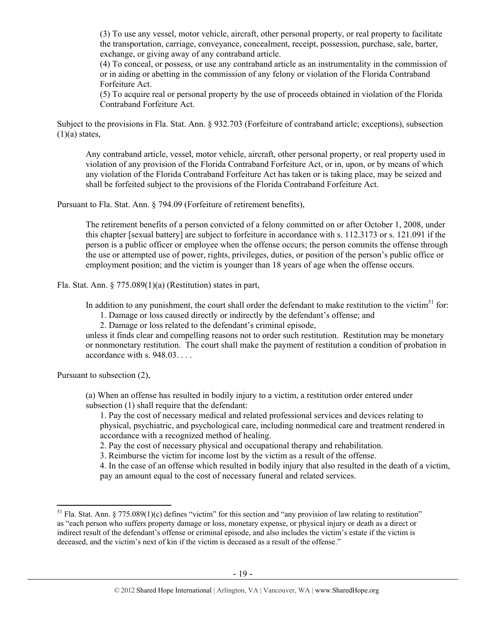(3) To use any vessel, motor vehicle, aircraft, other personal property, or real property to facilitate the transportation, carriage, conveyance, concealment, receipt, possession, purchase, sale, barter, exchange, or giving away of any contraband article.

(4) To conceal, or possess, or use any contraband article as an instrumentality in the commission of or in aiding or abetting in the commission of any felony or violation of the Florida Contraband Forfeiture Act.

(5) To acquire real or personal property by the use of proceeds obtained in violation of the Florida Contraband Forfeiture Act.

Subject to the provisions in Fla. Stat. Ann. § 932.703 (Forfeiture of contraband article; exceptions), subsection  $(1)(a)$  states,

Any contraband article, vessel, motor vehicle, aircraft, other personal property, or real property used in violation of any provision of the Florida Contraband Forfeiture Act, or in, upon, or by means of which any violation of the Florida Contraband Forfeiture Act has taken or is taking place, may be seized and shall be forfeited subject to the provisions of the Florida Contraband Forfeiture Act.

Pursuant to Fla. Stat. Ann. § 794.09 (Forfeiture of retirement benefits),

The retirement benefits of a person convicted of a felony committed on or after October 1, 2008, under this chapter [sexual battery] are subject to forfeiture in accordance with s. 112.3173 or s. 121.091 if the person is a public officer or employee when the offense occurs; the person commits the offense through the use or attempted use of power, rights, privileges, duties, or position of the person's public office or employment position; and the victim is younger than 18 years of age when the offense occurs.

Fla. Stat. Ann. § 775.089(1)(a) (Restitution) states in part,

In addition to any punishment, the court shall order the defendant to make restitution to the victim $^{51}$  for:

- 1. Damage or loss caused directly or indirectly by the defendant's offense; and
- 2. Damage or loss related to the defendant's criminal episode,

unless it finds clear and compelling reasons not to order such restitution. Restitution may be monetary or nonmonetary restitution. The court shall make the payment of restitution a condition of probation in accordance with s. 948.03. . . .

Pursuant to subsection (2),

 $\overline{a}$ 

(a) When an offense has resulted in bodily injury to a victim, a restitution order entered under subsection (1) shall require that the defendant:

1. Pay the cost of necessary medical and related professional services and devices relating to physical, psychiatric, and psychological care, including nonmedical care and treatment rendered in accordance with a recognized method of healing.

2. Pay the cost of necessary physical and occupational therapy and rehabilitation.

3. Reimburse the victim for income lost by the victim as a result of the offense.

4. In the case of an offense which resulted in bodily injury that also resulted in the death of a victim, pay an amount equal to the cost of necessary funeral and related services.

 $<sup>51</sup>$  Fla. Stat. Ann. § 775.089(1)(c) defines "victim" for this section and "any provision of law relating to restitution"</sup> as "each person who suffers property damage or loss, monetary expense, or physical injury or death as a direct or indirect result of the defendant's offense or criminal episode, and also includes the victim's estate if the victim is deceased, and the victim's next of kin if the victim is deceased as a result of the offense."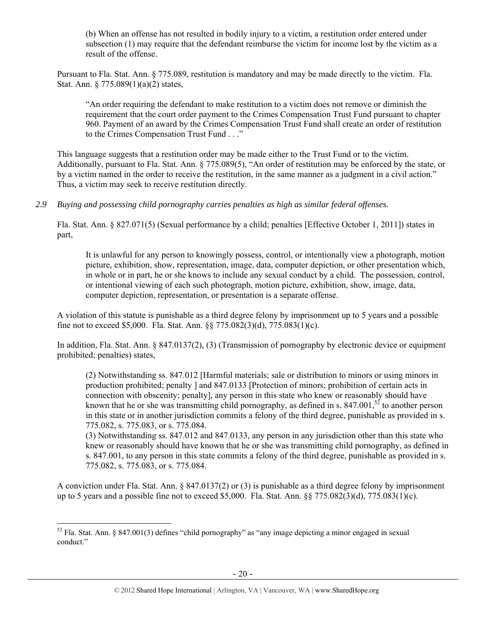(b) When an offense has not resulted in bodily injury to a victim, a restitution order entered under subsection (1) may require that the defendant reimburse the victim for income lost by the victim as a result of the offense.

Pursuant to Fla. Stat. Ann. § 775.089, restitution is mandatory and may be made directly to the victim. Fla. Stat. Ann. § 775.089(1)(a)(2) states,

"An order requiring the defendant to make restitution to a victim does not remove or diminish the requirement that the court order payment to the Crimes Compensation Trust Fund pursuant to chapter 960. Payment of an award by the Crimes Compensation Trust Fund shall create an order of restitution to the Crimes Compensation Trust Fund . . ."

This language suggests that a restitution order may be made either to the Trust Fund or to the victim. Additionally, pursuant to Fla. Stat. Ann. § 775.089(5), "An order of restitution may be enforced by the state, or by a victim named in the order to receive the restitution, in the same manner as a judgment in a civil action." Thus, a victim may seek to receive restitution directly.

*2.9 Buying and possessing child pornography carries penalties as high as similar federal offenses.* 

Fla. Stat. Ann. § 827.071(5) (Sexual performance by a child; penalties [Effective October 1, 2011]) states in part,

It is unlawful for any person to knowingly possess, control, or intentionally view a photograph, motion picture, exhibition, show, representation, image, data, computer depiction, or other presentation which, in whole or in part, he or she knows to include any sexual conduct by a child. The possession, control, or intentional viewing of each such photograph, motion picture, exhibition, show, image, data, computer depiction, representation, or presentation is a separate offense.

A violation of this statute is punishable as a third degree felony by imprisonment up to 5 years and a possible fine not to exceed \$5,000. Fla. Stat. Ann. §§ 775.082(3)(d), 775.083(1)(c).

In addition, Fla. Stat. Ann. § 847.0137(2), (3) (Transmission of pornography by electronic device or equipment prohibited; penalties) states,

(2) Notwithstanding ss. 847.012 [Harmful materials; sale or distribution to minors or using minors in production prohibited; penalty ] and 847.0133 [Protection of minors; prohibition of certain acts in connection with obscenity; penalty], any person in this state who knew or reasonably should have known that he or she was transmitting child pornography, as defined in s.  $847.001$ ,<sup>52</sup> to another person in this state or in another jurisdiction commits a felony of the third degree, punishable as provided in s. 775.082, s. 775.083, or s. 775.084.

(3) Notwithstanding ss. 847.012 and 847.0133, any person in any jurisdiction other than this state who knew or reasonably should have known that he or she was transmitting child pornography, as defined in s. 847.001, to any person in this state commits a felony of the third degree, punishable as provided in s. 775.082, s. 775.083, or s. 775.084.

A conviction under Fla. Stat. Ann. § 847.0137(2) or (3) is punishable as a third degree felony by imprisonment up to 5 years and a possible fine not to exceed \$5,000. Fla. Stat. Ann.  $\S 775.082(3)(d)$ , 775.083(1)(c).

 $52$  Fla. Stat. Ann. § 847.001(3) defines "child pornography" as "any image depicting a minor engaged in sexual conduct."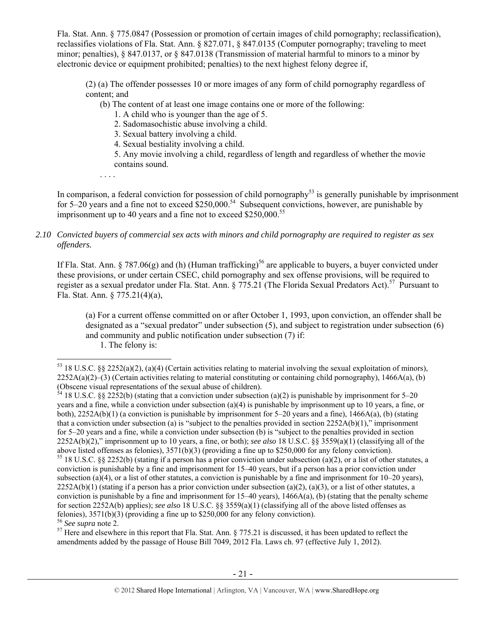Fla. Stat. Ann. § 775.0847 (Possession or promotion of certain images of child pornography; reclassification), reclassifies violations of Fla. Stat. Ann. § 827.071, § 847.0135 (Computer pornography; traveling to meet minor; penalties), § 847.0137, or § 847.0138 (Transmission of material harmful to minors to a minor by electronic device or equipment prohibited; penalties) to the next highest felony degree if,

(2) (a) The offender possesses 10 or more images of any form of child pornography regardless of content; and

(b) The content of at least one image contains one or more of the following:

- 1. A child who is younger than the age of 5.
- 2. Sadomasochistic abuse involving a child.
- 3. Sexual battery involving a child.
- 4. Sexual bestiality involving a child.

5. Any movie involving a child, regardless of length and regardless of whether the movie contains sound.

. . . .

In comparison, a federal conviction for possession of child pornography<sup>53</sup> is generally punishable by imprisonment for 5–20 years and a fine not to exceed \$250,000.<sup>54</sup> Subsequent convictions, however, are punishable by imprisonment up to 40 years and a fine not to exceed  $$250,000.<sup>55</sup>$ 

## *2.10 Convicted buyers of commercial sex acts with minors and child pornography are required to register as sex offenders.*

If Fla. Stat. Ann. § 787.06(g) and (h) (Human trafficking)<sup>56</sup> are applicable to buyers, a buyer convicted under these provisions, or under certain CSEC, child pornography and sex offense provisions, will be required to register as a sexual predator under Fla. Stat. Ann. § 775.21 (The Florida Sexual Predators Act).<sup>57</sup> Pursuant to Fla. Stat. Ann. § 775.21(4)(a),

(a) For a current offense committed on or after October 1, 1993, upon conviction, an offender shall be designated as a "sexual predator" under subsection (5), and subject to registration under subsection (6) and community and public notification under subsection (7) if:

1. The felony is:

<sup>57</sup> Here and elsewhere in this report that Fla. Stat. Ann. § 775.21 is discussed, it has been updated to reflect the amendments added by the passage of House Bill 7049, 2012 Fla. Laws ch. 97 (effective July 1, 2012).

 $\overline{a}$ 53 18 U.S.C. §§ 2252(a)(2), (a)(4) (Certain activities relating to material involving the sexual exploitation of minors),  $2252A(a)(2)$ –(3) (Certain activities relating to material constituting or containing child pornography), 1466A(a), (b) (Obscene visual representations of the sexual abuse of children).

 $54$  18 U.S.C. §§ 2252(b) (stating that a conviction under subsection (a)(2) is punishable by imprisonment for 5–20 years and a fine, while a conviction under subsection (a)(4) is punishable by imprisonment up to 10 years, a fine, or both), 2252A(b)(1) (a conviction is punishable by imprisonment for 5–20 years and a fine), 1466A(a), (b) (stating that a conviction under subsection (a) is "subject to the penalties provided in section  $2252A(b)(1)$ ," imprisonment for 5–20 years and a fine, while a conviction under subsection (b) is "subject to the penalties provided in section 2252A(b)(2)," imprisonment up to 10 years, a fine, or both); *see also* 18 U.S.C. §§ 3559(a)(1) (classifying all of the above listed offenses as felonies), 3571(b)(3) (providing a fine up to \$250,000 for any felony conviction).

<sup>55 18</sup> U.S.C. §§ 2252(b) (stating if a person has a prior conviction under subsection (a)(2), or a list of other statutes, a conviction is punishable by a fine and imprisonment for 15–40 years, but if a person has a prior conviction under subsection (a)(4), or a list of other statutes, a conviction is punishable by a fine and imprisonment for  $10-20$  years),  $2252A(b)(1)$  (stating if a person has a prior conviction under subsection (a)(2), (a)(3), or a list of other statutes, a conviction is punishable by a fine and imprisonment for  $15-40$  years),  $1466A(a)$ , (b) (stating that the penalty scheme for section 2252A(b) applies); *see also* 18 U.S.C. §§ 3559(a)(1) (classifying all of the above listed offenses as felonies), 3571(b)(3) (providing a fine up to \$250,000 for any felony conviction).<br><sup>56</sup> See supra note 2.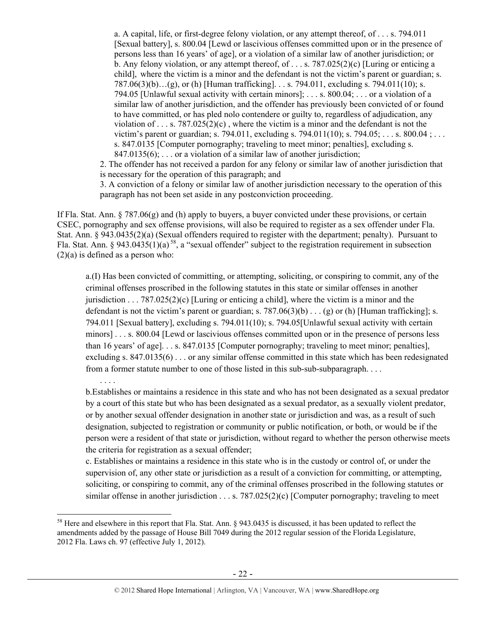a. A capital, life, or first-degree felony violation, or any attempt thereof, of . . . s. 794.011 [Sexual battery], s. 800.04 [Lewd or lascivious offenses committed upon or in the presence of persons less than 16 years' of age], or a violation of a similar law of another jurisdiction; or b. Any felony violation, or any attempt thereof, of ... s.  $787.025(2)(c)$  [Luring or enticing a child], where the victim is a minor and the defendant is not the victim's parent or guardian; s. 787.06(3)(b)…(g), or (h) [Human trafficking]. . . s. 794.011, excluding s. 794.011(10); s. 794.05 [Unlawful sexual activity with certain minors]; . . . s. 800.04; . . . or a violation of a similar law of another jurisdiction, and the offender has previously been convicted of or found to have committed, or has pled nolo contendere or guilty to, regardless of adjudication, any violation of ... s. 787.025(2)(c), where the victim is a minor and the defendant is not the victim's parent or guardian; s. 794.011, excluding s. 794.011(10); s. 794.05; . . . s. 800.04; . . . s. 847.0135 [Computer pornography; traveling to meet minor; penalties], excluding s.  $847.0135(6)$ ; ... or a violation of a similar law of another jurisdiction;

2. The offender has not received a pardon for any felony or similar law of another jurisdiction that is necessary for the operation of this paragraph; and

3. A conviction of a felony or similar law of another jurisdiction necessary to the operation of this paragraph has not been set aside in any postconviction proceeding.

If Fla. Stat. Ann. § 787.06(g) and (h) apply to buyers, a buyer convicted under these provisions, or certain CSEC, pornography and sex offense provisions, will also be required to register as a sex offender under Fla. Stat. Ann. § 943.0435(2)(a) (Sexual offenders required to register with the department; penalty). Pursuant to Fla. Stat. Ann. § 943.0435(1)(a)<sup>58</sup>, a "sexual offender" subject to the registration requirement in subsection  $(2)(a)$  is defined as a person who:

a.(I) Has been convicted of committing, or attempting, soliciting, or conspiring to commit, any of the criminal offenses proscribed in the following statutes in this state or similar offenses in another jurisdiction  $\ldots$  787.025(2)(c) [Luring or enticing a child], where the victim is a minor and the defendant is not the victim's parent or guardian; s. 787.06(3)(b) . . . (g) or (h) [Human trafficking]; s. 794.011 [Sexual battery], excluding s. 794.011(10); s. 794.05[Unlawful sexual activity with certain minors] . . . s. 800.04 [Lewd or lascivious offenses committed upon or in the presence of persons less than 16 years' of age]. . . s. 847.0135 [Computer pornography; traveling to meet minor; penalties], excluding s. 847.0135(6) . . . or any similar offense committed in this state which has been redesignated from a former statute number to one of those listed in this sub-sub-subparagraph. . . .

. . . .

b.Establishes or maintains a residence in this state and who has not been designated as a sexual predator by a court of this state but who has been designated as a sexual predator, as a sexually violent predator, or by another sexual offender designation in another state or jurisdiction and was, as a result of such designation, subjected to registration or community or public notification, or both, or would be if the person were a resident of that state or jurisdiction, without regard to whether the person otherwise meets the criteria for registration as a sexual offender;

c. Establishes or maintains a residence in this state who is in the custody or control of, or under the supervision of, any other state or jurisdiction as a result of a conviction for committing, or attempting, soliciting, or conspiring to commit, any of the criminal offenses proscribed in the following statutes or similar offense in another jurisdiction  $\ldots$  s. 787.025(2)(c) [Computer pornography; traveling to meet

 $\overline{a}$ <sup>58</sup> Here and elsewhere in this report that Fla. Stat. Ann. § 943.0435 is discussed, it has been updated to reflect the amendments added by the passage of House Bill 7049 during the 2012 regular session of the Florida Legislature, 2012 Fla. Laws ch. 97 (effective July 1, 2012).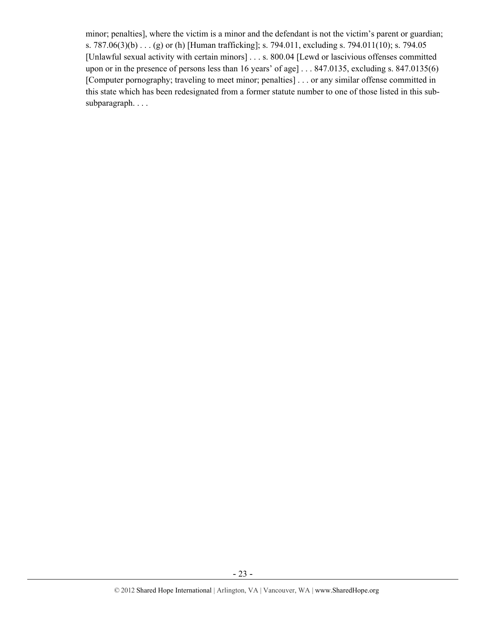minor; penalties], where the victim is a minor and the defendant is not the victim's parent or guardian; s. 787.06(3)(b) . . . (g) or (h) [Human trafficking]; s. 794.011, excluding s. 794.011(10); s. 794.05 [Unlawful sexual activity with certain minors] . . . s. 800.04 [Lewd or lascivious offenses committed upon or in the presence of persons less than 16 years' of age] . . . 847.0135, excluding s. 847.0135(6) [Computer pornography; traveling to meet minor; penalties] . . . or any similar offense committed in this state which has been redesignated from a former statute number to one of those listed in this subsubparagraph. . . .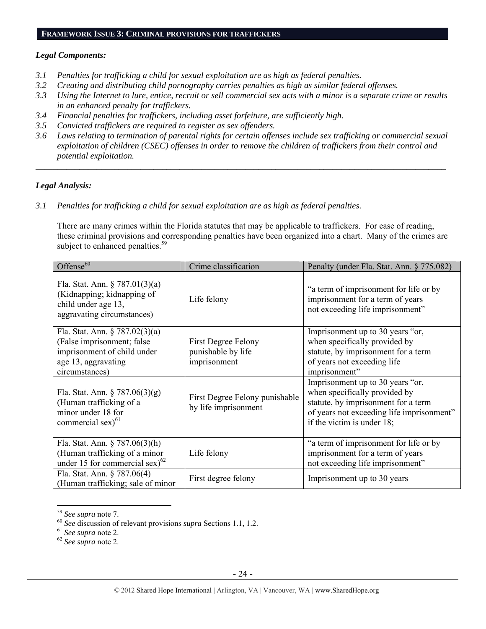#### **FRAMEWORK ISSUE 3: CRIMINAL PROVISIONS FOR TRAFFICKERS**

#### *Legal Components:*

- *3.1 Penalties for trafficking a child for sexual exploitation are as high as federal penalties.*
- *3.2 Creating and distributing child pornography carries penalties as high as similar federal offenses.*
- *3.3 Using the Internet to lure, entice, recruit or sell commercial sex acts with a minor is a separate crime or results in an enhanced penalty for traffickers.*
- *3.4 Financial penalties for traffickers, including asset forfeiture, are sufficiently high.*
- *3.5 Convicted traffickers are required to register as sex offenders.*
- *3.6 Laws relating to termination of parental rights for certain offenses include sex trafficking or commercial sexual exploitation of children (CSEC) offenses in order to remove the children of traffickers from their control and potential exploitation.*

*\_\_\_\_\_\_\_\_\_\_\_\_\_\_\_\_\_\_\_\_\_\_\_\_\_\_\_\_\_\_\_\_\_\_\_\_\_\_\_\_\_\_\_\_\_\_\_\_\_\_\_\_\_\_\_\_\_\_\_\_\_\_\_\_\_\_\_\_\_\_\_\_\_\_\_\_\_\_\_\_\_\_\_\_\_\_\_\_\_\_\_\_\_\_* 

#### *Legal Analysis:*

*3.1 Penalties for trafficking a child for sexual exploitation are as high as federal penalties.* 

There are many crimes within the Florida statutes that may be applicable to traffickers. For ease of reading, these criminal provisions and corresponding penalties have been organized into a chart. Many of the crimes are subject to enhanced penalties.<sup>59</sup>

| Offense $60$                                                                                                                                                                                                                                             | Crime classification                                                                                                       | Penalty (under Fla. Stat. Ann. § 775.082)                                                                                                                                                                                                                                                                                                       |
|----------------------------------------------------------------------------------------------------------------------------------------------------------------------------------------------------------------------------------------------------------|----------------------------------------------------------------------------------------------------------------------------|-------------------------------------------------------------------------------------------------------------------------------------------------------------------------------------------------------------------------------------------------------------------------------------------------------------------------------------------------|
| Fla. Stat. Ann. $\S 787.01(3)(a)$<br>(Kidnapping; kidnapping of<br>child under age 13,<br>aggravating circumstances)                                                                                                                                     | Life felony                                                                                                                | "a term of imprisonment for life or by<br>imprisonment for a term of years<br>not exceeding life imprisonment"                                                                                                                                                                                                                                  |
| Fla. Stat. Ann. $\S 787.02(3)(a)$<br>(False imprisonment; false<br>imprisonment of child under<br>age 13, aggravating<br>circumstances)<br>Fla. Stat. Ann. $\S 787.06(3)(g)$<br>(Human trafficking of a<br>minor under 18 for<br>commercial sex $)^{61}$ | <b>First Degree Felony</b><br>punishable by life<br>imprisonment<br>First Degree Felony punishable<br>by life imprisonment | Imprisonment up to 30 years "or,<br>when specifically provided by<br>statute, by imprisonment for a term<br>of years not exceeding life<br>imprisonment"<br>Imprisonment up to 30 years "or,<br>when specifically provided by<br>statute, by imprisonment for a term<br>of years not exceeding life imprisonment"<br>if the victim is under 18; |
| Fla. Stat. Ann. $\S 787.06(3)(h)$<br>(Human trafficking of a minor<br>under 15 for commercial sex $)^{62}$                                                                                                                                               | Life felony                                                                                                                | "a term of imprisonment for life or by<br>imprisonment for a term of years<br>not exceeding life imprisonment"                                                                                                                                                                                                                                  |
| Fla. Stat. Ann. $\S 787.06(4)$<br>(Human trafficking; sale of minor                                                                                                                                                                                      | First degree felony                                                                                                        | Imprisonment up to 30 years                                                                                                                                                                                                                                                                                                                     |

<sup>59</sup> *See supra* note 7. 60 *See* discussion of relevant provisions *supra* Sections 1.1, 1.2. 61 *See supra* note 2. 62 *See supra* note 2.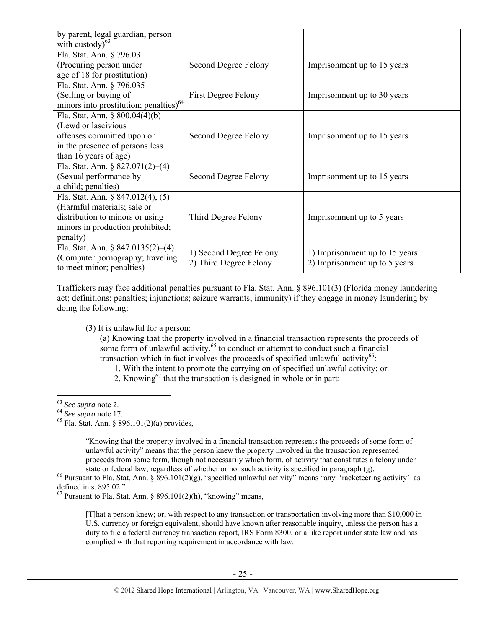| by parent, legal guardian, person                  |                         |                                |
|----------------------------------------------------|-------------------------|--------------------------------|
| with custody) $^{63}$                              |                         |                                |
| Fla. Stat. Ann. § 796.03                           |                         |                                |
| (Procuring person under                            | Second Degree Felony    | Imprisonment up to 15 years    |
| age of 18 for prostitution)                        |                         |                                |
| Fla. Stat. Ann. § 796.035                          |                         |                                |
| (Selling or buying of                              | First Degree Felony     | Imprisonment up to 30 years    |
| minors into prostitution; penalties) <sup>64</sup> |                         |                                |
| Fla. Stat. Ann. § 800.04(4)(b)                     |                         |                                |
| (Lewd or lascivious                                |                         |                                |
| offenses committed upon or                         | Second Degree Felony    | Imprisonment up to 15 years    |
| in the presence of persons less                    |                         |                                |
| than 16 years of age)                              |                         |                                |
| Fla. Stat. Ann. § $827.071(2)–(4)$                 |                         |                                |
| (Sexual performance by                             | Second Degree Felony    | Imprisonment up to 15 years    |
| a child; penalties)                                |                         |                                |
| Fla. Stat. Ann. $\S 847.012(4)$ , (5)              |                         |                                |
| (Harmful materials; sale or                        |                         |                                |
| distribution to minors or using                    | Third Degree Felony     | Imprisonment up to 5 years     |
| minors in production prohibited;                   |                         |                                |
| penalty)                                           |                         |                                |
| Fla. Stat. Ann. $\S$ 847.0135(2)–(4)               | 1) Second Degree Felony | 1) Imprisonment up to 15 years |
| (Computer pornography; traveling                   | 2) Third Degree Felony  | 2) Imprisonment up to 5 years  |
| to meet minor; penalties)                          |                         |                                |

Traffickers may face additional penalties pursuant to Fla. Stat. Ann. § 896.101(3) (Florida money laundering act; definitions; penalties; injunctions; seizure warrants; immunity) if they engage in money laundering by doing the following:

(3) It is unlawful for a person:

(a) Knowing that the property involved in a financial transaction represents the proceeds of some form of unlawful activity,  $65$  to conduct or attempt to conduct such a financial transaction which in fact involves the proceeds of specified unlawful activity $66$ :

1. With the intent to promote the carrying on of specified unlawful activity; or

2. Knowing<sup> $67$ </sup> that the transaction is designed in whole or in part:

"Knowing that the property involved in a financial transaction represents the proceeds of some form of unlawful activity" means that the person knew the property involved in the transaction represented proceeds from some form, though not necessarily which form, of activity that constitutes a felony under state or federal law, regardless of whether or not such activity is specified in paragraph (g).

[T]hat a person knew; or, with respect to any transaction or transportation involving more than \$10,000 in U.S. currency or foreign equivalent, should have known after reasonable inquiry, unless the person has a duty to file a federal currency transaction report, IRS Form 8300, or a like report under state law and has complied with that reporting requirement in accordance with law.

 $63$  See supra note 2.

<sup>63</sup> *See supra* note 2. 64 *See supra* note 17. 65 Fla. Stat. Ann. § 896.101(2)(a) provides,

<sup>&</sup>lt;sup>66</sup> Pursuant to Fla. Stat. Ann. § 896.101(2)(g), "specified unlawful activity" means "any 'racketeering activity' as defined in s. 895.02."

 $^{67}$  Pursuant to Fla. Stat. Ann. § 896.101(2)(h), "knowing" means,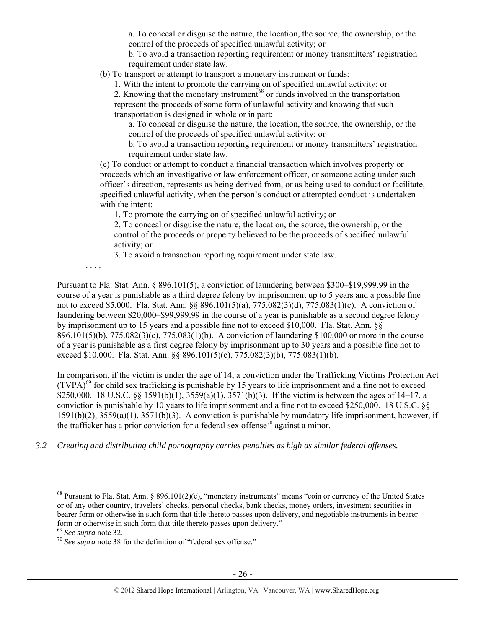a. To conceal or disguise the nature, the location, the source, the ownership, or the control of the proceeds of specified unlawful activity; or

b. To avoid a transaction reporting requirement or money transmitters' registration requirement under state law.

(b) To transport or attempt to transport a monetary instrument or funds:

1. With the intent to promote the carrying on of specified unlawful activity; or

2. Knowing that the monetary instrument $68$  or funds involved in the transportation represent the proceeds of some form of unlawful activity and knowing that such transportation is designed in whole or in part:

a. To conceal or disguise the nature, the location, the source, the ownership, or the control of the proceeds of specified unlawful activity; or

b. To avoid a transaction reporting requirement or money transmitters' registration requirement under state law.

(c) To conduct or attempt to conduct a financial transaction which involves property or proceeds which an investigative or law enforcement officer, or someone acting under such officer's direction, represents as being derived from, or as being used to conduct or facilitate, specified unlawful activity, when the person's conduct or attempted conduct is undertaken with the intent:

1. To promote the carrying on of specified unlawful activity; or

2. To conceal or disguise the nature, the location, the source, the ownership, or the control of the proceeds or property believed to be the proceeds of specified unlawful activity; or

3. To avoid a transaction reporting requirement under state law.

. . . .

Pursuant to Fla. Stat. Ann. § 896.101(5), a conviction of laundering between \$300–\$19,999.99 in the course of a year is punishable as a third degree felony by imprisonment up to 5 years and a possible fine not to exceed \$5,000. Fla. Stat. Ann. §§ 896.101(5)(a), 775.082(3)(d), 775.083(1)(c). A conviction of laundering between \$20,000–\$99,999.99 in the course of a year is punishable as a second degree felony by imprisonment up to 15 years and a possible fine not to exceed \$10,000. Fla. Stat. Ann. §§ 896.101(5)(b), 775.082(3)(c), 775.083(1)(b). A conviction of laundering \$100,000 or more in the course of a year is punishable as a first degree felony by imprisonment up to 30 years and a possible fine not to exceed \$10,000. Fla. Stat. Ann. §§ 896.101(5)(c), 775.082(3)(b), 775.083(1)(b).

In comparison, if the victim is under the age of 14, a conviction under the Trafficking Victims Protection Act  $(TVPA)<sup>69</sup>$  for child sex trafficking is punishable by 15 years to life imprisonment and a fine not to exceed \$250,000. 18 U.S.C. §§ 1591(b)(1), 3559(a)(1), 3571(b)(3). If the victim is between the ages of 14–17, a conviction is punishable by 10 years to life imprisonment and a fine not to exceed \$250,000. 18 U.S.C. §§ 1591(b)(2), 3559(a)(1), 3571(b)(3). A conviction is punishable by mandatory life imprisonment, however, if the trafficker has a prior conviction for a federal sex offense<sup>70</sup> against a minor.

*3.2 Creating and distributing child pornography carries penalties as high as similar federal offenses.* 

 $68$  Pursuant to Fla. Stat. Ann. § 896.101(2)(e), "monetary instruments" means "coin or currency of the United States or of any other country, travelers' checks, personal checks, bank checks, money orders, investment securities in bearer form or otherwise in such form that title thereto passes upon delivery, and negotiable instruments in bearer form or otherwise in such form that title thereto passes upon delivery."<br><sup>69</sup> See supra note 32.

<sup>&</sup>lt;sup>70</sup> See supra note 38 for the definition of "federal sex offense."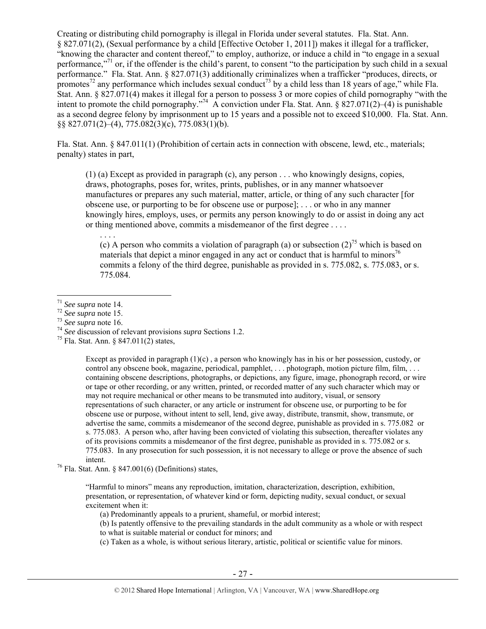Creating or distributing child pornography is illegal in Florida under several statutes. Fla. Stat. Ann. § 827.071(2), (Sexual performance by a child [Effective October 1, 2011]) makes it illegal for a trafficker, "knowing the character and content thereof," to employ, authorize, or induce a child in "to engage in a sexual performance,"71 or, if the offender is the child's parent, to consent "to the participation by such child in a sexual performance." Fla. Stat. Ann. § 827.071(3) additionally criminalizes when a trafficker "produces, directs, or promotes<sup>72</sup> any performance which includes sexual conduct<sup>73</sup> by a child less than 18 years of age," while Fla. Stat. Ann. § 827.071(4) makes it illegal for a person to possess 3 or more copies of child pornography "with the intent to promote the child pornography."<sup>74</sup> A conviction under Fla. Stat. Ann. § 827.071(2)–(4) is punishable as a second degree felony by imprisonment up to 15 years and a possible not to exceed \$10,000. Fla. Stat. Ann. §§ 827.071(2)–(4), 775.082(3)(c), 775.083(1)(b).

Fla. Stat. Ann. § 847.011(1) (Prohibition of certain acts in connection with obscene, lewd, etc., materials; penalty) states in part,

(1) (a) Except as provided in paragraph (c), any person . . . who knowingly designs, copies, draws, photographs, poses for, writes, prints, publishes, or in any manner whatsoever manufactures or prepares any such material, matter, article, or thing of any such character [for obscene use, or purporting to be for obscene use or purpose]; . . . or who in any manner knowingly hires, employs, uses, or permits any person knowingly to do or assist in doing any act or thing mentioned above, commits a misdemeanor of the first degree . . . .

(c) A person who commits a violation of paragraph (a) or subsection  $(2)^{75}$  which is based on materials that depict a minor engaged in any act or conduct that is harmful to minors<sup>76</sup> commits a felony of the third degree, punishable as provided in s. 775.082, s. 775.083, or s. 775.084.

Except as provided in paragraph  $(1)(c)$ , a person who knowingly has in his or her possession, custody, or control any obscene book, magazine, periodical, pamphlet, . . . photograph, motion picture film, film, . . . containing obscene descriptions, photographs, or depictions, any figure, image, phonograph record, or wire or tape or other recording, or any written, printed, or recorded matter of any such character which may or may not require mechanical or other means to be transmuted into auditory, visual, or sensory representations of such character, or any article or instrument for obscene use, or purporting to be for obscene use or purpose, without intent to sell, lend, give away, distribute, transmit, show, transmute, or advertise the same, commits a misdemeanor of the second degree, punishable as provided in s. 775.082 or s. 775.083. A person who, after having been convicted of violating this subsection, thereafter violates any of its provisions commits a misdemeanor of the first degree, punishable as provided in s. 775.082 or s. 775.083. In any prosecution for such possession, it is not necessary to allege or prove the absence of such

intent.<br><sup>76</sup> Fla. Stat. Ann. § 847.001(6) (Definitions) states,

"Harmful to minors" means any reproduction, imitation, characterization, description, exhibition, presentation, or representation, of whatever kind or form, depicting nudity, sexual conduct, or sexual excitement when it:

(a) Predominantly appeals to a prurient, shameful, or morbid interest;

(b) Is patently offensive to the prevailing standards in the adult community as a whole or with respect to what is suitable material or conduct for minors; and

(c) Taken as a whole, is without serious literary, artistic, political or scientific value for minors.

 $71$  See supra note 14.

<sup>&</sup>lt;sup>72</sup> *See supra* note 15.<br><sup>73</sup> *See supra* note 16.<br><sup>74</sup> *See* discussion of relevant provisions *supra* Sections 1.2.<br><sup>75</sup> Fla. Stat. Ann. § 847.011(2) states,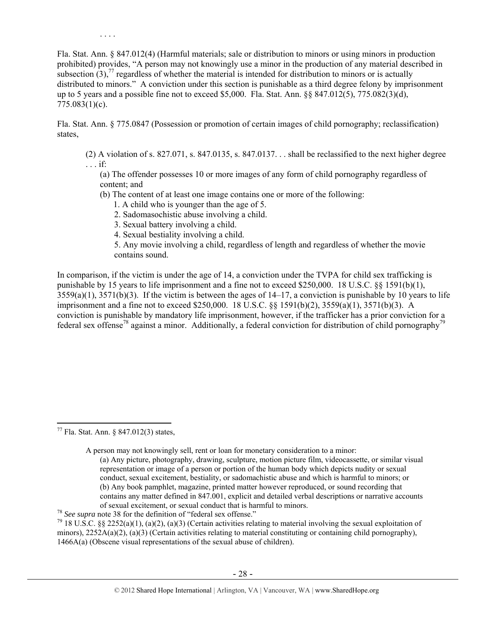Fla. Stat. Ann. § 847.012(4) (Harmful materials; sale or distribution to minors or using minors in production prohibited) provides, "A person may not knowingly use a minor in the production of any material described in subsection  $(3)$ ,<sup>77</sup> regardless of whether the material is intended for distribution to minors or is actually distributed to minors." A conviction under this section is punishable as a third degree felony by imprisonment up to 5 years and a possible fine not to exceed \$5,000. Fla. Stat. Ann. §§ 847.012(5), 775.082(3)(d), 775.083(1)(c).

Fla. Stat. Ann. § 775.0847 (Possession or promotion of certain images of child pornography; reclassification) states,

(2) A violation of s. 827.071, s. 847.0135, s. 847.0137. . . shall be reclassified to the next higher degree . . . if:

(a) The offender possesses 10 or more images of any form of child pornography regardless of content; and

(b) The content of at least one image contains one or more of the following:

1. A child who is younger than the age of 5.

2. Sadomasochistic abuse involving a child.

3. Sexual battery involving a child.

4. Sexual bestiality involving a child.

5. Any movie involving a child, regardless of length and regardless of whether the movie contains sound.

In comparison, if the victim is under the age of 14, a conviction under the TVPA for child sex trafficking is punishable by 15 years to life imprisonment and a fine not to exceed \$250,000. 18 U.S.C. §§ 1591(b)(1),  $3559(a)(1)$ ,  $3571(b)(3)$ . If the victim is between the ages of  $14-17$ , a conviction is punishable by 10 years to life imprisonment and a fine not to exceed \$250,000. 18 U.S.C. §§ 1591(b)(2), 3559(a)(1), 3571(b)(3). A conviction is punishable by mandatory life imprisonment, however, if the trafficker has a prior conviction for a federal sex offense<sup>78</sup> against a minor. Additionally, a federal conviction for distribution of child pornography<sup>79</sup>

 $\overline{a}$  $77$  Fla. Stat. Ann. § 847.012(3) states,

. . . .

A person may not knowingly sell, rent or loan for monetary consideration to a minor:

(a) Any picture, photography, drawing, sculpture, motion picture film, videocassette, or similar visual representation or image of a person or portion of the human body which depicts nudity or sexual conduct, sexual excitement, bestiality, or sadomachistic abuse and which is harmful to minors; or (b) Any book pamphlet, magazine, printed matter however reproduced, or sound recording that contains any matter defined in 847.001, explicit and detailed verbal descriptions or narrative accounts of sexual excitement, or sexual conduct that is harmful to minors.<br><sup>78</sup> See supra note 38 for the definition of "federal sex offense."<br><sup>79</sup> 18 U.S.C. §§ 2252(a)(1), (a)(2), (a)(3) (Certain activities relating to material

minors),  $2252A(a)(2)$ ,  $(a)(3)$  (Certain activities relating to material constituting or containing child pornography), 1466A(a) (Obscene visual representations of the sexual abuse of children).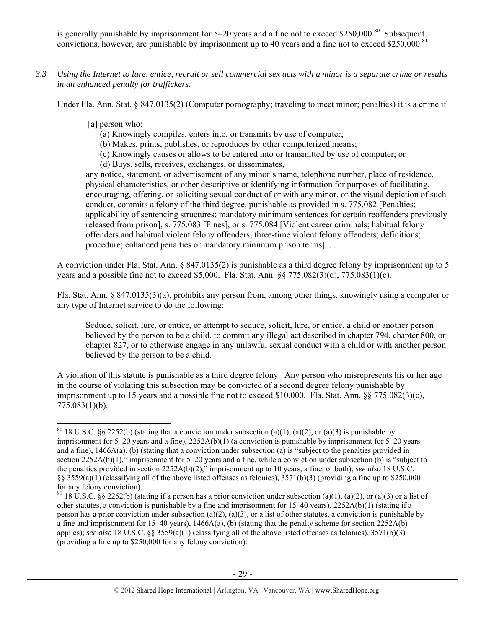is generally punishable by imprisonment for  $5-20$  years and a fine not to exceed \$250,000.<sup>80</sup> Subsequent convictions, however, are punishable by imprisonment up to 40 years and a fine not to exceed \$250,000.<sup>81</sup>

*3.3 Using the Internet to lure, entice, recruit or sell commercial sex acts with a minor is a separate crime or results in an enhanced penalty for traffickers.* 

Under Fla. Ann. Stat. § 847.0135(2) (Computer pornography; traveling to meet minor; penalties) it is a crime if

## [a] person who:

- (a) Knowingly compiles, enters into, or transmits by use of computer;
- (b) Makes, prints, publishes, or reproduces by other computerized means;
- (c) Knowingly causes or allows to be entered into or transmitted by use of computer; or
- (d) Buys, sells, receives, exchanges, or disseminates,

any notice, statement, or advertisement of any minor's name, telephone number, place of residence, physical characteristics, or other descriptive or identifying information for purposes of facilitating, encouraging, offering, or soliciting sexual conduct of or with any minor, or the visual depiction of such conduct, commits a felony of the third degree, punishable as provided in s. 775.082 [Penalties; applicability of sentencing structures; mandatory minimum sentences for certain reoffenders previously released from prison], s. 775.083 [Fines], or s. 775.084 [Violent career criminals; habitual felony offenders and habitual violent felony offenders; three-time violent felony offenders; definitions; procedure; enhanced penalties or mandatory minimum prison terms]. . . .

A conviction under Fla. Stat. Ann. § 847.0135(2) is punishable as a third degree felony by imprisonment up to 5 years and a possible fine not to exceed \$5,000. Fla. Stat. Ann. §§ 775.082(3)(d), 775.083(1)(c).

Fla. Stat. Ann. § 847.0135(3)(a), prohibits any person from, among other things, knowingly using a computer or any type of Internet service to do the following:

Seduce, solicit, lure, or entice, or attempt to seduce, solicit, lure, or entice, a child or another person believed by the person to be a child, to commit any illegal act described in chapter 794, chapter 800, or chapter 827, or to otherwise engage in any unlawful sexual conduct with a child or with another person believed by the person to be a child.

A violation of this statute is punishable as a third degree felony. Any person who misrepresents his or her age in the course of violating this subsection may be convicted of a second degree felony punishable by imprisonment up to 15 years and a possible fine not to exceed \$10,000. Fla. Stat. Ann. §§ 775.082(3)(c), 775.083(1)(b).

 $\overline{a}$ <sup>80</sup> 18 U.S.C. §§ 2252(b) (stating that a conviction under subsection (a)(1), (a)(2), or (a)(3) is punishable by imprisonment for 5–20 years and a fine), 2252A(b)(1) (a conviction is punishable by imprisonment for 5–20 years and a fine), 1466A(a), (b) (stating that a conviction under subsection (a) is "subject to the penalties provided in section 2252A(b)(1)," imprisonment for 5–20 years and a fine, while a conviction under subsection (b) is "subject to the penalties provided in section 2252A(b)(2)," imprisonment up to 10 years, a fine, or both); *see also* 18 U.S.C. §§ 3559(a)(1) (classifying all of the above listed offenses as felonies),  $3571(b)(3)$  (providing a fine up to \$250,000 for any felony conviction).

<sup>&</sup>lt;sup>81</sup> 18 U.S.C. §§ 2252(b) (stating if a person has a prior conviction under subsection (a)(1), (a)(2), or (a)(3) or a list of other statutes, a conviction is punishable by a fine and imprisonment for  $15-40$  years),  $2252A(b)(1)$  (stating if a person has a prior conviction under subsection (a)(2), (a)(3), or a list of other statutes, a conviction is punishable by a fine and imprisonment for 15–40 years),  $1466A(a)$ , (b) (stating that the penalty scheme for section 2252A(b) applies); *see also* 18 U.S.C. §§ 3559(a)(1) (classifying all of the above listed offenses as felonies), 3571(b)(3) (providing a fine up to \$250,000 for any felony conviction).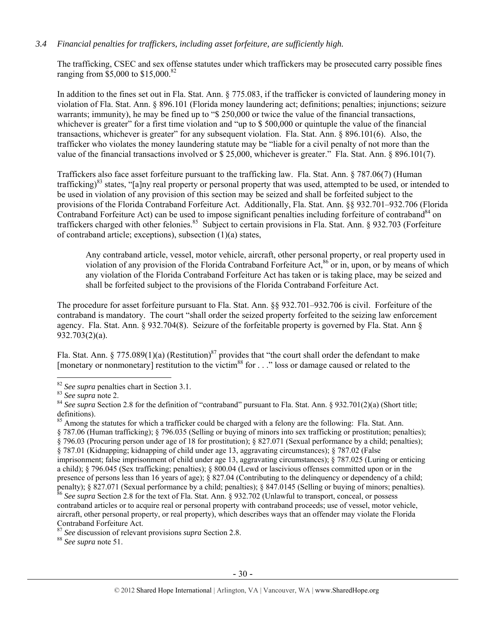## *3.4 Financial penalties for traffickers, including asset forfeiture, are sufficiently high.*

The trafficking, CSEC and sex offense statutes under which traffickers may be prosecuted carry possible fines ranging from \$5,000 to \$15,000.<sup>82</sup>

In addition to the fines set out in Fla. Stat. Ann. § 775.083, if the trafficker is convicted of laundering money in violation of Fla. Stat. Ann. § 896.101 (Florida money laundering act; definitions; penalties; injunctions; seizure warrants; immunity), he may be fined up to "\$ 250,000 or twice the value of the financial transactions, whichever is greater" for a first time violation and "up to \$500,000 or quintuple the value of the financial transactions, whichever is greater" for any subsequent violation. Fla. Stat. Ann. § 896.101(6). Also, the trafficker who violates the money laundering statute may be "liable for a civil penalty of not more than the value of the financial transactions involved or \$ 25,000, whichever is greater." Fla. Stat. Ann. § 896.101(7).

Traffickers also face asset forfeiture pursuant to the trafficking law. Fla. Stat. Ann. § 787.06(7) (Human trafficking)<sup>83</sup> states, "[a]ny real property or personal property that was used, attempted to be used, or intended to be used in violation of any provision of this section may be seized and shall be forfeited subject to the provisions of the Florida Contraband Forfeiture Act. Additionally, Fla. Stat. Ann. §§ 932.701–932.706 (Florida Contraband Forfeiture Act) can be used to impose significant penalties including forfeiture of contraband $^{84}$  on traffickers charged with other felonies.85 Subject to certain provisions in Fla. Stat. Ann. § 932.703 (Forfeiture of contraband article; exceptions), subsection (1)(a) states,

Any contraband article, vessel, motor vehicle, aircraft, other personal property, or real property used in violation of any provision of the Florida Contraband Forfeiture Act,<sup>86</sup> or in, upon, or by means of which any violation of the Florida Contraband Forfeiture Act has taken or is taking place, may be seized and shall be forfeited subject to the provisions of the Florida Contraband Forfeiture Act.

The procedure for asset forfeiture pursuant to Fla. Stat. Ann. §§ 932.701–932.706 is civil. Forfeiture of the contraband is mandatory. The court "shall order the seized property forfeited to the seizing law enforcement agency. Fla. Stat. Ann. § 932.704(8). Seizure of the forfeitable property is governed by Fla. Stat. Ann § 932.703(2)(a).

Fla. Stat. Ann. § 775.089(1)(a) (Restitution)<sup>87</sup> provides that "the court shall order the defendant to make [monetary or nonmonetary] restitution to the victim<sup>88</sup> for  $\ldots$  " loss or damage caused or related to the

 $82$  See supra penalties chart in Section 3.1.

<sup>&</sup>lt;sup>83</sup> *See supra* note 2.<br><sup>84</sup> *See supra* Section 2.8 for the definition of "contraband" pursuant to Fla. Stat. Ann. § 932.701(2)(a) (Short title; definitions).

<sup>&</sup>lt;sup>85</sup> Among the statutes for which a trafficker could be charged with a felony are the following: Fla. Stat. Ann.

<sup>§ 787.06 (</sup>Human trafficking); § 796.035 (Selling or buying of minors into sex trafficking or prostitution; penalties);

<sup>§ 796.03 (</sup>Procuring person under age of 18 for prostitution); § 827.071 (Sexual performance by a child; penalties);

<sup>§ 787.01 (</sup>Kidnapping; kidnapping of child under age 13, aggravating circumstances); § 787.02 (False

imprisonment; false imprisonment of child under age 13, aggravating circumstances); § 787.025 (Luring or enticing a child); § 796.045 (Sex trafficking; penalties); § 800.04 (Lewd or lascivious offenses committed upon or in the presence of persons less than 16 years of age); § 827.04 (Contributing to the delinquency or dependency of a child; penalty); § 827.071 (Sexual performance by a child; penalties); § 847.0145 (Selling or buying of minors; penalties).<br><sup>86</sup> See supra Section 2.8 for the text of Fla. Stat. Ann. § 932.702 (Unlawful to transport, conceal, or contraband articles or to acquire real or personal property with contraband proceeds; use of vessel, motor vehicle,

aircraft, other personal property, or real property), which describes ways that an offender may violate the Florida Contraband Forfeiture Act.

<sup>87</sup> *See* discussion of relevant provisions *supra* Section 2.8. 88 *See supra* note 51.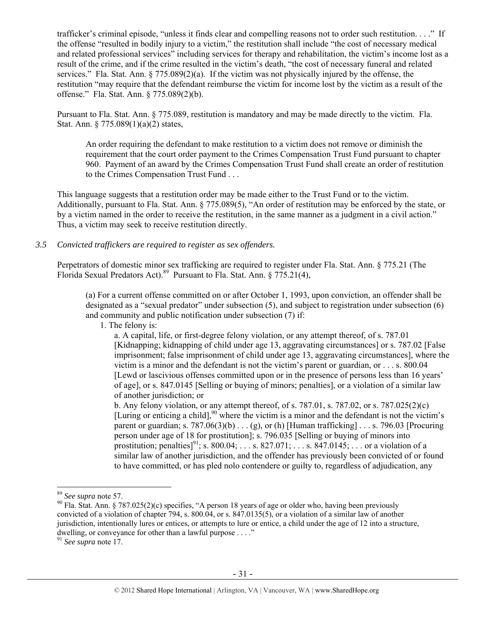trafficker's criminal episode, "unless it finds clear and compelling reasons not to order such restitution. . . ." If the offense "resulted in bodily injury to a victim," the restitution shall include "the cost of necessary medical and related professional services" including services for therapy and rehabilitation, the victim's income lost as a result of the crime, and if the crime resulted in the victim's death, "the cost of necessary funeral and related services." Fla. Stat. Ann. § 775.089(2)(a). If the victim was not physically injured by the offense, the restitution "may require that the defendant reimburse the victim for income lost by the victim as a result of the offense." Fla. Stat. Ann. § 775.089(2)(b).

Pursuant to Fla. Stat. Ann. § 775.089, restitution is mandatory and may be made directly to the victim. Fla. Stat. Ann. § 775.089(1)(a)(2) states,

An order requiring the defendant to make restitution to a victim does not remove or diminish the requirement that the court order payment to the Crimes Compensation Trust Fund pursuant to chapter 960. Payment of an award by the Crimes Compensation Trust Fund shall create an order of restitution to the Crimes Compensation Trust Fund . . .

This language suggests that a restitution order may be made either to the Trust Fund or to the victim. Additionally, pursuant to Fla. Stat. Ann. § 775.089(5), "An order of restitution may be enforced by the state, or by a victim named in the order to receive the restitution, in the same manner as a judgment in a civil action." Thus, a victim may seek to receive restitution directly.

## *3.5 Convicted traffickers are required to register as sex offenders.*

Perpetrators of domestic minor sex trafficking are required to register under Fla. Stat. Ann. § 775.21 (The Florida Sexual Predators Act).89 Pursuant to Fla. Stat. Ann. § 775.21(4),

(a) For a current offense committed on or after October 1, 1993, upon conviction, an offender shall be designated as a "sexual predator" under subsection (5), and subject to registration under subsection (6) and community and public notification under subsection (7) if:

1. The felony is:

a. A capital, life, or first-degree felony violation, or any attempt thereof, of s. 787.01 [Kidnapping; kidnapping of child under age 13, aggravating circumstances] or s. 787.02 [False imprisonment; false imprisonment of child under age 13, aggravating circumstances], where the victim is a minor and the defendant is not the victim's parent or guardian, or . . . s. 800.04 [Lewd or lascivious offenses committed upon or in the presence of persons less than 16 years' of age], or s. 847.0145 [Selling or buying of minors; penalties], or a violation of a similar law of another jurisdiction; or

b. Any felony violation, or any attempt thereof, of s. 787.01, s. 787.02, or s. 787.025(2)(c) [Luring or enticing a child],<sup>90</sup> where the victim is a minor and the defendant is not the victim's parent or guardian; s. 787.06(3)(b)  $\ldots$  (g), or (h) [Human trafficking]  $\ldots$  s. 796.03 [Procuring] person under age of 18 for prostitution]; s. 796.035 [Selling or buying of minors into prostitution; penalties]<sup>91</sup>; s. 800.04; . . . s. 827.071; . . . s. 847.0145; . . . or a violation of a similar law of another jurisdiction, and the offender has previously been convicted of or found to have committed, or has pled nolo contendere or guilty to, regardless of adjudication, any

<sup>&</sup>lt;sup>89</sup> *See supra* note 57.<br><sup>90</sup> Fla. Stat. Ann. § 787.025(2)(c) specifies, "A person 18 years of age or older who, having been previously convicted of a violation of chapter 794, s. 800.04, or s. 847.0135(5), or a violation of a similar law of another jurisdiction, intentionally lures or entices, or attempts to lure or entice, a child under the age of 12 into a structure, dwelling, or conveyance for other than a lawful purpose . . . ."

<sup>91</sup> *See supra* note 17.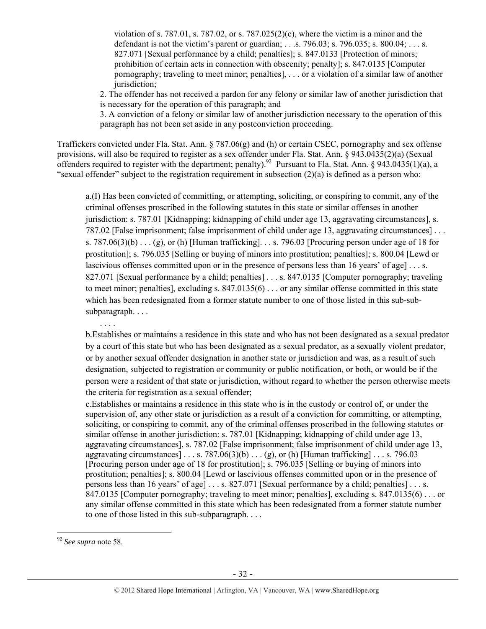violation of s. 787.01, s. 787.02, or s. 787.025(2)(c), where the victim is a minor and the defendant is not the victim's parent or guardian;  $\ldots$  s. 796.03; s. 796.035; s. 800.04;  $\ldots$  s. 827.071 [Sexual performance by a child; penalties]; s. 847.0133 [Protection of minors; prohibition of certain acts in connection with obscenity; penalty]; s. 847.0135 [Computer pornography; traveling to meet minor; penalties], . . . or a violation of a similar law of another jurisdiction:

2. The offender has not received a pardon for any felony or similar law of another jurisdiction that is necessary for the operation of this paragraph; and

3. A conviction of a felony or similar law of another jurisdiction necessary to the operation of this paragraph has not been set aside in any postconviction proceeding.

Traffickers convicted under Fla. Stat. Ann. § 787.06(g) and (h) or certain CSEC, pornography and sex offense provisions, will also be required to register as a sex offender under Fla. Stat. Ann. § 943.0435(2)(a) (Sexual offenders required to register with the department; penalty).<sup>92</sup> Pursuant to Fla. Stat. Ann. § 943.0435(1)(a), a "sexual offender" subject to the registration requirement in subsection  $(2)(a)$  is defined as a person who:

a.(I) Has been convicted of committing, or attempting, soliciting, or conspiring to commit, any of the criminal offenses proscribed in the following statutes in this state or similar offenses in another jurisdiction: s. 787.01 [Kidnapping; kidnapping of child under age 13, aggravating circumstances], s. 787.02 [False imprisonment; false imprisonment of child under age 13, aggravating circumstances] . . . s. 787.06(3)(b)  $\ldots$  (g), or (h) [Human trafficking].  $\ldots$  s. 796.03 [Procuring person under age of 18 for prostitution]; s. 796.035 [Selling or buying of minors into prostitution; penalties]; s. 800.04 [Lewd or lascivious offenses committed upon or in the presence of persons less than 16 years' of age] ... s. 827.071 [Sexual performance by a child; penalties] . . . s. 847.0135 [Computer pornography; traveling to meet minor; penalties], excluding s. 847.0135(6) . . . or any similar offense committed in this state which has been redesignated from a former statute number to one of those listed in this sub-subsubparagraph. . . .

b.Establishes or maintains a residence in this state and who has not been designated as a sexual predator by a court of this state but who has been designated as a sexual predator, as a sexually violent predator, or by another sexual offender designation in another state or jurisdiction and was, as a result of such designation, subjected to registration or community or public notification, or both, or would be if the person were a resident of that state or jurisdiction, without regard to whether the person otherwise meets the criteria for registration as a sexual offender;

c.Establishes or maintains a residence in this state who is in the custody or control of, or under the supervision of, any other state or jurisdiction as a result of a conviction for committing, or attempting, soliciting, or conspiring to commit, any of the criminal offenses proscribed in the following statutes or similar offense in another jurisdiction: s. 787.01 [Kidnapping; kidnapping of child under age 13, aggravating circumstances], s. 787.02 [False imprisonment; false imprisonment of child under age 13, aggravating circumstances  $\ldots$  s. 787.06(3)(b)  $\ldots$  (g), or (h) [Human trafficking]  $\ldots$  s. 796.03 [Procuring person under age of 18 for prostitution]; s. 796.035 [Selling or buying of minors into prostitution; penalties]; s. 800.04 [Lewd or lascivious offenses committed upon or in the presence of persons less than 16 years' of age] . . . s. 827.071 [Sexual performance by a child; penalties] . . . s. 847.0135 [Computer pornography; traveling to meet minor; penalties], excluding s. 847.0135(6) . . . or any similar offense committed in this state which has been redesignated from a former statute number to one of those listed in this sub-subparagraph. . . .

 $\overline{a}$ 

. . . .

<sup>92</sup> *See supra* note 58.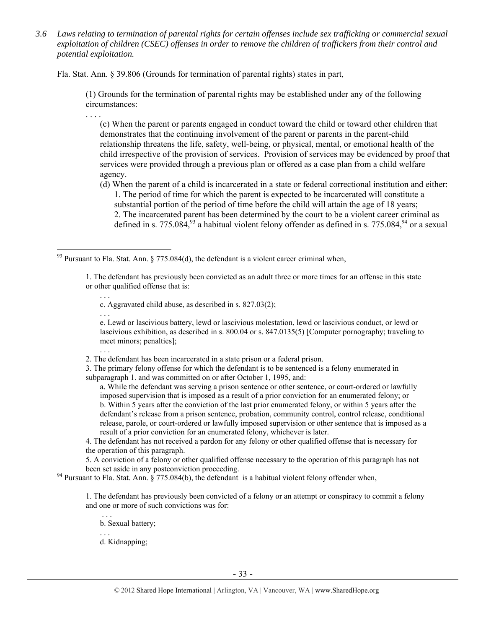*3.6 Laws relating to termination of parental rights for certain offenses include sex trafficking or commercial sexual exploitation of children (CSEC) offenses in order to remove the children of traffickers from their control and potential exploitation.* 

Fla. Stat. Ann. § 39.806 (Grounds for termination of parental rights) states in part,

(1) Grounds for the termination of parental rights may be established under any of the following circumstances:

. . . . (c) When the parent or parents engaged in conduct toward the child or toward other children that demonstrates that the continuing involvement of the parent or parents in the parent-child relationship threatens the life, safety, well-being, or physical, mental, or emotional health of the child irrespective of the provision of services. Provision of services may be evidenced by proof that services were provided through a previous plan or offered as a case plan from a child welfare agency.

(d) When the parent of a child is incarcerated in a state or federal correctional institution and either: 1. The period of time for which the parent is expected to be incarcerated will constitute a substantial portion of the period of time before the child will attain the age of 18 years; 2. The incarcerated parent has been determined by the court to be a violent career criminal as defined in s. 775.08 $\AA$ <sup>93</sup> a habitual violent felony offender as defined in s. 775.084.<sup>94</sup> or a sexual

1. The defendant has previously been convicted as an adult three or more times for an offense in this state or other qualified offense that is:

. . . c. Aggravated child abuse, as described in s. 827.03(2);

. . . e. Lewd or lascivious battery, lewd or lascivious molestation, lewd or lascivious conduct, or lewd or lascivious exhibition, as described in s. 800.04 or s. 847.0135(5) [Computer pornography; traveling to meet minors; penalties];

. . . 2. The defendant has been incarcerated in a state prison or a federal prison.

3. The primary felony offense for which the defendant is to be sentenced is a felony enumerated in subparagraph 1. and was committed on or after October 1, 1995, and:

a. While the defendant was serving a prison sentence or other sentence, or court-ordered or lawfully imposed supervision that is imposed as a result of a prior conviction for an enumerated felony; or b. Within 5 years after the conviction of the last prior enumerated felony, or within 5 years after the defendant's release from a prison sentence, probation, community control, control release, conditional release, parole, or court-ordered or lawfully imposed supervision or other sentence that is imposed as a result of a prior conviction for an enumerated felony, whichever is later.

4. The defendant has not received a pardon for any felony or other qualified offense that is necessary for the operation of this paragraph.

5. A conviction of a felony or other qualified offense necessary to the operation of this paragraph has not

been set aside in any postconviction proceeding.<br><sup>94</sup> Pursuant to Fla. Stat. Ann. § 775.084(b), the defendant is a habitual violent felony offender when,

1. The defendant has previously been convicted of a felony or an attempt or conspiracy to commit a felony and one or more of such convictions was for:

 . . . b. Sexual battery;

. . . d. Kidnapping;

 $\overline{a}$  $93$  Pursuant to Fla. Stat. Ann. § 775.084(d), the defendant is a violent career criminal when,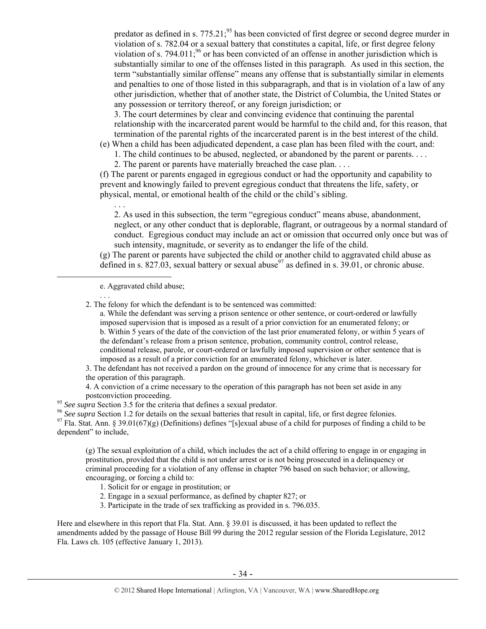predator as defined in s. 775.21;<sup>95</sup> has been convicted of first degree or second degree murder in violation of s. 782.04 or a sexual battery that constitutes a capital, life, or first degree felony violation of s. 794.011;<sup>96</sup> or has been convicted of an offense in another jurisdiction which is substantially similar to one of the offenses listed in this paragraph. As used in this section, the term "substantially similar offense" means any offense that is substantially similar in elements and penalties to one of those listed in this subparagraph, and that is in violation of a law of any other jurisdiction, whether that of another state, the District of Columbia, the United States or any possession or territory thereof, or any foreign jurisdiction; or

3. The court determines by clear and convincing evidence that continuing the parental relationship with the incarcerated parent would be harmful to the child and, for this reason, that termination of the parental rights of the incarcerated parent is in the best interest of the child.

(e) When a child has been adjudicated dependent, a case plan has been filed with the court, and: 1. The child continues to be abused, neglected, or abandoned by the parent or parents. . . .

2. The parent or parents have materially breached the case plan. . . .

(f) The parent or parents engaged in egregious conduct or had the opportunity and capability to prevent and knowingly failed to prevent egregious conduct that threatens the life, safety, or physical, mental, or emotional health of the child or the child's sibling.

. . . 2. As used in this subsection, the term "egregious conduct" means abuse, abandonment, neglect, or any other conduct that is deplorable, flagrant, or outrageous by a normal standard of conduct. Egregious conduct may include an act or omission that occurred only once but was of such intensity, magnitude, or severity as to endanger the life of the child.

(g) The parent or parents have subjected the child or another child to aggravated child abuse as defined in s. 827.03, sexual battery or sexual abuse<sup>97</sup> as defined in s. 39.01, or chronic abuse.

e. Aggravated child abuse;

. . . 2. The felony for which the defendant is to be sentenced was committed:

a. While the defendant was serving a prison sentence or other sentence, or court-ordered or lawfully imposed supervision that is imposed as a result of a prior conviction for an enumerated felony; or b. Within 5 years of the date of the conviction of the last prior enumerated felony, or within 5 years of the defendant's release from a prison sentence, probation, community control, control release, conditional release, parole, or court-ordered or lawfully imposed supervision or other sentence that is imposed as a result of a prior conviction for an enumerated felony, whichever is later.

3. The defendant has not received a pardon on the ground of innocence for any crime that is necessary for the operation of this paragraph.

4. A conviction of a crime necessary to the operation of this paragraph has not been set aside in any

postconviction proceeding.<br><sup>95</sup> See supra Section 3.5 for the criteria that defines a sexual predator.<br><sup>96</sup> See supra Section 1.2 for details on the sexual batteries that result in capital, life, or first degree felonies.<br> dependent" to include,

(g) The sexual exploitation of a child, which includes the act of a child offering to engage in or engaging in prostitution, provided that the child is not under arrest or is not being prosecuted in a delinquency or criminal proceeding for a violation of any offense in chapter 796 based on such behavior; or allowing, encouraging, or forcing a child to:

1. Solicit for or engage in prostitution; or

- 2. Engage in a sexual performance, as defined by chapter 827; or
- 3. Participate in the trade of sex trafficking as provided in s. 796.035.

Here and elsewhere in this report that Fla. Stat. Ann. § 39.01 is discussed, it has been updated to reflect the amendments added by the passage of House Bill 99 during the 2012 regular session of the Florida Legislature, 2012 Fla. Laws ch. 105 (effective January 1, 2013).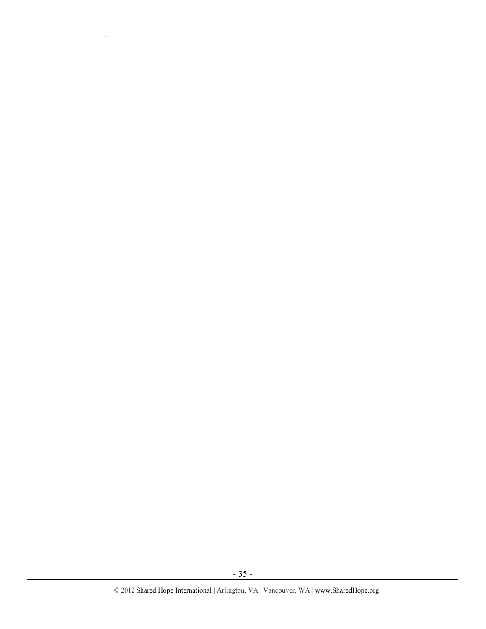. . . .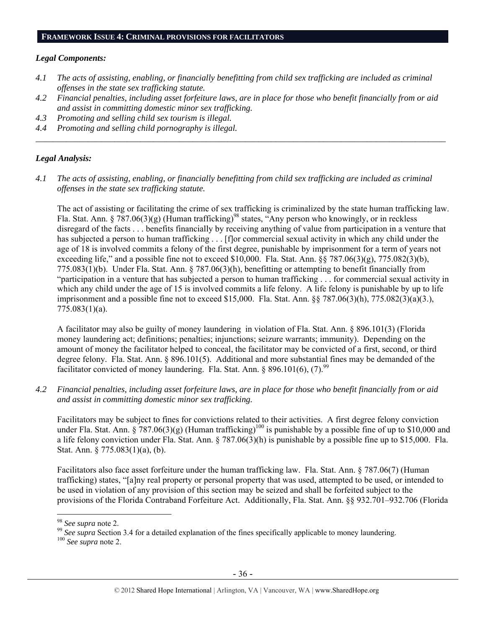#### *Legal Components:*

- *4.1 The acts of assisting, enabling, or financially benefitting from child sex trafficking are included as criminal offenses in the state sex trafficking statute.*
- *4.2 Financial penalties, including asset forfeiture laws, are in place for those who benefit financially from or aid and assist in committing domestic minor sex trafficking.*

*\_\_\_\_\_\_\_\_\_\_\_\_\_\_\_\_\_\_\_\_\_\_\_\_\_\_\_\_\_\_\_\_\_\_\_\_\_\_\_\_\_\_\_\_\_\_\_\_\_\_\_\_\_\_\_\_\_\_\_\_\_\_\_\_\_\_\_\_\_\_\_\_\_\_\_\_\_\_\_\_\_\_\_\_\_\_\_\_\_\_\_\_\_\_* 

- *4.3 Promoting and selling child sex tourism is illegal.*
- *4.4 Promoting and selling child pornography is illegal.*

#### *Legal Analysis:*

*4.1 The acts of assisting, enabling, or financially benefitting from child sex trafficking are included as criminal offenses in the state sex trafficking statute.* 

The act of assisting or facilitating the crime of sex trafficking is criminalized by the state human trafficking law. Fla. Stat. Ann. § 787.06(3)(g) (Human trafficking)<sup>98</sup> states, "Any person who knowingly, or in reckless disregard of the facts . . . benefits financially by receiving anything of value from participation in a venture that has subjected a person to human trafficking . . . [f]or commercial sexual activity in which any child under the age of 18 is involved commits a felony of the first degree, punishable by imprisonment for a term of years not exceeding life," and a possible fine not to exceed \$10,000. Fla. Stat. Ann. §§ 787.06(3)(g), 775.082(3)(b), 775.083(1)(b). Under Fla. Stat. Ann. § 787.06(3)(h), benefitting or attempting to benefit financially from "participation in a venture that has subjected a person to human trafficking . . . for commercial sexual activity in which any child under the age of 15 is involved commits a life felony. A life felony is punishable by up to life imprisonment and a possible fine not to exceed \$15,000. Fla. Stat. Ann.  $\S$  787.06(3)(h), 775.082(3)(a)(3.), 775.083(1)(a).

A facilitator may also be guilty of money laundering in violation of Fla. Stat. Ann. § 896.101(3) (Florida money laundering act; definitions; penalties; injunctions; seizure warrants; immunity). Depending on the amount of money the facilitator helped to conceal, the facilitator may be convicted of a first, second, or third degree felony. Fla. Stat. Ann. § 896.101(5). Additional and more substantial fines may be demanded of the facilitator convicted of money laundering. Fla. Stat. Ann. § 896.101(6), (7).<sup>99</sup>

*4.2 Financial penalties, including asset forfeiture laws, are in place for those who benefit financially from or aid and assist in committing domestic minor sex trafficking.* 

Facilitators may be subject to fines for convictions related to their activities. A first degree felony conviction under Fla. Stat. Ann. § 787.06(3)(g) (Human trafficking)<sup>100</sup> is punishable by a possible fine of up to \$10,000 and a life felony conviction under Fla. Stat. Ann. § 787.06(3)(h) is punishable by a possible fine up to \$15,000. Fla. Stat. Ann. § 775.083(1)(a), (b).

Facilitators also face asset forfeiture under the human trafficking law. Fla. Stat. Ann. § 787.06(7) (Human trafficking) states, "[a]ny real property or personal property that was used, attempted to be used, or intended to be used in violation of any provision of this section may be seized and shall be forfeited subject to the provisions of the Florida Contraband Forfeiture Act. Additionally, Fla. Stat. Ann. §§ 932.701–932.706 (Florida

<sup>&</sup>lt;sup>98</sup> *See supra* note 2.<br><sup>99</sup> *See supra* Section 3.4 for a detailed explanation of the fines specifically applicable to money laundering. <sup>100</sup> *See supra* note 2.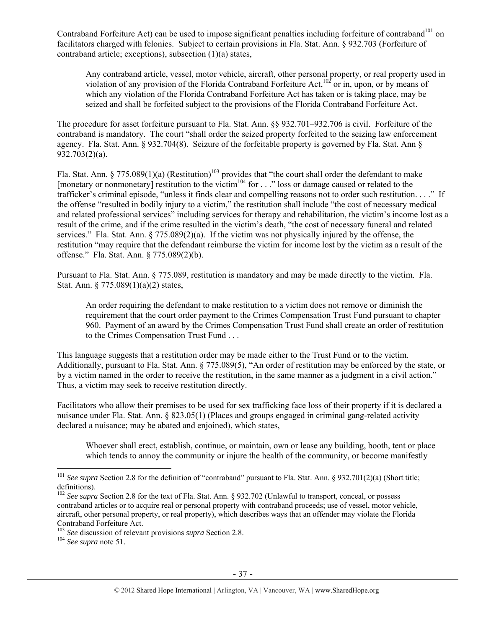Contraband Forfeiture Act) can be used to impose significant penalties including forfeiture of contraband<sup>101</sup> on facilitators charged with felonies. Subject to certain provisions in Fla. Stat. Ann. § 932.703 (Forfeiture of contraband article; exceptions), subsection (1)(a) states,

Any contraband article, vessel, motor vehicle, aircraft, other personal property, or real property used in violation of any provision of the Florida Contraband Forfeiture Act,<sup>102</sup> or in, upon, or by means of which any violation of the Florida Contraband Forfeiture Act has taken or is taking place, may be seized and shall be forfeited subject to the provisions of the Florida Contraband Forfeiture Act.

The procedure for asset forfeiture pursuant to Fla. Stat. Ann. §§ 932.701–932.706 is civil. Forfeiture of the contraband is mandatory. The court "shall order the seized property forfeited to the seizing law enforcement agency. Fla. Stat. Ann. § 932.704(8). Seizure of the forfeitable property is governed by Fla. Stat. Ann § 932.703(2)(a).

Fla. Stat. Ann. § 775.089(1)(a) (Restitution)<sup>103</sup> provides that "the court shall order the defendant to make [monetary or nonmonetary] restitution to the victim<sup>104</sup> for  $\dots$ " loss or damage caused or related to the trafficker's criminal episode, "unless it finds clear and compelling reasons not to order such restitution. . . ." If the offense "resulted in bodily injury to a victim," the restitution shall include "the cost of necessary medical and related professional services" including services for therapy and rehabilitation, the victim's income lost as a result of the crime, and if the crime resulted in the victim's death, "the cost of necessary funeral and related services." Fla. Stat. Ann. § 775.089(2)(a). If the victim was not physically injured by the offense, the restitution "may require that the defendant reimburse the victim for income lost by the victim as a result of the offense." Fla. Stat. Ann. § 775.089(2)(b).

Pursuant to Fla. Stat. Ann. § 775.089, restitution is mandatory and may be made directly to the victim. Fla. Stat. Ann. § 775.089(1)(a)(2) states,

An order requiring the defendant to make restitution to a victim does not remove or diminish the requirement that the court order payment to the Crimes Compensation Trust Fund pursuant to chapter 960. Payment of an award by the Crimes Compensation Trust Fund shall create an order of restitution to the Crimes Compensation Trust Fund . . .

This language suggests that a restitution order may be made either to the Trust Fund or to the victim. Additionally, pursuant to Fla. Stat. Ann. § 775.089(5), "An order of restitution may be enforced by the state, or by a victim named in the order to receive the restitution, in the same manner as a judgment in a civil action." Thus, a victim may seek to receive restitution directly.

Facilitators who allow their premises to be used for sex trafficking face loss of their property if it is declared a nuisance under Fla. Stat. Ann. § 823.05(1) (Places and groups engaged in criminal gang-related activity declared a nuisance; may be abated and enjoined), which states,

Whoever shall erect, establish, continue, or maintain, own or lease any building, booth, tent or place which tends to annoy the community or injure the health of the community, or become manifestly

<sup>&</sup>lt;sup>101</sup> *See supra* Section 2.8 for the definition of "contraband" pursuant to Fla. Stat. Ann. § 932.701(2)(a) (Short title; definitions).

<sup>102</sup> *See supra* Section 2.8 for the text of Fla. Stat. Ann. § 932.702 (Unlawful to transport, conceal, or possess contraband articles or to acquire real or personal property with contraband proceeds; use of vessel, motor vehicle, aircraft, other personal property, or real property), which describes ways that an offender may violate the Florida Contraband Forfeiture Act.

<sup>103</sup> *See* discussion of relevant provisions *supra* Section 2.8. 104 *See supra* note 51.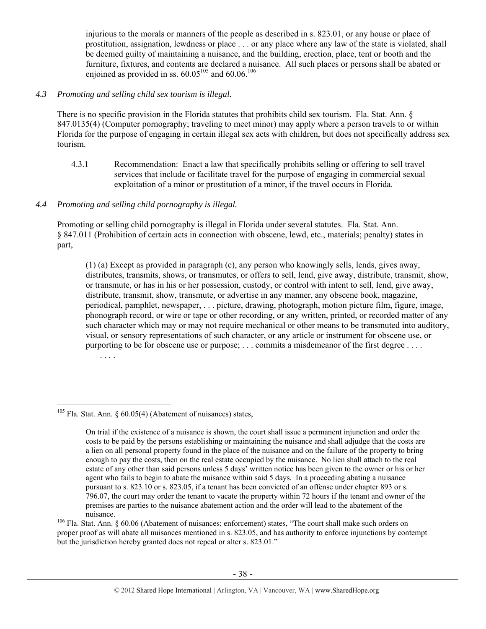injurious to the morals or manners of the people as described in s. 823.01, or any house or place of prostitution, assignation, lewdness or place . . . or any place where any law of the state is violated, shall be deemed guilty of maintaining a nuisance, and the building, erection, place, tent or booth and the furniture, fixtures, and contents are declared a nuisance. All such places or persons shall be abated or enjoined as provided in ss.  $60.05^{105}$  and  $60.06^{106}$ 

## *4.3 Promoting and selling child sex tourism is illegal.*

There is no specific provision in the Florida statutes that prohibits child sex tourism. Fla. Stat. Ann. § 847.0135(4) (Computer pornography; traveling to meet minor) may apply where a person travels to or within Florida for the purpose of engaging in certain illegal sex acts with children, but does not specifically address sex tourism.

4.3.1 Recommendation: Enact a law that specifically prohibits selling or offering to sell travel services that include or facilitate travel for the purpose of engaging in commercial sexual exploitation of a minor or prostitution of a minor, if the travel occurs in Florida.

## *4.4 Promoting and selling child pornography is illegal.*

Promoting or selling child pornography is illegal in Florida under several statutes. Fla. Stat. Ann. § 847.011 (Prohibition of certain acts in connection with obscene, lewd, etc., materials; penalty) states in part,

(1) (a) Except as provided in paragraph (c), any person who knowingly sells, lends, gives away, distributes, transmits, shows, or transmutes, or offers to sell, lend, give away, distribute, transmit, show, or transmute, or has in his or her possession, custody, or control with intent to sell, lend, give away, distribute, transmit, show, transmute, or advertise in any manner, any obscene book, magazine, periodical, pamphlet, newspaper, . . . picture, drawing, photograph, motion picture film, figure, image, phonograph record, or wire or tape or other recording, or any written, printed, or recorded matter of any such character which may or may not require mechanical or other means to be transmuted into auditory, visual, or sensory representations of such character, or any article or instrument for obscene use, or purporting to be for obscene use or purpose; . . . commits a misdemeanor of the first degree . . . . . . . .

nuisance.<br><sup>106</sup> Fla. Stat. Ann. § 60.06 (Abatement of nuisances; enforcement) states, "The court shall make such orders on proper proof as will abate all nuisances mentioned in s. 823.05, and has authority to enforce injunctions by contempt but the jurisdiction hereby granted does not repeal or alter s. 823.01."

 $\overline{a}$  $105$  Fla. Stat. Ann. § 60.05(4) (Abatement of nuisances) states,

On trial if the existence of a nuisance is shown, the court shall issue a permanent injunction and order the costs to be paid by the persons establishing or maintaining the nuisance and shall adjudge that the costs are a lien on all personal property found in the place of the nuisance and on the failure of the property to bring enough to pay the costs, then on the real estate occupied by the nuisance. No lien shall attach to the real estate of any other than said persons unless 5 days' written notice has been given to the owner or his or her agent who fails to begin to abate the nuisance within said 5 days. In a proceeding abating a nuisance pursuant to s. 823.10 or s. 823.05, if a tenant has been convicted of an offense under chapter 893 or s. 796.07, the court may order the tenant to vacate the property within 72 hours if the tenant and owner of the premises are parties to the nuisance abatement action and the order will lead to the abatement of the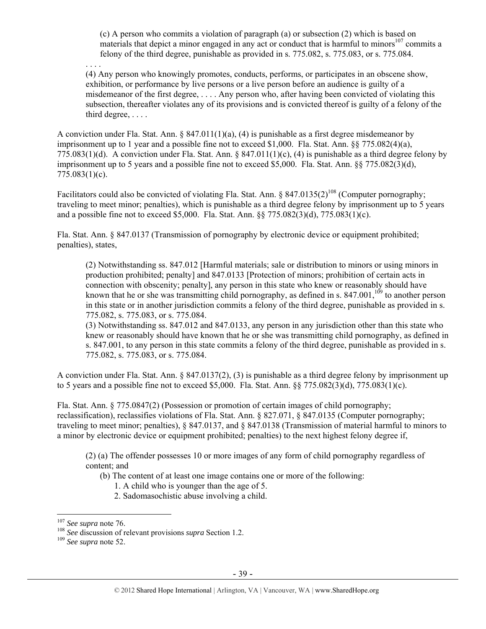(c) A person who commits a violation of paragraph (a) or subsection (2) which is based on materials that depict a minor engaged in any act or conduct that is harmful to minors<sup>107</sup> commits a felony of the third degree, punishable as provided in s. 775.082, s. 775.083, or s. 775.084.

. . . . (4) Any person who knowingly promotes, conducts, performs, or participates in an obscene show, exhibition, or performance by live persons or a live person before an audience is guilty of a misdemeanor of the first degree, . . . . Any person who, after having been convicted of violating this subsection, thereafter violates any of its provisions and is convicted thereof is guilty of a felony of the third degree, . . . .

A conviction under Fla. Stat. Ann.  $\S 847.011(1)(a)$ , (4) is punishable as a first degree misdemeanor by imprisonment up to 1 year and a possible fine not to exceed \$1,000. Fla. Stat. Ann. §§ 775.082(4)(a), 775.083(1)(d). A conviction under Fla. Stat. Ann.  $\S 847.011(1)(c)$ , (4) is punishable as a third degree felony by imprisonment up to 5 years and a possible fine not to exceed \$5,000. Fla. Stat. Ann. §§ 775.082(3)(d), 775.083(1)(c).

Facilitators could also be convicted of violating Fla. Stat. Ann.  $\S 847.0135(2)^{108}$  (Computer pornography; traveling to meet minor; penalties), which is punishable as a third degree felony by imprisonment up to 5 years and a possible fine not to exceed \$5,000. Fla. Stat. Ann. §§ 775.082(3)(d), 775.083(1)(c).

Fla. Stat. Ann. § 847.0137 (Transmission of pornography by electronic device or equipment prohibited; penalties), states,

(2) Notwithstanding ss. 847.012 [Harmful materials; sale or distribution to minors or using minors in production prohibited; penalty] and 847.0133 [Protection of minors; prohibition of certain acts in connection with obscenity; penalty], any person in this state who knew or reasonably should have known that he or she was transmitting child pornography, as defined in s.  $847.001$ ,<sup>109</sup> to another person in this state or in another jurisdiction commits a felony of the third degree, punishable as provided in s. 775.082, s. 775.083, or s. 775.084.

(3) Notwithstanding ss. 847.012 and 847.0133, any person in any jurisdiction other than this state who knew or reasonably should have known that he or she was transmitting child pornography, as defined in s. 847.001, to any person in this state commits a felony of the third degree, punishable as provided in s. 775.082, s. 775.083, or s. 775.084.

A conviction under Fla. Stat. Ann. § 847.0137(2), (3) is punishable as a third degree felony by imprisonment up to 5 years and a possible fine not to exceed \$5,000. Fla. Stat. Ann. §§ 775.082(3)(d), 775.083(1)(c).

Fla. Stat. Ann. § 775.0847(2) (Possession or promotion of certain images of child pornography; reclassification), reclassifies violations of Fla. Stat. Ann. § 827.071, § 847.0135 (Computer pornography; traveling to meet minor; penalties), § 847.0137, and § 847.0138 (Transmission of material harmful to minors to a minor by electronic device or equipment prohibited; penalties) to the next highest felony degree if,

(2) (a) The offender possesses 10 or more images of any form of child pornography regardless of content; and

(b) The content of at least one image contains one or more of the following:

- 1. A child who is younger than the age of 5.
- 2. Sadomasochistic abuse involving a child.

<sup>107</sup> *See supra* note 76. 108 *See* discussion of relevant provisions *supra* Section 1.2. 109 *See supra* note 52.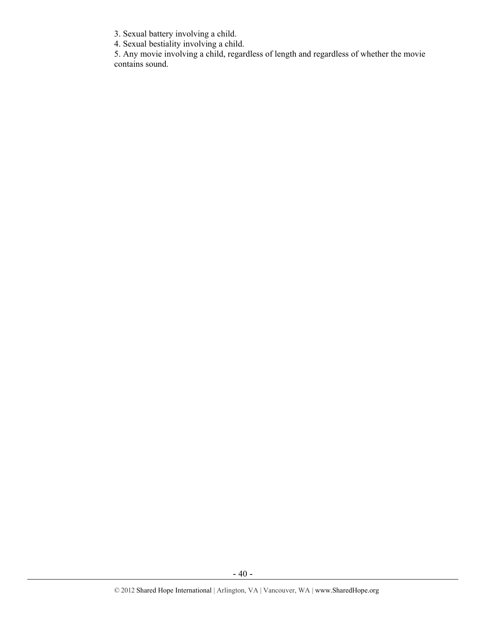3. Sexual battery involving a child.

4. Sexual bestiality involving a child.

5. Any movie involving a child, regardless of length and regardless of whether the movie contains sound.

- 40 -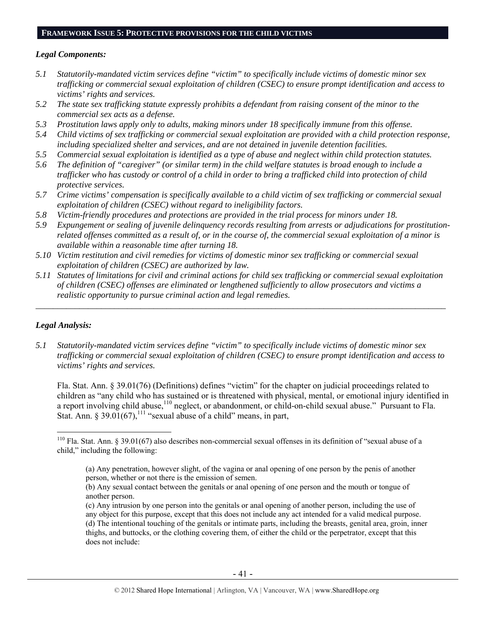## **FRAMEWORK ISSUE 5: PROTECTIVE PROVISIONS FOR THE CHILD VICTIMS**

## *Legal Components:*

- *5.1 Statutorily-mandated victim services define "victim" to specifically include victims of domestic minor sex trafficking or commercial sexual exploitation of children (CSEC) to ensure prompt identification and access to victims' rights and services.*
- *5.2 The state sex trafficking statute expressly prohibits a defendant from raising consent of the minor to the commercial sex acts as a defense.*
- *5.3 Prostitution laws apply only to adults, making minors under 18 specifically immune from this offense.*
- *5.4 Child victims of sex trafficking or commercial sexual exploitation are provided with a child protection response, including specialized shelter and services, and are not detained in juvenile detention facilities.*
- *5.5 Commercial sexual exploitation is identified as a type of abuse and neglect within child protection statutes.*
- *5.6 The definition of "caregiver" (or similar term) in the child welfare statutes is broad enough to include a trafficker who has custody or control of a child in order to bring a trafficked child into protection of child protective services.*
- *5.7 Crime victims' compensation is specifically available to a child victim of sex trafficking or commercial sexual exploitation of children (CSEC) without regard to ineligibility factors.*
- *5.8 Victim-friendly procedures and protections are provided in the trial process for minors under 18.*
- *5.9 Expungement or sealing of juvenile delinquency records resulting from arrests or adjudications for prostitutionrelated offenses committed as a result of, or in the course of, the commercial sexual exploitation of a minor is available within a reasonable time after turning 18.*
- *5.10 Victim restitution and civil remedies for victims of domestic minor sex trafficking or commercial sexual exploitation of children (CSEC) are authorized by law.*
- *5.11 Statutes of limitations for civil and criminal actions for child sex trafficking or commercial sexual exploitation of children (CSEC) offenses are eliminated or lengthened sufficiently to allow prosecutors and victims a realistic opportunity to pursue criminal action and legal remedies.*

*\_\_\_\_\_\_\_\_\_\_\_\_\_\_\_\_\_\_\_\_\_\_\_\_\_\_\_\_\_\_\_\_\_\_\_\_\_\_\_\_\_\_\_\_\_\_\_\_\_\_\_\_\_\_\_\_\_\_\_\_\_\_\_\_\_\_\_\_\_\_\_\_\_\_\_\_\_\_\_\_\_\_\_\_\_\_\_\_\_\_\_\_\_\_* 

## *Legal Analysis:*

 $\overline{a}$ 

*5.1 Statutorily-mandated victim services define "victim" to specifically include victims of domestic minor sex trafficking or commercial sexual exploitation of children (CSEC) to ensure prompt identification and access to victims' rights and services.* 

Fla. Stat. Ann. § 39.01(76) (Definitions) defines "victim" for the chapter on judicial proceedings related to children as "any child who has sustained or is threatened with physical, mental, or emotional injury identified in a report involving child abuse,<sup>110</sup> neglect, or abandonment, or child-on-child sexual abuse." Pursuant to Fla. Stat. Ann. § 39.01(67),<sup>111</sup> "sexual abuse of a child" means, in part,

<sup>&</sup>lt;sup>110</sup> Fla. Stat. Ann. § 39.01(67) also describes non-commercial sexual offenses in its definition of "sexual abuse of a child," including the following:

<sup>(</sup>a) Any penetration, however slight, of the vagina or anal opening of one person by the penis of another person, whether or not there is the emission of semen.

<sup>(</sup>b) Any sexual contact between the genitals or anal opening of one person and the mouth or tongue of another person.

<sup>(</sup>c) Any intrusion by one person into the genitals or anal opening of another person, including the use of any object for this purpose, except that this does not include any act intended for a valid medical purpose. (d) The intentional touching of the genitals or intimate parts, including the breasts, genital area, groin, inner thighs, and buttocks, or the clothing covering them, of either the child or the perpetrator, except that this does not include: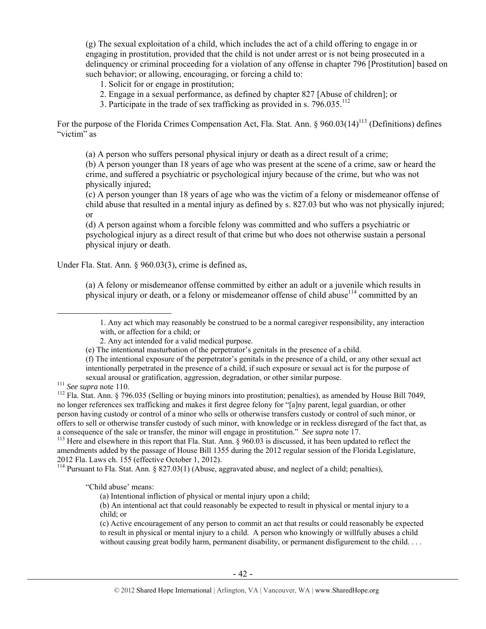(g) The sexual exploitation of a child, which includes the act of a child offering to engage in or engaging in prostitution, provided that the child is not under arrest or is not being prosecuted in a delinquency or criminal proceeding for a violation of any offense in chapter 796 [Prostitution] based on such behavior; or allowing, encouraging, or forcing a child to:

1. Solicit for or engage in prostitution;

- 2. Engage in a sexual performance, as defined by chapter 827 [Abuse of children]; or
- 3. Participate in the trade of sex trafficking as provided in s.  $796.035$ <sup>112</sup>

For the purpose of the Florida Crimes Compensation Act, Fla. Stat. Ann. § 960.03(14)<sup>113</sup> (Definitions) defines "victim" as

(a) A person who suffers personal physical injury or death as a direct result of a crime;

(b) A person younger than 18 years of age who was present at the scene of a crime, saw or heard the crime, and suffered a psychiatric or psychological injury because of the crime, but who was not physically injured;

(c) A person younger than 18 years of age who was the victim of a felony or misdemeanor offense of child abuse that resulted in a mental injury as defined by s. 827.03 but who was not physically injured; or

(d) A person against whom a forcible felony was committed and who suffers a psychiatric or psychological injury as a direct result of that crime but who does not otherwise sustain a personal physical injury or death.

Under Fla. Stat. Ann. § 960.03(3), crime is defined as,

(a) A felony or misdemeanor offense committed by either an adult or a juvenile which results in physical injury or death, or a felony or misdemeanor offense of child abuse<sup>114</sup> committed by an

sexual arousal or gratification, aggression, degradation, or other similar purpose.<br><sup>111</sup> See supra note 110.<br><sup>112</sup> Fla. Stat. Ann. § 796.035 (Selling or buying minors into prostitution; penalties), as amended by House Bil no longer references sex trafficking and makes it first degree felony for "[a]ny parent, legal guardian, or other person having custody or control of a minor who sells or otherwise transfers custody or control of such minor, or offers to sell or otherwise transfer custody of such minor, with knowledge or in reckless disregard of the fact that, as a consequence of the sale or transfer, the minor will engage in prostitution." *See supra* note 17. <sup>113</sup> Here and elsewhere in this report that Fla. Stat. Ann. § 960.03 is discussed, it has been updated to reflect the

amendments added by the passage of House Bill 1355 during the 2012 regular session of the Florida Legislature, 2012 Fla. Laws ch. 155 (effective October 1, 2012).

<sup>114</sup> Pursuant to Fla. Stat. Ann. § 827.03(1) (Abuse, aggravated abuse, and neglect of a child; penalties),

"Child abuse' means:

 <sup>1.</sup> Any act which may reasonably be construed to be a normal caregiver responsibility, any interaction with, or affection for a child; or

<sup>2.</sup> Any act intended for a valid medical purpose.

<sup>(</sup>e) The intentional masturbation of the perpetrator's genitals in the presence of a child.

<sup>(</sup>f) The intentional exposure of the perpetrator's genitals in the presence of a child, or any other sexual act intentionally perpetrated in the presence of a child, if such exposure or sexual act is for the purpose of

<sup>(</sup>a) Intentional infliction of physical or mental injury upon a child;

<sup>(</sup>b) An intentional act that could reasonably be expected to result in physical or mental injury to a child; or

<sup>(</sup>c) Active encouragement of any person to commit an act that results or could reasonably be expected to result in physical or mental injury to a child. A person who knowingly or willfully abuses a child without causing great bodily harm, permanent disability, or permanent disfigurement to the child. . . .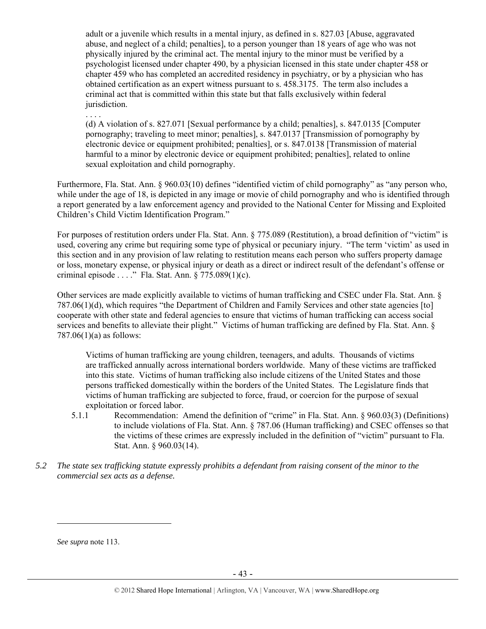adult or a juvenile which results in a mental injury, as defined in s. 827.03 [Abuse, aggravated abuse, and neglect of a child; penalties], to a person younger than 18 years of age who was not physically injured by the criminal act. The mental injury to the minor must be verified by a psychologist licensed under chapter 490, by a physician licensed in this state under chapter 458 or chapter 459 who has completed an accredited residency in psychiatry, or by a physician who has obtained certification as an expert witness pursuant to s. 458.3175. The term also includes a criminal act that is committed within this state but that falls exclusively within federal jurisdiction.

(d) A violation of s. 827.071 [Sexual performance by a child; penalties], s. 847.0135 [Computer pornography; traveling to meet minor; penalties], s. 847.0137 [Transmission of pornography by electronic device or equipment prohibited; penalties], or s. 847.0138 [Transmission of material harmful to a minor by electronic device or equipment prohibited; penalties], related to online sexual exploitation and child pornography.

Furthermore, Fla. Stat. Ann. § 960.03(10) defines "identified victim of child pornography" as "any person who, while under the age of 18, is depicted in any image or movie of child pornography and who is identified through a report generated by a law enforcement agency and provided to the National Center for Missing and Exploited Children's Child Victim Identification Program."

For purposes of restitution orders under Fla. Stat. Ann. § 775.089 (Restitution), a broad definition of "victim" is used, covering any crime but requiring some type of physical or pecuniary injury. "The term 'victim' as used in this section and in any provision of law relating to restitution means each person who suffers property damage or loss, monetary expense, or physical injury or death as a direct or indirect result of the defendant's offense or criminal episode . . . ." Fla. Stat. Ann. § 775.089(1)(c).

Other services are made explicitly available to victims of human trafficking and CSEC under Fla. Stat. Ann. § 787.06(1)(d), which requires "the Department of Children and Family Services and other state agencies [to] cooperate with other state and federal agencies to ensure that victims of human trafficking can access social services and benefits to alleviate their plight." Victims of human trafficking are defined by Fla. Stat. Ann. § 787.06(1)(a) as follows:

Victims of human trafficking are young children, teenagers, and adults. Thousands of victims are trafficked annually across international borders worldwide. Many of these victims are trafficked into this state. Victims of human trafficking also include citizens of the United States and those persons trafficked domestically within the borders of the United States. The Legislature finds that victims of human trafficking are subjected to force, fraud, or coercion for the purpose of sexual exploitation or forced labor.

- 5.1.1 Recommendation: Amend the definition of "crime" in Fla. Stat. Ann. § 960.03(3) (Definitions) to include violations of Fla. Stat. Ann. § 787.06 (Human trafficking) and CSEC offenses so that the victims of these crimes are expressly included in the definition of "victim" pursuant to Fla. Stat. Ann. § 960.03(14).
- *5.2 The state sex trafficking statute expressly prohibits a defendant from raising consent of the minor to the commercial sex acts as a defense.*

*See supra* note 113.

 $\overline{a}$ 

. . . .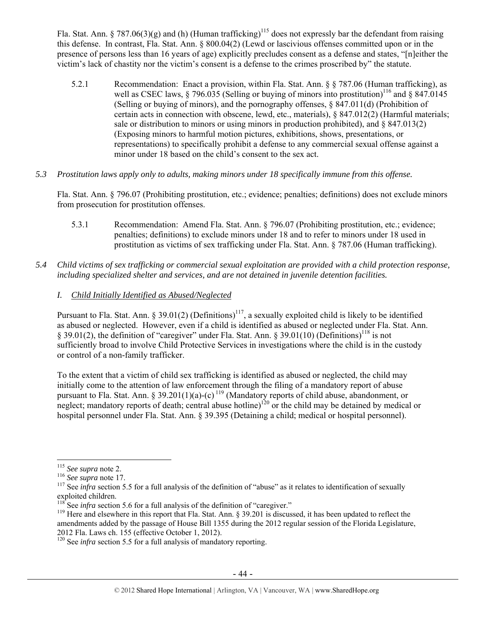Fla. Stat. Ann. § 787.06(3)(g) and (h) (Human trafficking)<sup>115</sup> does not expressly bar the defendant from raising this defense. In contrast, Fla. Stat. Ann. § 800.04(2) (Lewd or lascivious offenses committed upon or in the presence of persons less than 16 years of age) explicitly precludes consent as a defense and states, "[n]either the victim's lack of chastity nor the victim's consent is a defense to the crimes proscribed by" the statute.

- 5.2.1 Recommendation: Enact a provision, within Fla. Stat. Ann. § § 787.06 (Human trafficking), as well as CSEC laws,  $\S$  796.035 (Selling or buying of minors into prostitution)<sup>116</sup> and  $\S$  847.0145 (Selling or buying of minors), and the pornography offenses, § 847.011(d) (Prohibition of certain acts in connection with obscene, lewd, etc., materials), § 847.012(2) (Harmful materials; sale or distribution to minors or using minors in production prohibited), and  $\S$  847.013(2) (Exposing minors to harmful motion pictures, exhibitions, shows, presentations, or representations) to specifically prohibit a defense to any commercial sexual offense against a minor under 18 based on the child's consent to the sex act.
- *5.3 Prostitution laws apply only to adults, making minors under 18 specifically immune from this offense.*

Fla. Stat. Ann. § 796.07 (Prohibiting prostitution, etc.; evidence; penalties; definitions) does not exclude minors from prosecution for prostitution offenses.

- 5.3.1 Recommendation: Amend Fla. Stat. Ann. § 796.07 (Prohibiting prostitution, etc.; evidence; penalties; definitions) to exclude minors under 18 and to refer to minors under 18 used in prostitution as victims of sex trafficking under Fla. Stat. Ann. § 787.06 (Human trafficking).
- *5.4 Child victims of sex trafficking or commercial sexual exploitation are provided with a child protection response, including specialized shelter and services, and are not detained in juvenile detention facilities.* 
	- *I. Child Initially Identified as Abused/Neglected*

Pursuant to Fla. Stat. Ann. § 39.01(2) (Definitions)<sup>117</sup>, a sexually exploited child is likely to be identified as abused or neglected. However, even if a child is identified as abused or neglected under Fla. Stat. Ann. § 39.01(2), the definition of "caregiver" under Fla. Stat. Ann. § 39.01(10) (Definitions)<sup>118</sup> is not sufficiently broad to involve Child Protective Services in investigations where the child is in the custody or control of a non-family trafficker.

To the extent that a victim of child sex trafficking is identified as abused or neglected, the child may initially come to the attention of law enforcement through the filing of a mandatory report of abuse pursuant to Fla. Stat. Ann. § 39.201(1)(a)-(c) 119 (Mandatory reports of child abuse, abandonment, or neglect; mandatory reports of death; central abuse hotline)<sup>120</sup> or the child may be detained by medical or hospital personnel under Fla. Stat. Ann. § 39.395 (Detaining a child; medical or hospital personnel).

 $115$  See supra note 2.

<sup>&</sup>lt;sup>116</sup> See supra note 17.<br><sup>117</sup> See *infra* section 5.5 for a full analysis of the definition of "abuse" as it relates to identification of sexually exploited children.<br><sup>118</sup> See *infra* section 5.6 for a full analysis of the definition of "caregiver."

<sup>&</sup>lt;sup>119</sup> Here and elsewhere in this report that Fla. Stat. Ann. § 39.201 is discussed, it has been updated to reflect the amendments added by the passage of House Bill 1355 during the 2012 regular session of the Florida Legislature, 2012 Fla. Laws ch. 155 (effective October 1, 2012).

<sup>&</sup>lt;sup>120</sup> See *infra* section 5.5 for a full analysis of mandatory reporting.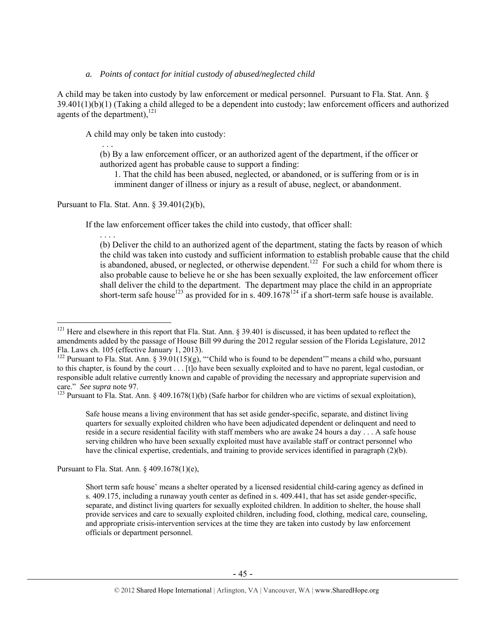#### *a. Points of contact for initial custody of abused/neglected child*

A child may be taken into custody by law enforcement or medical personnel. Pursuant to Fla. Stat. Ann. §  $39.401(1)(b)(1)$  (Taking a child alleged to be a dependent into custody; law enforcement officers and authorized agents of the department). $^{121}$ 

A child may only be taken into custody:

(b) By a law enforcement officer, or an authorized agent of the department, if the officer or authorized agent has probable cause to support a finding:

1. That the child has been abused, neglected, or abandoned, or is suffering from or is in imminent danger of illness or injury as a result of abuse, neglect, or abandonment.

Pursuant to Fla. Stat. Ann. § 39.401(2)(b),

If the law enforcement officer takes the child into custody, that officer shall:

. . . .

 $\overline{a}$ 

. . .

(b) Deliver the child to an authorized agent of the department, stating the facts by reason of which the child was taken into custody and sufficient information to establish probable cause that the child is abandoned, abused, or neglected, or otherwise dependent.<sup>122</sup> For such a child for whom there is also probable cause to believe he or she has been sexually exploited, the law enforcement officer shall deliver the child to the department. The department may place the child in an appropriate short-term safe house<sup>123</sup> as provided for in s.  $409.1678^{124}$  if a short-term safe house is available.

Safe house means a living environment that has set aside gender-specific, separate, and distinct living quarters for sexually exploited children who have been adjudicated dependent or delinquent and need to reside in a secure residential facility with staff members who are awake 24 hours a day . . . A safe house serving children who have been sexually exploited must have available staff or contract personnel who have the clinical expertise, credentials, and training to provide services identified in paragraph (2)(b).

Pursuant to Fla. Stat. Ann. § 409.1678(1)(e),

Short term safe house' means a shelter operated by a licensed residential child-caring agency as defined in s. 409.175, including a runaway youth center as defined in s. 409.441, that has set aside gender-specific, separate, and distinct living quarters for sexually exploited children. In addition to shelter, the house shall provide services and care to sexually exploited children, including food, clothing, medical care, counseling, and appropriate crisis-intervention services at the time they are taken into custody by law enforcement officials or department personnel.

<sup>&</sup>lt;sup>121</sup> Here and elsewhere in this report that Fla. Stat. Ann. § 39.401 is discussed, it has been updated to reflect the amendments added by the passage of House Bill 99 during the 2012 regular session of the Florida Legislature, 2012 Fla. Laws ch. 105 (effective January 1, 2013).

<sup>&</sup>lt;sup>122</sup> Pursuant to Fla. Stat. Ann. § 39.01(15)(g), "Child who is found to be dependent'" means a child who, pursuant to this chapter, is found by the court . . . [t]o have been sexually exploited and to have no parent, legal custodian, or responsible adult relative currently known and capable of providing the necessary and appropriate supervision and care." *See supra* note 97.<br><sup>123</sup> Pursuant to Fla. Stat. Ann. § 409.1678(1)(b) (Safe harbor for children who are victims of sexual exploitation),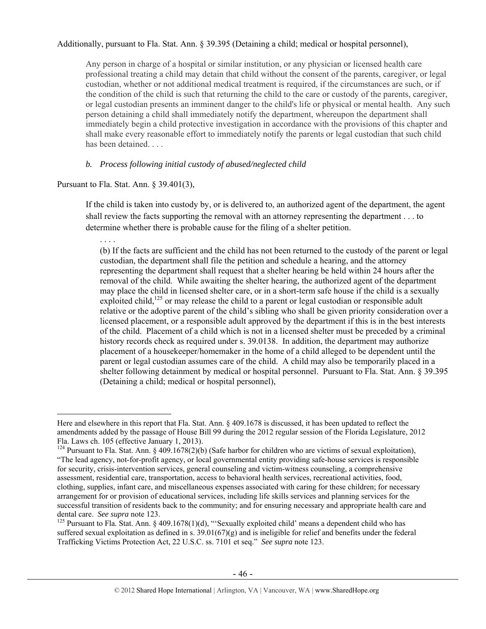## Additionally, pursuant to Fla. Stat. Ann. § 39.395 (Detaining a child; medical or hospital personnel),

Any person in charge of a hospital or similar institution, or any physician or licensed health care professional treating a child may detain that child without the consent of the parents, caregiver, or legal custodian, whether or not additional medical treatment is required, if the circumstances are such, or if the condition of the child is such that returning the child to the care or custody of the parents, caregiver, or legal custodian presents an imminent danger to the child's life or physical or mental health. Any such person detaining a child shall immediately notify the department, whereupon the department shall immediately begin a child protective investigation in accordance with the provisions of this chapter and shall make every reasonable effort to immediately notify the parents or legal custodian that such child has been detained. . . .

## *b. Process following initial custody of abused/neglected child*

## Pursuant to Fla. Stat. Ann. § 39.401(3),

 $\overline{a}$ 

If the child is taken into custody by, or is delivered to, an authorized agent of the department, the agent shall review the facts supporting the removal with an attorney representing the department . . . to determine whether there is probable cause for the filing of a shelter petition.

(b) If the facts are sufficient and the child has not been returned to the custody of the parent or legal custodian, the department shall file the petition and schedule a hearing, and the attorney representing the department shall request that a shelter hearing be held within 24 hours after the removal of the child. While awaiting the shelter hearing, the authorized agent of the department may place the child in licensed shelter care, or in a short-term safe house if the child is a sexually exploited child,<sup>125</sup> or may release the child to a parent or legal custodian or responsible adult relative or the adoptive parent of the child's sibling who shall be given priority consideration over a licensed placement, or a responsible adult approved by the department if this is in the best interests of the child. Placement of a child which is not in a licensed shelter must be preceded by a criminal history records check as required under s. 39.0138. In addition, the department may authorize placement of a housekeeper/homemaker in the home of a child alleged to be dependent until the parent or legal custodian assumes care of the child. A child may also be temporarily placed in a shelter following detainment by medical or hospital personnel. Pursuant to Fla. Stat. Ann. § 39.395 (Detaining a child; medical or hospital personnel),

Here and elsewhere in this report that Fla. Stat. Ann. § 409.1678 is discussed, it has been updated to reflect the amendments added by the passage of House Bill 99 during the 2012 regular session of the Florida Legislature, 2012 Fla. Laws ch. 105 (effective January 1, 2013).

<sup>&</sup>lt;sup>124</sup> Pursuant to Fla. Stat. Ann. § 409.1678(2)(b) (Safe harbor for children who are victims of sexual exploitation), "The lead agency, not-for-profit agency, or local governmental entity providing safe-house services is responsible for security, crisis-intervention services, general counseling and victim-witness counseling, a comprehensive assessment, residential care, transportation, access to behavioral health services, recreational activities, food, clothing, supplies, infant care, and miscellaneous expenses associated with caring for these children; for necessary arrangement for or provision of educational services, including life skills services and planning services for the successful transition of residents back to the community; and for ensuring necessary and appropriate health care and dental care. *See supra* note 123.<br><sup>125</sup> Pursuant to Fla. Stat. Ann. § 409.1678(1)(d), "'Sexually exploited child' means a dependent child who has

suffered sexual exploitation as defined in s.  $39.01(67)(g)$  and is ineligible for relief and benefits under the federal Trafficking Victims Protection Act, 22 U.S.C. ss. 7101 et seq." *See supra* note 123.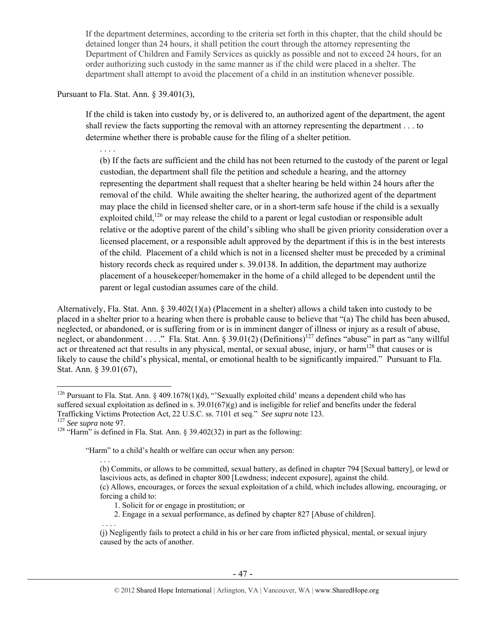If the department determines, according to the criteria set forth in this chapter, that the child should be detained longer than 24 hours, it shall petition the court through the attorney representing the Department of Children and Family Services as quickly as possible and not to exceed 24 hours, for an order authorizing such custody in the same manner as if the child were placed in a shelter. The department shall attempt to avoid the placement of a child in an institution whenever possible.

Pursuant to Fla. Stat. Ann. § 39.401(3),

If the child is taken into custody by, or is delivered to, an authorized agent of the department, the agent shall review the facts supporting the removal with an attorney representing the department . . . to determine whether there is probable cause for the filing of a shelter petition.

. . . . (b) If the facts are sufficient and the child has not been returned to the custody of the parent or legal custodian, the department shall file the petition and schedule a hearing, and the attorney representing the department shall request that a shelter hearing be held within 24 hours after the removal of the child. While awaiting the shelter hearing, the authorized agent of the department may place the child in licensed shelter care, or in a short-term safe house if the child is a sexually exploited child,<sup>126</sup> or may release the child to a parent or legal custodian or responsible adult relative or the adoptive parent of the child's sibling who shall be given priority consideration over a licensed placement, or a responsible adult approved by the department if this is in the best interests of the child. Placement of a child which is not in a licensed shelter must be preceded by a criminal history records check as required under s. 39.0138. In addition, the department may authorize placement of a housekeeper/homemaker in the home of a child alleged to be dependent until the parent or legal custodian assumes care of the child.

Alternatively, Fla. Stat. Ann. § 39.402(1)(a) (Placement in a shelter) allows a child taken into custody to be placed in a shelter prior to a hearing when there is probable cause to believe that "(a) The child has been abused, neglected, or abandoned, or is suffering from or is in imminent danger of illness or injury as a result of abuse, neglect, or abandonment . . . ." Fla. Stat. Ann. § 39.01(2) (Definitions)<sup>127</sup> defines "abuse" in part as "any willful act or threatened act that results in any physical, mental, or sexual abuse, injury, or harm<sup>128</sup> that causes or is likely to cause the child's physical, mental, or emotional health to be significantly impaired." Pursuant to Fla. Stat. Ann. § 39.01(67),

. . . .

 $\overline{a}$ 

"Harm" to a child's health or welfare can occur when any person:

1. Solicit for or engage in prostitution; or

2. Engage in a sexual performance, as defined by chapter 827 [Abuse of children].

(j) Negligently fails to protect a child in his or her care from inflicted physical, mental, or sexual injury caused by the acts of another.

<sup>&</sup>lt;sup>126</sup> Pursuant to Fla. Stat. Ann. § 409.1678(1)(d), "Sexually exploited child' means a dependent child who has suffered sexual exploitation as defined in s.  $39.01(67)(g)$  and is ineligible for relief and benefits under the federal Trafficking Victims Protection Act, 22 U.S.C. ss. 7101 et seq." See supra note 123.

<sup>&</sup>lt;sup>127</sup> See supra note 97.<br><sup>128</sup> "Harm" is defined in Fla. Stat. Ann. § 39.402(32) in part as the following:

<sup>. . .</sup>  (b) Commits, or allows to be committed, sexual battery, as defined in chapter 794 [Sexual battery], or lewd or lascivious acts, as defined in chapter 800 [Lewdness; indecent exposure], against the child. (c) Allows, encourages, or forces the sexual exploitation of a child, which includes allowing, encouraging, or forcing a child to: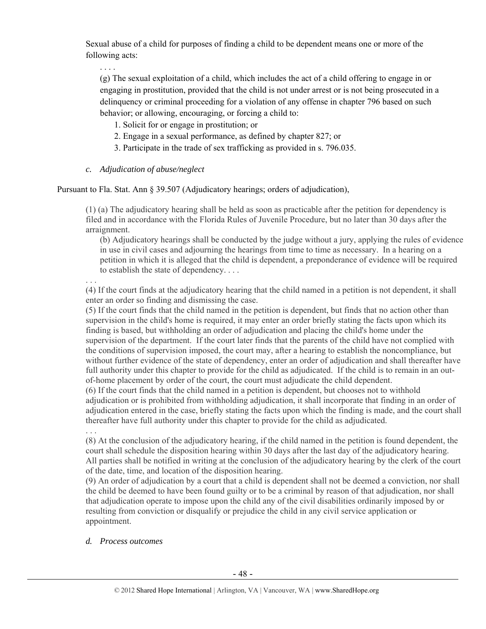Sexual abuse of a child for purposes of finding a child to be dependent means one or more of the following acts:

. . . .

(g) The sexual exploitation of a child, which includes the act of a child offering to engage in or engaging in prostitution, provided that the child is not under arrest or is not being prosecuted in a delinquency or criminal proceeding for a violation of any offense in chapter 796 based on such behavior; or allowing, encouraging, or forcing a child to:

- 1. Solicit for or engage in prostitution; or
- 2. Engage in a sexual performance, as defined by chapter 827; or
- 3. Participate in the trade of sex trafficking as provided in s. 796.035.
- *c. Adjudication of abuse/neglect*

Pursuant to Fla. Stat. Ann § 39.507 (Adjudicatory hearings; orders of adjudication),

(1) (a) The adjudicatory hearing shall be held as soon as practicable after the petition for dependency is filed and in accordance with the Florida Rules of Juvenile Procedure, but no later than 30 days after the arraignment.

(b) Adjudicatory hearings shall be conducted by the judge without a jury, applying the rules of evidence in use in civil cases and adjourning the hearings from time to time as necessary. In a hearing on a petition in which it is alleged that the child is dependent, a preponderance of evidence will be required to establish the state of dependency. . . .

(4) If the court finds at the adjudicatory hearing that the child named in a petition is not dependent, it shall enter an order so finding and dismissing the case.

(5) If the court finds that the child named in the petition is dependent, but finds that no action other than supervision in the child's home is required, it may enter an order briefly stating the facts upon which its finding is based, but withholding an order of adjudication and placing the child's home under the supervision of the department. If the court later finds that the parents of the child have not complied with the conditions of supervision imposed, the court may, after a hearing to establish the noncompliance, but without further evidence of the state of dependency, enter an order of adjudication and shall thereafter have full authority under this chapter to provide for the child as adjudicated. If the child is to remain in an outof-home placement by order of the court, the court must adjudicate the child dependent.

(6) If the court finds that the child named in a petition is dependent, but chooses not to withhold adjudication or is prohibited from withholding adjudication, it shall incorporate that finding in an order of adjudication entered in the case, briefly stating the facts upon which the finding is made, and the court shall thereafter have full authority under this chapter to provide for the child as adjudicated.

. . .

. . .

(8) At the conclusion of the adjudicatory hearing, if the child named in the petition is found dependent, the court shall schedule the disposition hearing within 30 days after the last day of the adjudicatory hearing. All parties shall be notified in writing at the conclusion of the adjudicatory hearing by the clerk of the court of the date, time, and location of the disposition hearing.

(9) An order of adjudication by a court that a child is dependent shall not be deemed a conviction, nor shall the child be deemed to have been found guilty or to be a criminal by reason of that adjudication, nor shall that adjudication operate to impose upon the child any of the civil disabilities ordinarily imposed by or resulting from conviction or disqualify or prejudice the child in any civil service application or appointment.

*d. Process outcomes*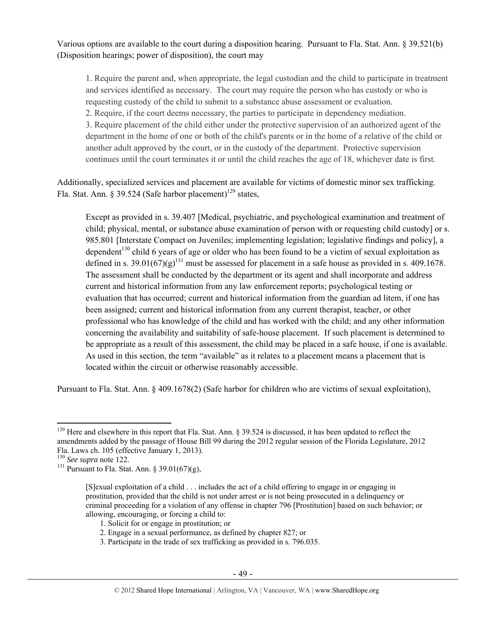Various options are available to the court during a disposition hearing. Pursuant to Fla. Stat. Ann. § 39.521(b) (Disposition hearings; power of disposition), the court may

1. Require the parent and, when appropriate, the legal custodian and the child to participate in treatment and services identified as necessary. The court may require the person who has custody or who is requesting custody of the child to submit to a substance abuse assessment or evaluation. 2. Require, if the court deems necessary, the parties to participate in dependency mediation. 3. Require placement of the child either under the protective supervision of an authorized agent of the department in the home of one or both of the child's parents or in the home of a relative of the child or another adult approved by the court, or in the custody of the department. Protective supervision continues until the court terminates it or until the child reaches the age of 18, whichever date is first.

Additionally, specialized services and placement are available for victims of domestic minor sex trafficking. Fla. Stat. Ann. § 39.524 (Safe harbor placement)<sup>129</sup> states,

Except as provided in s. 39.407 [Medical, psychiatric, and psychological examination and treatment of child; physical, mental, or substance abuse examination of person with or requesting child custody] or s. 985.801 [Interstate Compact on Juveniles; implementing legislation; legislative findings and policy], a dependent<sup>130</sup> child 6 years of age or older who has been found to be a victim of sexual exploitation as defined in s. 39.01(67)(g)<sup>131</sup> must be assessed for placement in a safe house as provided in s. 409.1678. The assessment shall be conducted by the department or its agent and shall incorporate and address current and historical information from any law enforcement reports; psychological testing or evaluation that has occurred; current and historical information from the guardian ad litem, if one has been assigned; current and historical information from any current therapist, teacher, or other professional who has knowledge of the child and has worked with the child; and any other information concerning the availability and suitability of safe-house placement. If such placement is determined to be appropriate as a result of this assessment, the child may be placed in a safe house, if one is available. As used in this section, the term "available" as it relates to a placement means a placement that is located within the circuit or otherwise reasonably accessible.

Pursuant to Fla. Stat. Ann. § 409.1678(2) (Safe harbor for children who are victims of sexual exploitation),

 $\overline{a}$  $129$  Here and elsewhere in this report that Fla. Stat. Ann. § 39.524 is discussed, it has been updated to reflect the amendments added by the passage of House Bill 99 during the 2012 regular session of the Florida Legislature, 2012 Fla. Laws ch. 105 (effective January 1, 2013).<br><sup>130</sup> See supra note 122.

<sup>&</sup>lt;sup>131</sup> Pursuant to Fla. Stat. Ann. § 39.01(67)(g),

<sup>[</sup>S]exual exploitation of a child . . . includes the act of a child offering to engage in or engaging in prostitution, provided that the child is not under arrest or is not being prosecuted in a delinquency or criminal proceeding for a violation of any offense in chapter 796 [Prostitution] based on such behavior; or allowing, encouraging, or forcing a child to:

<sup>1.</sup> Solicit for or engage in prostitution; or

<sup>2.</sup> Engage in a sexual performance, as defined by chapter 827; or

<sup>3.</sup> Participate in the trade of sex trafficking as provided in s. 796.035.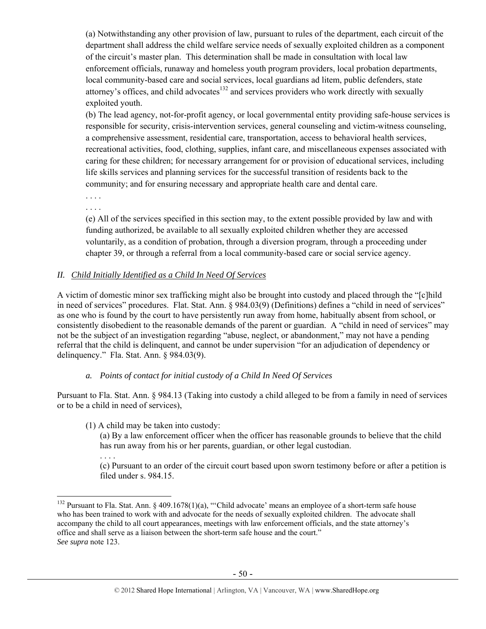(a) Notwithstanding any other provision of law, pursuant to rules of the department, each circuit of the department shall address the child welfare service needs of sexually exploited children as a component of the circuit's master plan. This determination shall be made in consultation with local law enforcement officials, runaway and homeless youth program providers, local probation departments, local community-based care and social services, local guardians ad litem, public defenders, state attorney's offices, and child advocates<sup>132</sup> and services providers who work directly with sexually exploited youth.

(b) The lead agency, not-for-profit agency, or local governmental entity providing safe-house services is responsible for security, crisis-intervention services, general counseling and victim-witness counseling, a comprehensive assessment, residential care, transportation, access to behavioral health services, recreational activities, food, clothing, supplies, infant care, and miscellaneous expenses associated with caring for these children; for necessary arrangement for or provision of educational services, including life skills services and planning services for the successful transition of residents back to the community; and for ensuring necessary and appropriate health care and dental care.

. . . . . . . .

(e) All of the services specified in this section may, to the extent possible provided by law and with funding authorized, be available to all sexually exploited children whether they are accessed voluntarily, as a condition of probation, through a diversion program, through a proceeding under chapter 39, or through a referral from a local community-based care or social service agency.

## *II. Child Initially Identified as a Child In Need Of Services*

A victim of domestic minor sex trafficking might also be brought into custody and placed through the "[c]hild in need of services" procedures. Flat. Stat. Ann. § 984.03(9) (Definitions) defines a "child in need of services" as one who is found by the court to have persistently run away from home, habitually absent from school, or consistently disobedient to the reasonable demands of the parent or guardian. A "child in need of services" may not be the subject of an investigation regarding "abuse, neglect, or abandonment," may not have a pending referral that the child is delinquent, and cannot be under supervision "for an adjudication of dependency or delinquency." Fla. Stat. Ann. § 984.03(9).

## *a. Points of contact for initial custody of a Child In Need Of Services*

Pursuant to Fla. Stat. Ann. § 984.13 (Taking into custody a child alleged to be from a family in need of services or to be a child in need of services),

(1) A child may be taken into custody:

. . . .

 $\overline{a}$ 

(a) By a law enforcement officer when the officer has reasonable grounds to believe that the child has run away from his or her parents, guardian, or other legal custodian.

(c) Pursuant to an order of the circuit court based upon sworn testimony before or after a petition is filed under s. 984.15.

<sup>&</sup>lt;sup>132</sup> Pursuant to Fla. Stat. Ann. § 409.1678(1)(a), "'Child advocate' means an employee of a short-term safe house who has been trained to work with and advocate for the needs of sexually exploited children. The advocate shall accompany the child to all court appearances, meetings with law enforcement officials, and the state attorney's office and shall serve as a liaison between the short-term safe house and the court." *See supra* note 123.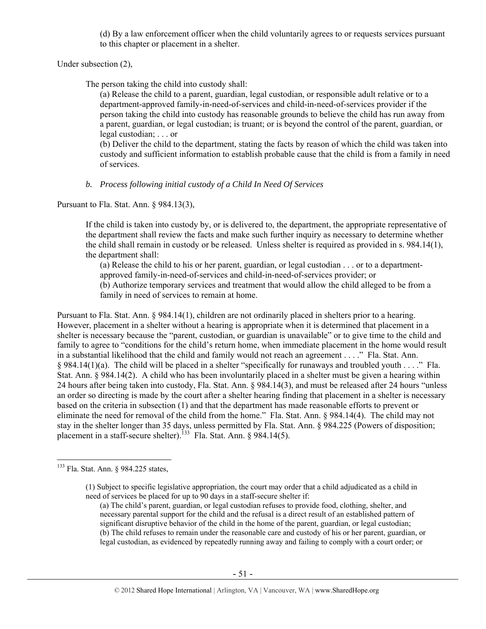(d) By a law enforcement officer when the child voluntarily agrees to or requests services pursuant to this chapter or placement in a shelter.

Under subsection (2),

The person taking the child into custody shall:

(a) Release the child to a parent, guardian, legal custodian, or responsible adult relative or to a department-approved family-in-need-of-services and child-in-need-of-services provider if the person taking the child into custody has reasonable grounds to believe the child has run away from a parent, guardian, or legal custodian; is truant; or is beyond the control of the parent, guardian, or legal custodian; . . . or

(b) Deliver the child to the department, stating the facts by reason of which the child was taken into custody and sufficient information to establish probable cause that the child is from a family in need of services.

*b. Process following initial custody of a Child In Need Of Services* 

Pursuant to Fla. Stat. Ann. § 984.13(3),

If the child is taken into custody by, or is delivered to, the department, the appropriate representative of the department shall review the facts and make such further inquiry as necessary to determine whether the child shall remain in custody or be released. Unless shelter is required as provided in s. 984.14(1), the department shall:

(a) Release the child to his or her parent, guardian, or legal custodian . . . or to a department-

approved family-in-need-of-services and child-in-need-of-services provider; or

(b) Authorize temporary services and treatment that would allow the child alleged to be from a family in need of services to remain at home.

Pursuant to Fla. Stat. Ann. § 984.14(1), children are not ordinarily placed in shelters prior to a hearing. However, placement in a shelter without a hearing is appropriate when it is determined that placement in a shelter is necessary because the "parent, custodian, or guardian is unavailable" or to give time to the child and family to agree to "conditions for the child's return home, when immediate placement in the home would result in a substantial likelihood that the child and family would not reach an agreement . . . ." Fla. Stat. Ann. § 984.14(1)(a). The child will be placed in a shelter "specifically for runaways and troubled youth . . . ." Fla. Stat. Ann. § 984.14(2). A child who has been involuntarily placed in a shelter must be given a hearing within 24 hours after being taken into custody, Fla. Stat. Ann. § 984.14(3), and must be released after 24 hours "unless an order so directing is made by the court after a shelter hearing finding that placement in a shelter is necessary based on the criteria in subsection (1) and that the department has made reasonable efforts to prevent or eliminate the need for removal of the child from the home." Fla. Stat. Ann. § 984.14(4). The child may not stay in the shelter longer than 35 days, unless permitted by Fla. Stat. Ann. § 984.225 (Powers of disposition; placement in a staff-secure shelter).<sup>133</sup> Fla. Stat. Ann. § 984.14(5).

<sup>&</sup>lt;sup>133</sup> Fla. Stat. Ann. § 984.225 states,

<sup>(1)</sup> Subject to specific legislative appropriation, the court may order that a child adjudicated as a child in need of services be placed for up to 90 days in a staff-secure shelter if:

<sup>(</sup>a) The child's parent, guardian, or legal custodian refuses to provide food, clothing, shelter, and necessary parental support for the child and the refusal is a direct result of an established pattern of significant disruptive behavior of the child in the home of the parent, guardian, or legal custodian; (b) The child refuses to remain under the reasonable care and custody of his or her parent, guardian, or legal custodian, as evidenced by repeatedly running away and failing to comply with a court order; or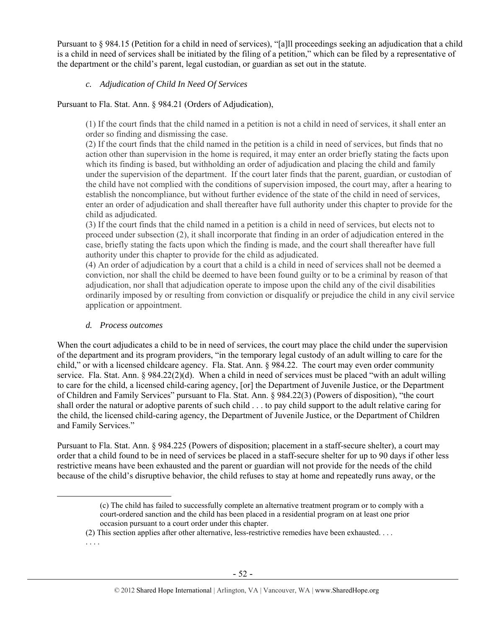Pursuant to § 984.15 (Petition for a child in need of services), "[a]ll proceedings seeking an adjudication that a child is a child in need of services shall be initiated by the filing of a petition," which can be filed by a representative of the department or the child's parent, legal custodian, or guardian as set out in the statute.

## *c. Adjudication of Child In Need Of Services*

Pursuant to Fla. Stat. Ann. § 984.21 (Orders of Adjudication),

(1) If the court finds that the child named in a petition is not a child in need of services, it shall enter an order so finding and dismissing the case.

(2) If the court finds that the child named in the petition is a child in need of services, but finds that no action other than supervision in the home is required, it may enter an order briefly stating the facts upon which its finding is based, but withholding an order of adjudication and placing the child and family under the supervision of the department. If the court later finds that the parent, guardian, or custodian of the child have not complied with the conditions of supervision imposed, the court may, after a hearing to establish the noncompliance, but without further evidence of the state of the child in need of services, enter an order of adjudication and shall thereafter have full authority under this chapter to provide for the child as adjudicated.

(3) If the court finds that the child named in a petition is a child in need of services, but elects not to proceed under subsection (2), it shall incorporate that finding in an order of adjudication entered in the case, briefly stating the facts upon which the finding is made, and the court shall thereafter have full authority under this chapter to provide for the child as adjudicated.

(4) An order of adjudication by a court that a child is a child in need of services shall not be deemed a conviction, nor shall the child be deemed to have been found guilty or to be a criminal by reason of that adjudication, nor shall that adjudication operate to impose upon the child any of the civil disabilities ordinarily imposed by or resulting from conviction or disqualify or prejudice the child in any civil service application or appointment.

#### *d. Process outcomes*

When the court adjudicates a child to be in need of services, the court may place the child under the supervision of the department and its program providers, "in the temporary legal custody of an adult willing to care for the child," or with a licensed childcare agency. Fla. Stat. Ann. § 984.22. The court may even order community service. Fla. Stat. Ann. § 984.22(2)(d). When a child in need of services must be placed "with an adult willing to care for the child, a licensed child-caring agency, [or] the Department of Juvenile Justice, or the Department of Children and Family Services" pursuant to Fla. Stat. Ann. § 984.22(3) (Powers of disposition), "the court shall order the natural or adoptive parents of such child . . . to pay child support to the adult relative caring for the child, the licensed child-caring agency, the Department of Juvenile Justice, or the Department of Children and Family Services."

Pursuant to Fla. Stat. Ann. § 984.225 (Powers of disposition; placement in a staff-secure shelter), a court may order that a child found to be in need of services be placed in a staff-secure shelter for up to 90 days if other less restrictive means have been exhausted and the parent or guardian will not provide for the needs of the child because of the child's disruptive behavior, the child refuses to stay at home and repeatedly runs away, or the

. . . .

 <sup>(</sup>c) The child has failed to successfully complete an alternative treatment program or to comply with a court-ordered sanction and the child has been placed in a residential program on at least one prior occasion pursuant to a court order under this chapter.

<sup>(2)</sup> This section applies after other alternative, less-restrictive remedies have been exhausted. . . .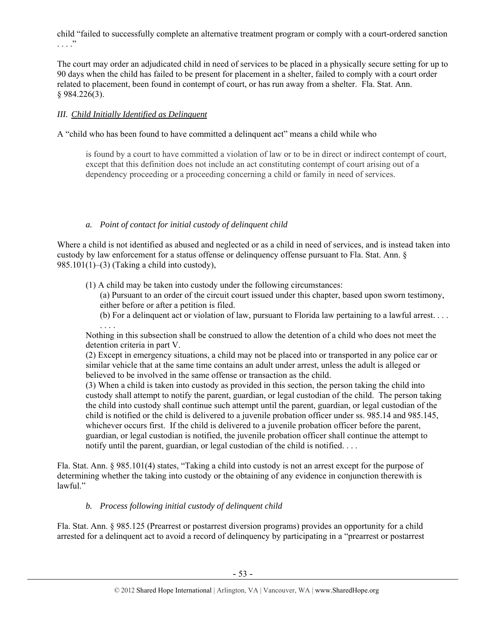child "failed to successfully complete an alternative treatment program or comply with a court-ordered sanction . . . ."

The court may order an adjudicated child in need of services to be placed in a physically secure setting for up to 90 days when the child has failed to be present for placement in a shelter, failed to comply with a court order related to placement, been found in contempt of court, or has run away from a shelter. Fla. Stat. Ann. § 984.226(3).

## *III. Child Initially Identified as Delinquent*

A "child who has been found to have committed a delinquent act" means a child while who

is found by a court to have committed a violation of law or to be in direct or indirect contempt of court, except that this definition does not include an act constituting contempt of court arising out of a dependency proceeding or a proceeding concerning a child or family in need of services.

## *a. Point of contact for initial custody of delinquent child*

Where a child is not identified as abused and neglected or as a child in need of services, and is instead taken into custody by law enforcement for a status offense or delinquency offense pursuant to Fla. Stat. Ann. § 985.101(1)–(3) (Taking a child into custody),

- (1) A child may be taken into custody under the following circumstances:
	- (a) Pursuant to an order of the circuit court issued under this chapter, based upon sworn testimony, either before or after a petition is filed.
	- (b) For a delinquent act or violation of law, pursuant to Florida law pertaining to a lawful arrest. . . .

. . . . Nothing in this subsection shall be construed to allow the detention of a child who does not meet the detention criteria in part V.

(2) Except in emergency situations, a child may not be placed into or transported in any police car or similar vehicle that at the same time contains an adult under arrest, unless the adult is alleged or believed to be involved in the same offense or transaction as the child.

(3) When a child is taken into custody as provided in this section, the person taking the child into custody shall attempt to notify the parent, guardian, or legal custodian of the child. The person taking the child into custody shall continue such attempt until the parent, guardian, or legal custodian of the child is notified or the child is delivered to a juvenile probation officer under ss. 985.14 and 985.145, whichever occurs first. If the child is delivered to a juvenile probation officer before the parent, guardian, or legal custodian is notified, the juvenile probation officer shall continue the attempt to notify until the parent, guardian, or legal custodian of the child is notified. . . .

Fla. Stat. Ann. § 985.101(4) states, "Taking a child into custody is not an arrest except for the purpose of determining whether the taking into custody or the obtaining of any evidence in conjunction therewith is lawful."

## *b. Process following initial custody of delinquent child*

Fla. Stat. Ann. § 985.125 (Prearrest or postarrest diversion programs) provides an opportunity for a child arrested for a delinquent act to avoid a record of delinquency by participating in a "prearrest or postarrest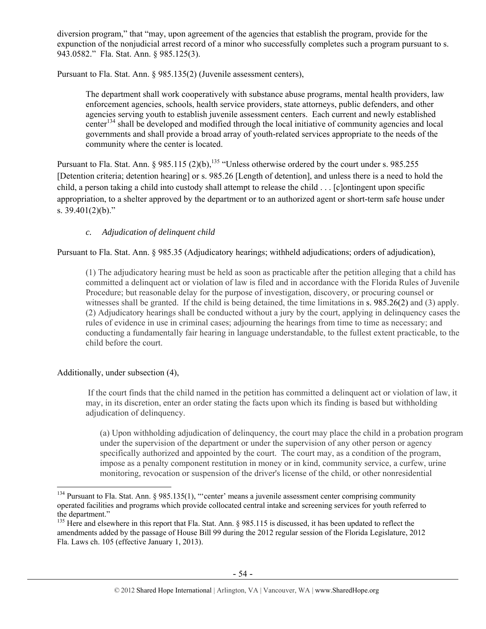diversion program," that "may, upon agreement of the agencies that establish the program, provide for the expunction of the nonjudicial arrest record of a minor who successfully completes such a program pursuant to s. 943.0582." Fla. Stat. Ann. § 985.125(3).

Pursuant to Fla. Stat. Ann. § 985.135(2) (Juvenile assessment centers),

The department shall work cooperatively with substance abuse programs, mental health providers, law enforcement agencies, schools, health service providers, state attorneys, public defenders, and other agencies serving youth to establish juvenile assessment centers. Each current and newly established center134 shall be developed and modified through the local initiative of community agencies and local governments and shall provide a broad array of youth-related services appropriate to the needs of the community where the center is located.

Pursuant to Fla. Stat. Ann. § 985.115 (2)(b), $^{135}$  "Unless otherwise ordered by the court under s. 985.255 [Detention criteria; detention hearing] or s. 985.26 [Length of detention], and unless there is a need to hold the child, a person taking a child into custody shall attempt to release the child . . . [c]ontingent upon specific appropriation, to a shelter approved by the department or to an authorized agent or short-term safe house under s.  $39.401(2)(b)$ ."

## *c. Adjudication of delinquent child*

Pursuant to Fla. Stat. Ann. § 985.35 (Adjudicatory hearings; withheld adjudications; orders of adjudication),

(1) The adjudicatory hearing must be held as soon as practicable after the petition alleging that a child has committed a delinquent act or violation of law is filed and in accordance with the Florida Rules of Juvenile Procedure; but reasonable delay for the purpose of investigation, discovery, or procuring counsel or witnesses shall be granted. If the child is being detained, the time limitations in s. 985.26(2) and (3) apply. (2) Adjudicatory hearings shall be conducted without a jury by the court, applying in delinquency cases the rules of evidence in use in criminal cases; adjourning the hearings from time to time as necessary; and conducting a fundamentally fair hearing in language understandable, to the fullest extent practicable, to the child before the court.

## Additionally, under subsection (4),

 If the court finds that the child named in the petition has committed a delinquent act or violation of law, it may, in its discretion, enter an order stating the facts upon which its finding is based but withholding adjudication of delinquency.

(a) Upon withholding adjudication of delinquency, the court may place the child in a probation program under the supervision of the department or under the supervision of any other person or agency specifically authorized and appointed by the court. The court may, as a condition of the program, impose as a penalty component restitution in money or in kind, community service, a curfew, urine monitoring, revocation or suspension of the driver's license of the child, or other nonresidential

 $\overline{a}$  $134$  Pursuant to Fla. Stat. Ann. § 985.135(1), "'center' means a juvenile assessment center comprising community operated facilities and programs which provide collocated central intake and screening services for youth referred to the department."

<sup>&</sup>lt;sup>135</sup> Here and elsewhere in this report that Fla. Stat. Ann.  $\S$  985.115 is discussed, it has been updated to reflect the amendments added by the passage of House Bill 99 during the 2012 regular session of the Florida Legislature, 2012 Fla. Laws ch. 105 (effective January 1, 2013).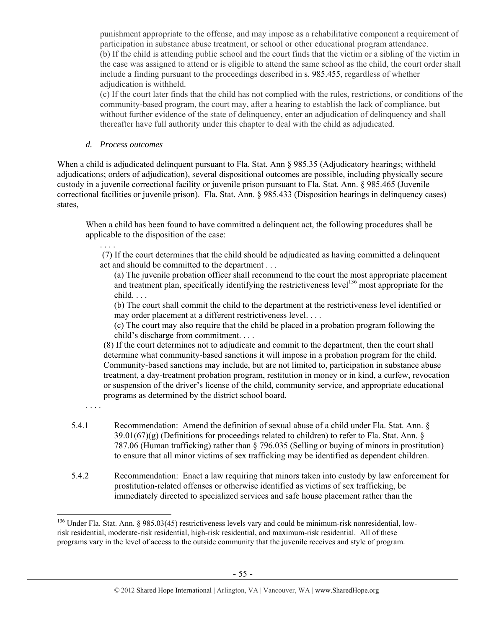punishment appropriate to the offense, and may impose as a rehabilitative component a requirement of participation in substance abuse treatment, or school or other educational program attendance. (b) If the child is attending public school and the court finds that the victim or a sibling of the victim in the case was assigned to attend or is eligible to attend the same school as the child, the court order shall include a finding pursuant to the proceedings described in s. 985.455, regardless of whether adjudication is withheld.

(c) If the court later finds that the child has not complied with the rules, restrictions, or conditions of the community-based program, the court may, after a hearing to establish the lack of compliance, but without further evidence of the state of delinquency, enter an adjudication of delinquency and shall thereafter have full authority under this chapter to deal with the child as adjudicated.

#### *d. Process outcomes*

When a child is adjudicated delinquent pursuant to Fla. Stat. Ann § 985.35 (Adjudicatory hearings; withheld adjudications; orders of adjudication), several dispositional outcomes are possible, including physically secure custody in a juvenile correctional facility or juvenile prison pursuant to Fla. Stat. Ann. § 985.465 (Juvenile correctional facilities or juvenile prison). Fla. Stat. Ann. § 985.433 (Disposition hearings in delinquency cases) states,

When a child has been found to have committed a delinquent act, the following procedures shall be applicable to the disposition of the case:

. . . . (7) If the court determines that the child should be adjudicated as having committed a delinquent act and should be committed to the department . . .

(a) The juvenile probation officer shall recommend to the court the most appropriate placement and treatment plan, specifically identifying the restrictiveness level<sup>136</sup> most appropriate for the child. . . .

(b) The court shall commit the child to the department at the restrictiveness level identified or may order placement at a different restrictiveness level. . . .

(c) The court may also require that the child be placed in a probation program following the child's discharge from commitment. . . .

(8) If the court determines not to adjudicate and commit to the department, then the court shall determine what community-based sanctions it will impose in a probation program for the child. Community-based sanctions may include, but are not limited to, participation in substance abuse treatment, a day-treatment probation program, restitution in money or in kind, a curfew, revocation or suspension of the driver's license of the child, community service, and appropriate educational programs as determined by the district school board.

. . . .

- 5.4.1 Recommendation: Amend the definition of sexual abuse of a child under Fla. Stat. Ann. §  $39.01(67)(g)$  (Definitions for proceedings related to children) to refer to Fla. Stat. Ann. § 787.06 (Human trafficking) rather than § 796.035 (Selling or buying of minors in prostitution) to ensure that all minor victims of sex trafficking may be identified as dependent children.
- 5.4.2 Recommendation: Enact a law requiring that minors taken into custody by law enforcement for prostitution-related offenses or otherwise identified as victims of sex trafficking, be immediately directed to specialized services and safe house placement rather than the

 $\overline{a}$ <sup>136</sup> Under Fla. Stat. Ann. § 985.03(45) restrictiveness levels vary and could be minimum-risk nonresidential, lowrisk residential, moderate-risk residential, high-risk residential, and maximum-risk residential. All of these programs vary in the level of access to the outside community that the juvenile receives and style of program.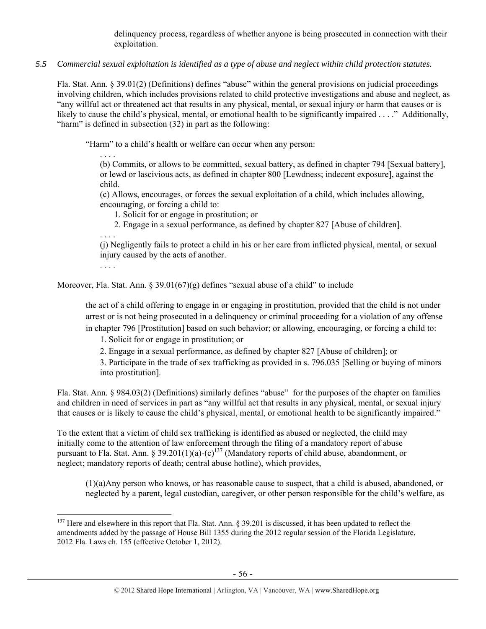delinquency process, regardless of whether anyone is being prosecuted in connection with their exploitation.

*5.5 Commercial sexual exploitation is identified as a type of abuse and neglect within child protection statutes.* 

Fla. Stat. Ann. § 39.01(2) (Definitions) defines "abuse" within the general provisions on judicial proceedings involving children, which includes provisions related to child protective investigations and abuse and neglect, as "any willful act or threatened act that results in any physical, mental, or sexual injury or harm that causes or is likely to cause the child's physical, mental, or emotional health to be significantly impaired . . . ." Additionally, "harm" is defined in subsection (32) in part as the following:

"Harm" to a child's health or welfare can occur when any person:

(b) Commits, or allows to be committed, sexual battery, as defined in chapter 794 [Sexual battery], or lewd or lascivious acts, as defined in chapter 800 [Lewdness; indecent exposure], against the child.

(c) Allows, encourages, or forces the sexual exploitation of a child, which includes allowing, encouraging, or forcing a child to:

1. Solicit for or engage in prostitution; or

2. Engage in a sexual performance, as defined by chapter 827 [Abuse of children].

. . . .

. . . .

(j) Negligently fails to protect a child in his or her care from inflicted physical, mental, or sexual injury caused by the acts of another.

. . . .

Moreover, Fla. Stat. Ann. § 39.01(67)(g) defines "sexual abuse of a child" to include

the act of a child offering to engage in or engaging in prostitution, provided that the child is not under arrest or is not being prosecuted in a delinquency or criminal proceeding for a violation of any offense in chapter 796 [Prostitution] based on such behavior; or allowing, encouraging, or forcing a child to:

1. Solicit for or engage in prostitution; or

2. Engage in a sexual performance, as defined by chapter 827 [Abuse of children]; or

3. Participate in the trade of sex trafficking as provided in s. 796.035 [Selling or buying of minors into prostitution].

Fla. Stat. Ann. § 984.03(2) (Definitions) similarly defines "abuse" for the purposes of the chapter on families and children in need of services in part as "any willful act that results in any physical, mental, or sexual injury that causes or is likely to cause the child's physical, mental, or emotional health to be significantly impaired."

To the extent that a victim of child sex trafficking is identified as abused or neglected, the child may initially come to the attention of law enforcement through the filing of a mandatory report of abuse pursuant to Fla. Stat. Ann. § 39.201(1)(a)-(c)<sup>137</sup> (Mandatory reports of child abuse, abandonment, or neglect; mandatory reports of death; central abuse hotline), which provides,

(1)(a)Any person who knows, or has reasonable cause to suspect, that a child is abused, abandoned, or neglected by a parent, legal custodian, caregiver, or other person responsible for the child's welfare, as

 $\overline{a}$ <sup>137</sup> Here and elsewhere in this report that Fla. Stat. Ann. § 39.201 is discussed, it has been updated to reflect the amendments added by the passage of House Bill 1355 during the 2012 regular session of the Florida Legislature, 2012 Fla. Laws ch. 155 (effective October 1, 2012).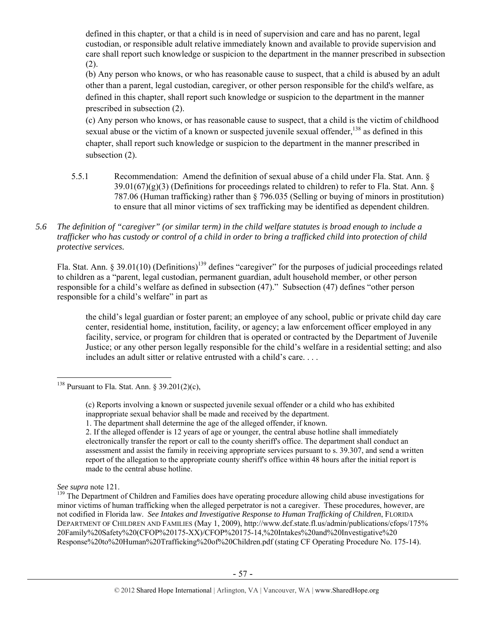defined in this chapter, or that a child is in need of supervision and care and has no parent, legal custodian, or responsible adult relative immediately known and available to provide supervision and care shall report such knowledge or suspicion to the department in the manner prescribed in subsection (2).

(b) Any person who knows, or who has reasonable cause to suspect, that a child is abused by an adult other than a parent, legal custodian, caregiver, or other person responsible for the child's welfare, as defined in this chapter, shall report such knowledge or suspicion to the department in the manner prescribed in subsection (2).

(c) Any person who knows, or has reasonable cause to suspect, that a child is the victim of childhood sexual abuse or the victim of a known or suspected juvenile sexual offender,  $138$  as defined in this chapter, shall report such knowledge or suspicion to the department in the manner prescribed in subsection (2).

- 5.5.1 Recommendation: Amend the definition of sexual abuse of a child under Fla. Stat. Ann. §  $39.01(67)(g)(3)$  (Definitions for proceedings related to children) to refer to Fla. Stat. Ann. § 787.06 (Human trafficking) rather than § 796.035 (Selling or buying of minors in prostitution) to ensure that all minor victims of sex trafficking may be identified as dependent children.
- *5.6 The definition of "caregiver" (or similar term) in the child welfare statutes is broad enough to include a trafficker who has custody or control of a child in order to bring a trafficked child into protection of child protective services.*

Fla. Stat. Ann. § 39.01(10) (Definitions)<sup>139</sup> defines "caregiver" for the purposes of judicial proceedings related to children as a "parent, legal custodian, permanent guardian, adult household member, or other person responsible for a child's welfare as defined in subsection (47)." Subsection (47) defines "other person responsible for a child's welfare" in part as

the child's legal guardian or foster parent; an employee of any school, public or private child day care center, residential home, institution, facility, or agency; a law enforcement officer employed in any facility, service, or program for children that is operated or contracted by the Department of Juvenile Justice; or any other person legally responsible for the child's welfare in a residential setting; and also includes an adult sitter or relative entrusted with a child's care. . . .

 $\overline{a}$ <sup>138</sup> Pursuant to Fla. Stat. Ann. § 39.201(2)(c),

<sup>(</sup>c) Reports involving a known or suspected juvenile sexual offender or a child who has exhibited inappropriate sexual behavior shall be made and received by the department.

<sup>1.</sup> The department shall determine the age of the alleged offender, if known.

<sup>2.</sup> If the alleged offender is 12 years of age or younger, the central abuse hotline shall immediately electronically transfer the report or call to the county sheriff's office. The department shall conduct an assessment and assist the family in receiving appropriate services pursuant to s. 39.307, and send a written report of the allegation to the appropriate county sheriff's office within 48 hours after the initial report is made to the central abuse hotline.

*See supra* note 121.<br><sup>139</sup> The Department of Children and Families does have operating procedure allowing child abuse investigations for minor victims of human trafficking when the alleged perpetrator is not a caregiver. These procedures, however, are not codified in Florida law. *See Intakes and Investigative Response to Human Trafficking of Children*, FLORIDA DEPARTMENT OF CHILDREN AND FAMILIES (May 1, 2009), http://www.dcf.state.fl.us/admin/publications/cfops/175% 20Family%20Safety%20(CFOP%20175-XX)/CFOP%20175-14,%20Intakes%20and%20Investigative%20 Response%20to%20Human%20Trafficking%20of%20Children.pdf (stating CF Operating Procedure No. 175-14).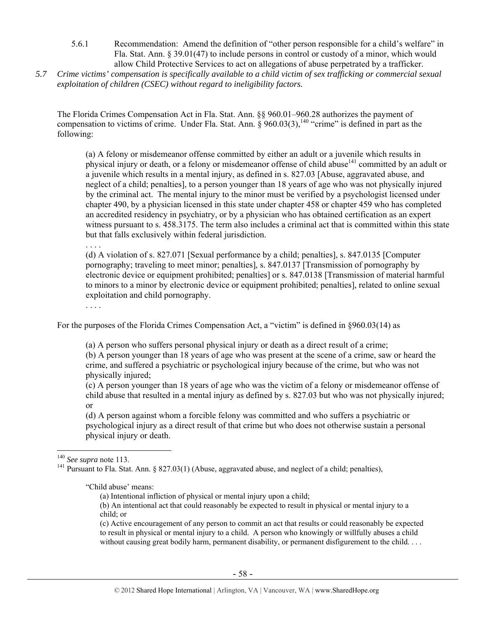- 5.6.1 Recommendation: Amend the definition of "other person responsible for a child's welfare" in Fla. Stat. Ann. § 39.01(47) to include persons in control or custody of a minor, which would allow Child Protective Services to act on allegations of abuse perpetrated by a trafficker.
- *5.7 Crime victims' compensation is specifically available to a child victim of sex trafficking or commercial sexual exploitation of children (CSEC) without regard to ineligibility factors.*

The Florida Crimes Compensation Act in Fla. Stat. Ann. §§ 960.01–960.28 authorizes the payment of compensation to victims of crime. Under Fla. Stat. Ann.  $\frac{8}{960.03(3)}$ ,  $\frac{140}{9}$  "crime" is defined in part as the following:

(a) A felony or misdemeanor offense committed by either an adult or a juvenile which results in physical injury or death, or a felony or misdemeanor offense of child abuse<sup>141</sup> committed by an adult or a juvenile which results in a mental injury, as defined in s. 827.03 [Abuse, aggravated abuse, and neglect of a child; penalties], to a person younger than 18 years of age who was not physically injured by the criminal act. The mental injury to the minor must be verified by a psychologist licensed under chapter 490, by a physician licensed in this state under chapter 458 or chapter 459 who has completed an accredited residency in psychiatry, or by a physician who has obtained certification as an expert witness pursuant to s. 458.3175. The term also includes a criminal act that is committed within this state but that falls exclusively within federal jurisdiction.

(d) A violation of s. 827.071 [Sexual performance by a child; penalties], s. 847.0135 [Computer pornography; traveling to meet minor; penalties], s. 847.0137 [Transmission of pornography by electronic device or equipment prohibited; penalties] or s. 847.0138 [Transmission of material harmful to minors to a minor by electronic device or equipment prohibited; penalties], related to online sexual exploitation and child pornography.

. . . .

. . . .

For the purposes of the Florida Crimes Compensation Act, a "victim" is defined in §960.03(14) as

(a) A person who suffers personal physical injury or death as a direct result of a crime;

(b) A person younger than 18 years of age who was present at the scene of a crime, saw or heard the crime, and suffered a psychiatric or psychological injury because of the crime, but who was not physically injured;

(c) A person younger than 18 years of age who was the victim of a felony or misdemeanor offense of child abuse that resulted in a mental injury as defined by s. 827.03 but who was not physically injured; or

(d) A person against whom a forcible felony was committed and who suffers a psychiatric or psychological injury as a direct result of that crime but who does not otherwise sustain a personal physical injury or death.

(c) Active encouragement of any person to commit an act that results or could reasonably be expected to result in physical or mental injury to a child. A person who knowingly or willfully abuses a child without causing great bodily harm, permanent disability, or permanent disfigurement to the child. . . .

 $140$  See supra note 113.

<sup>&</sup>lt;sup>141</sup> Pursuant to Fla. Stat. Ann. § 827.03(1) (Abuse, aggravated abuse, and neglect of a child; penalties),

<sup>&</sup>quot;Child abuse' means:

<sup>(</sup>a) Intentional infliction of physical or mental injury upon a child;

<sup>(</sup>b) An intentional act that could reasonably be expected to result in physical or mental injury to a child; or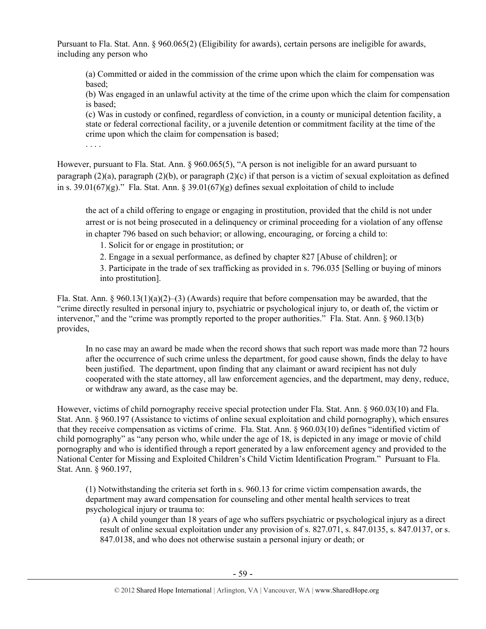Pursuant to Fla. Stat. Ann. § 960.065(2) (Eligibility for awards), certain persons are ineligible for awards, including any person who

(a) Committed or aided in the commission of the crime upon which the claim for compensation was based;

(b) Was engaged in an unlawful activity at the time of the crime upon which the claim for compensation is based;

(c) Was in custody or confined, regardless of conviction, in a county or municipal detention facility, a state or federal correctional facility, or a juvenile detention or commitment facility at the time of the crime upon which the claim for compensation is based;

. . . .

However, pursuant to Fla. Stat. Ann. § 960.065(5), "A person is not ineligible for an award pursuant to paragraph  $(2)(a)$ , paragraph  $(2)(b)$ , or paragraph  $(2)(c)$  if that person is a victim of sexual exploitation as defined in s. 39.01(67)(g)." Fla. Stat. Ann. § 39.01(67)(g) defines sexual exploitation of child to include

the act of a child offering to engage or engaging in prostitution, provided that the child is not under arrest or is not being prosecuted in a delinquency or criminal proceeding for a violation of any offense in chapter 796 based on such behavior; or allowing, encouraging, or forcing a child to:

1. Solicit for or engage in prostitution; or

2. Engage in a sexual performance, as defined by chapter 827 [Abuse of children]; or

3. Participate in the trade of sex trafficking as provided in s. 796.035 [Selling or buying of minors into prostitution].

Fla. Stat. Ann. § 960.13(1)(a)(2)–(3) (Awards) require that before compensation may be awarded, that the "crime directly resulted in personal injury to, psychiatric or psychological injury to, or death of, the victim or intervenor," and the "crime was promptly reported to the proper authorities." Fla. Stat. Ann. § 960.13(b) provides,

In no case may an award be made when the record shows that such report was made more than 72 hours after the occurrence of such crime unless the department, for good cause shown, finds the delay to have been justified. The department, upon finding that any claimant or award recipient has not duly cooperated with the state attorney, all law enforcement agencies, and the department, may deny, reduce, or withdraw any award, as the case may be.

However, victims of child pornography receive special protection under Fla. Stat. Ann. § 960.03(10) and Fla. Stat. Ann. § 960.197 (Assistance to victims of online sexual exploitation and child pornography), which ensures that they receive compensation as victims of crime. Fla. Stat. Ann. § 960.03(10) defines "identified victim of child pornography" as "any person who, while under the age of 18, is depicted in any image or movie of child pornography and who is identified through a report generated by a law enforcement agency and provided to the National Center for Missing and Exploited Children's Child Victim Identification Program." Pursuant to Fla. Stat. Ann. § 960.197,

(1) Notwithstanding the criteria set forth in s. 960.13 for crime victim compensation awards, the department may award compensation for counseling and other mental health services to treat psychological injury or trauma to:

(a) A child younger than 18 years of age who suffers psychiatric or psychological injury as a direct result of online sexual exploitation under any provision of s. 827.071, s. 847.0135, s. 847.0137, or s. 847.0138, and who does not otherwise sustain a personal injury or death; or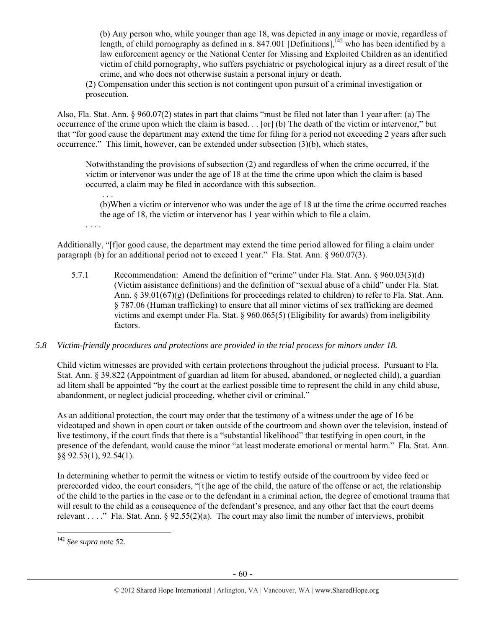(b) Any person who, while younger than age 18, was depicted in any image or movie, regardless of length, of child pornography as defined in s. 847,001 [Definitions],  $^{142}$  who has been identified by a law enforcement agency or the National Center for Missing and Exploited Children as an identified victim of child pornography, who suffers psychiatric or psychological injury as a direct result of the crime, and who does not otherwise sustain a personal injury or death.

(2) Compensation under this section is not contingent upon pursuit of a criminal investigation or prosecution.

Also, Fla. Stat. Ann. § 960.07(2) states in part that claims "must be filed not later than 1 year after: (a) The occurrence of the crime upon which the claim is based. . . [or] (b) The death of the victim or intervenor," but that "for good cause the department may extend the time for filing for a period not exceeding 2 years after such occurrence." This limit, however, can be extended under subsection (3)(b), which states,

Notwithstanding the provisions of subsection (2) and regardless of when the crime occurred, if the victim or intervenor was under the age of 18 at the time the crime upon which the claim is based occurred, a claim may be filed in accordance with this subsection.

 . . . (b)When a victim or intervenor who was under the age of 18 at the time the crime occurred reaches the age of 18, the victim or intervenor has 1 year within which to file a claim. . . . .

Additionally, "[f]or good cause, the department may extend the time period allowed for filing a claim under paragraph (b) for an additional period not to exceed 1 year." Fla. Stat. Ann. § 960.07(3).

5.7.1 Recommendation: Amend the definition of "crime" under Fla. Stat. Ann. § 960.03(3)(d) (Victim assistance definitions) and the definition of "sexual abuse of a child" under Fla. Stat. Ann. § 39.01(67)(g) (Definitions for proceedings related to children) to refer to Fla. Stat. Ann. § 787.06 (Human trafficking) to ensure that all minor victims of sex trafficking are deemed victims and exempt under Fla. Stat. § 960.065(5) (Eligibility for awards) from ineligibility factors.

## *5.8 Victim-friendly procedures and protections are provided in the trial process for minors under 18.*

Child victim witnesses are provided with certain protections throughout the judicial process. Pursuant to Fla. Stat. Ann. § 39.822 (Appointment of guardian ad litem for abused, abandoned, or neglected child), a guardian ad litem shall be appointed "by the court at the earliest possible time to represent the child in any child abuse, abandonment, or neglect judicial proceeding, whether civil or criminal."

As an additional protection, the court may order that the testimony of a witness under the age of 16 be videotaped and shown in open court or taken outside of the courtroom and shown over the television, instead of live testimony, if the court finds that there is a "substantial likelihood" that testifying in open court, in the presence of the defendant, would cause the minor "at least moderate emotional or mental harm." Fla. Stat. Ann. §§ 92.53(1), 92.54(1).

In determining whether to permit the witness or victim to testify outside of the courtroom by video feed or prerecorded video, the court considers, "[t]he age of the child, the nature of the offense or act, the relationship of the child to the parties in the case or to the defendant in a criminal action, the degree of emotional trauma that will result to the child as a consequence of the defendant's presence, and any other fact that the court deems relevant . . . ." Fla. Stat. Ann.  $\S 92.55(2)(a)$ . The court may also limit the number of interviews, prohibit

<sup>142</sup> *See supra* note 52.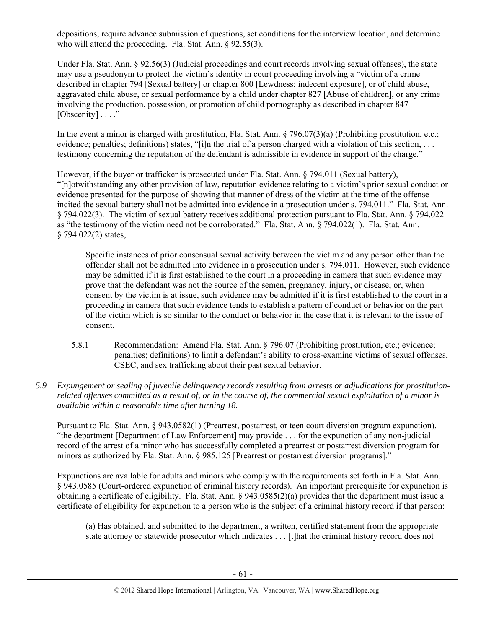depositions, require advance submission of questions, set conditions for the interview location, and determine who will attend the proceeding. Fla. Stat. Ann. § 92.55(3).

Under Fla. Stat. Ann. § 92.56(3) (Judicial proceedings and court records involving sexual offenses), the state may use a pseudonym to protect the victim's identity in court proceeding involving a "victim of a crime described in chapter 794 [Sexual battery] or chapter 800 [Lewdness; indecent exposure], or of child abuse, aggravated child abuse, or sexual performance by a child under chapter 827 [Abuse of children], or any crime involving the production, possession, or promotion of child pornography as described in chapter 847 [Obscenity] . . . ."

In the event a minor is charged with prostitution, Fla. Stat. Ann. § 796.07(3)(a) (Prohibiting prostitution, etc.; evidence; penalties; definitions) states, "[i]n the trial of a person charged with a violation of this section, ... testimony concerning the reputation of the defendant is admissible in evidence in support of the charge."

However, if the buyer or trafficker is prosecuted under Fla. Stat. Ann. § 794.011 (Sexual battery), "[n]otwithstanding any other provision of law, reputation evidence relating to a victim's prior sexual conduct or evidence presented for the purpose of showing that manner of dress of the victim at the time of the offense incited the sexual battery shall not be admitted into evidence in a prosecution under s. 794.011." Fla. Stat. Ann. § 794.022(3). The victim of sexual battery receives additional protection pursuant to Fla. Stat. Ann. § 794.022 as "the testimony of the victim need not be corroborated." Fla. Stat. Ann. § 794.022(1). Fla. Stat. Ann. § 794.022(2) states,

Specific instances of prior consensual sexual activity between the victim and any person other than the offender shall not be admitted into evidence in a prosecution under s. 794.011. However, such evidence may be admitted if it is first established to the court in a proceeding in camera that such evidence may prove that the defendant was not the source of the semen, pregnancy, injury, or disease; or, when consent by the victim is at issue, such evidence may be admitted if it is first established to the court in a proceeding in camera that such evidence tends to establish a pattern of conduct or behavior on the part of the victim which is so similar to the conduct or behavior in the case that it is relevant to the issue of consent.

- 5.8.1 Recommendation: Amend Fla. Stat. Ann. § 796.07 (Prohibiting prostitution, etc.; evidence; penalties; definitions) to limit a defendant's ability to cross-examine victims of sexual offenses, CSEC, and sex trafficking about their past sexual behavior.
- *5.9 Expungement or sealing of juvenile delinquency records resulting from arrests or adjudications for prostitutionrelated offenses committed as a result of, or in the course of, the commercial sexual exploitation of a minor is available within a reasonable time after turning 18.*

Pursuant to Fla. Stat. Ann. § 943.0582(1) (Prearrest, postarrest, or teen court diversion program expunction), "the department [Department of Law Enforcement] may provide . . . for the expunction of any non-judicial record of the arrest of a minor who has successfully completed a prearrest or postarrest diversion program for minors as authorized by Fla. Stat. Ann. § 985.125 [Prearrest or postarrest diversion programs]."

Expunctions are available for adults and minors who comply with the requirements set forth in Fla. Stat. Ann. § 943.0585 (Court-ordered expunction of criminal history records). An important prerequisite for expunction is obtaining a certificate of eligibility. Fla. Stat. Ann. § 943.0585(2)(a) provides that the department must issue a certificate of eligibility for expunction to a person who is the subject of a criminal history record if that person:

(a) Has obtained, and submitted to the department, a written, certified statement from the appropriate state attorney or statewide prosecutor which indicates . . . [t]hat the criminal history record does not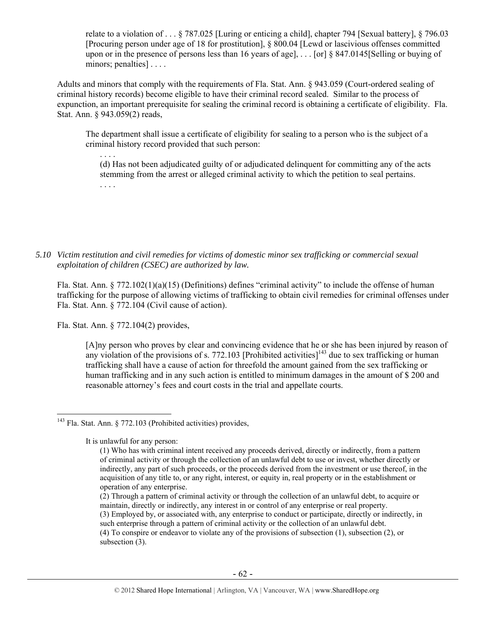relate to a violation of . . . § 787.025 [Luring or enticing a child], chapter 794 [Sexual battery], § 796.03 [Procuring person under age of 18 for prostitution], § 800.04 [Lewd or lascivious offenses committed upon or in the presence of persons less than 16 years of age], . . . [or] § 847.0145[Selling or buying of minors; penalties] . . . .

Adults and minors that comply with the requirements of Fla. Stat. Ann. § 943.059 (Court-ordered sealing of criminal history records) become eligible to have their criminal record sealed. Similar to the process of expunction, an important prerequisite for sealing the criminal record is obtaining a certificate of eligibility. Fla. Stat. Ann. § 943.059(2) reads,

The department shall issue a certificate of eligibility for sealing to a person who is the subject of a criminal history record provided that such person:

(d) Has not been adjudicated guilty of or adjudicated delinquent for committing any of the acts stemming from the arrest or alleged criminal activity to which the petition to seal pertains. . . . .

*5.10 Victim restitution and civil remedies for victims of domestic minor sex trafficking or commercial sexual exploitation of children (CSEC) are authorized by law.* 

Fla. Stat. Ann. § 772.102(1)(a)(15) (Definitions) defines "criminal activity" to include the offense of human trafficking for the purpose of allowing victims of trafficking to obtain civil remedies for criminal offenses under Fla. Stat. Ann. § 772.104 (Civil cause of action).

Fla. Stat. Ann. § 772.104(2) provides,

. . . .

[A]ny person who proves by clear and convincing evidence that he or she has been injured by reason of any violation of the provisions of s. 772.103 [Prohibited activities]<sup>143</sup> due to sex trafficking or human trafficking shall have a cause of action for threefold the amount gained from the sex trafficking or human trafficking and in any such action is entitled to minimum damages in the amount of \$ 200 and reasonable attorney's fees and court costs in the trial and appellate courts.

It is unlawful for any person:

<sup>&</sup>lt;sup>143</sup> Fla. Stat. Ann. § 772.103 (Prohibited activities) provides,

<sup>(1)</sup> Who has with criminal intent received any proceeds derived, directly or indirectly, from a pattern of criminal activity or through the collection of an unlawful debt to use or invest, whether directly or indirectly, any part of such proceeds, or the proceeds derived from the investment or use thereof, in the acquisition of any title to, or any right, interest, or equity in, real property or in the establishment or operation of any enterprise.

<sup>(2)</sup> Through a pattern of criminal activity or through the collection of an unlawful debt, to acquire or maintain, directly or indirectly, any interest in or control of any enterprise or real property.

<sup>(3)</sup> Employed by, or associated with, any enterprise to conduct or participate, directly or indirectly, in such enterprise through a pattern of criminal activity or the collection of an unlawful debt.

<sup>(4)</sup> To conspire or endeavor to violate any of the provisions of subsection (1), subsection (2), or subsection (3).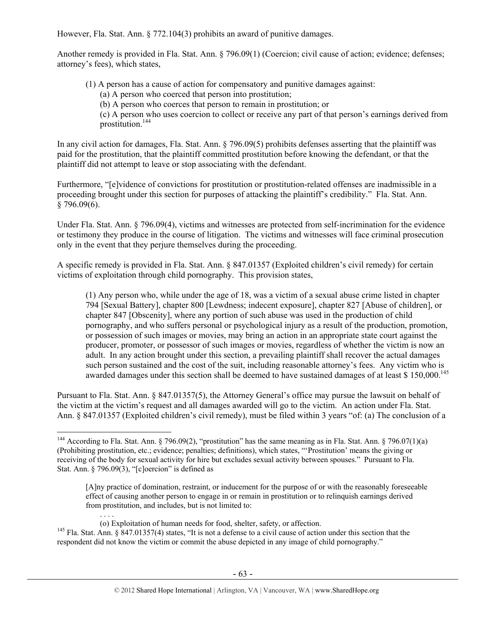However, Fla. Stat. Ann. § 772.104(3) prohibits an award of punitive damages.

Another remedy is provided in Fla. Stat. Ann. § 796.09(1) (Coercion; civil cause of action; evidence; defenses; attorney's fees), which states,

(1) A person has a cause of action for compensatory and punitive damages against:

(a) A person who coerced that person into prostitution;

(b) A person who coerces that person to remain in prostitution; or

(c) A person who uses coercion to collect or receive any part of that person's earnings derived from prostitution.144

In any civil action for damages, Fla. Stat. Ann. § 796.09(5) prohibits defenses asserting that the plaintiff was paid for the prostitution, that the plaintiff committed prostitution before knowing the defendant, or that the plaintiff did not attempt to leave or stop associating with the defendant.

Furthermore, "[e]vidence of convictions for prostitution or prostitution-related offenses are inadmissible in a proceeding brought under this section for purposes of attacking the plaintiff's credibility." Fla. Stat. Ann.  $$796.09(6)$ .

Under Fla. Stat. Ann. § 796.09(4), victims and witnesses are protected from self-incrimination for the evidence or testimony they produce in the course of litigation. The victims and witnesses will face criminal prosecution only in the event that they perjure themselves during the proceeding.

A specific remedy is provided in Fla. Stat. Ann. § 847.01357 (Exploited children's civil remedy) for certain victims of exploitation through child pornography. This provision states,

(1) Any person who, while under the age of 18, was a victim of a sexual abuse crime listed in chapter 794 [Sexual Battery], chapter 800 [Lewdness; indecent exposure], chapter 827 [Abuse of children], or chapter 847 [Obscenity], where any portion of such abuse was used in the production of child pornography, and who suffers personal or psychological injury as a result of the production, promotion, or possession of such images or movies, may bring an action in an appropriate state court against the producer, promoter, or possessor of such images or movies, regardless of whether the victim is now an adult. In any action brought under this section, a prevailing plaintiff shall recover the actual damages such person sustained and the cost of the suit, including reasonable attorney's fees. Any victim who is awarded damages under this section shall be deemed to have sustained damages of at least \$ 150,000.<sup>145</sup>

Pursuant to Fla. Stat. Ann. § 847.01357(5), the Attorney General's office may pursue the lawsuit on behalf of the victim at the victim's request and all damages awarded will go to the victim. An action under Fla. Stat. Ann. § 847.01357 (Exploited children's civil remedy), must be filed within 3 years "of: (a) The conclusion of a

. . . .

 $\overline{a}$ 

(o) Exploitation of human needs for food, shelter, safety, or affection.<br><sup>145</sup> Fla. Stat. Ann. § 847.01357(4) states, "It is not a defense to a civil cause of action under this section that the respondent did not know the victim or commit the abuse depicted in any image of child pornography."

<sup>&</sup>lt;sup>144</sup> According to Fla. Stat. Ann. § 796.09(2), "prostitution" has the same meaning as in Fla. Stat. Ann. § 796.07(1)(a) (Prohibiting prostitution, etc.; evidence; penalties; definitions), which states, "'Prostitution' means the giving or receiving of the body for sexual activity for hire but excludes sexual activity between spouses." Pursuant to Fla. Stat. Ann.  $\S$  796.09(3), "[c]oercion" is defined as

<sup>[</sup>A]ny practice of domination, restraint, or inducement for the purpose of or with the reasonably foreseeable effect of causing another person to engage in or remain in prostitution or to relinquish earnings derived from prostitution, and includes, but is not limited to: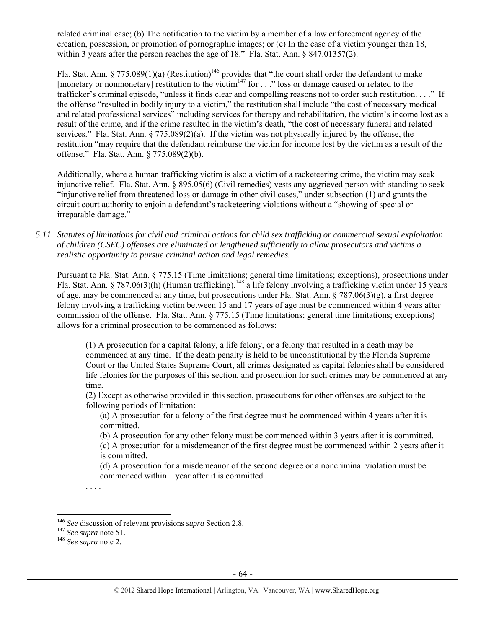related criminal case; (b) The notification to the victim by a member of a law enforcement agency of the creation, possession, or promotion of pornographic images; or (c) In the case of a victim younger than 18, within 3 years after the person reaches the age of 18." Fla. Stat. Ann. § 847.01357(2).

Fla. Stat. Ann. § 775.089(1)(a) (Restitution)<sup>146</sup> provides that "the court shall order the defendant to make [monetary or nonmonetary] restitution to the victim<sup>147</sup> for  $\dots$  " loss or damage caused or related to the trafficker's criminal episode, "unless it finds clear and compelling reasons not to order such restitution. . . ." If the offense "resulted in bodily injury to a victim," the restitution shall include "the cost of necessary medical and related professional services" including services for therapy and rehabilitation, the victim's income lost as a result of the crime, and if the crime resulted in the victim's death, "the cost of necessary funeral and related services." Fla. Stat. Ann. § 775.089(2)(a). If the victim was not physically injured by the offense, the restitution "may require that the defendant reimburse the victim for income lost by the victim as a result of the offense." Fla. Stat. Ann. § 775.089(2)(b).

Additionally, where a human trafficking victim is also a victim of a racketeering crime, the victim may seek injunctive relief. Fla. Stat. Ann. § 895.05(6) (Civil remedies) vests any aggrieved person with standing to seek "injunctive relief from threatened loss or damage in other civil cases," under subsection (1) and grants the circuit court authority to enjoin a defendant's racketeering violations without a "showing of special or irreparable damage."

*5.11 Statutes of limitations for civil and criminal actions for child sex trafficking or commercial sexual exploitation of children (CSEC) offenses are eliminated or lengthened sufficiently to allow prosecutors and victims a realistic opportunity to pursue criminal action and legal remedies.* 

Pursuant to Fla. Stat. Ann. § 775.15 (Time limitations; general time limitations; exceptions), prosecutions under Fla. Stat. Ann. § 787.06(3)(h) (Human trafficking),<sup>148</sup> a life felony involving a trafficking victim under 15 years of age, may be commenced at any time, but prosecutions under Fla. Stat. Ann. § 787.06(3)(g), a first degree felony involving a trafficking victim between 15 and 17 years of age must be commenced within 4 years after commission of the offense. Fla. Stat. Ann. § 775.15 (Time limitations; general time limitations; exceptions) allows for a criminal prosecution to be commenced as follows:

(1) A prosecution for a capital felony, a life felony, or a felony that resulted in a death may be commenced at any time. If the death penalty is held to be unconstitutional by the Florida Supreme Court or the United States Supreme Court, all crimes designated as capital felonies shall be considered life felonies for the purposes of this section, and prosecution for such crimes may be commenced at any time.

(2) Except as otherwise provided in this section, prosecutions for other offenses are subject to the following periods of limitation:

(a) A prosecution for a felony of the first degree must be commenced within 4 years after it is committed.

(b) A prosecution for any other felony must be commenced within 3 years after it is committed.

(c) A prosecution for a misdemeanor of the first degree must be commenced within 2 years after it is committed.

(d) A prosecution for a misdemeanor of the second degree or a noncriminal violation must be commenced within 1 year after it is committed.

. . . .

 $\overline{a}$ <sup>146</sup> *See* discussion of relevant provisions *supra* Section 2.8. 147 *See supra* note 51. 148 *See supra* note 2.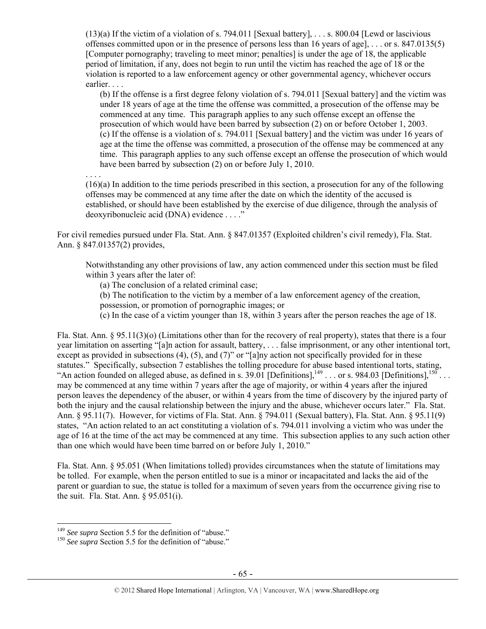(13)(a) If the victim of a violation of s. 794.011 [Sexual battery], . . . s. 800.04 [Lewd or lascivious offenses committed upon or in the presence of persons less than 16 years of age], . . . or s. 847.0135(5) [Computer pornography; traveling to meet minor; penalties] is under the age of 18, the applicable period of limitation, if any, does not begin to run until the victim has reached the age of 18 or the violation is reported to a law enforcement agency or other governmental agency, whichever occurs earlier. . . .

(b) If the offense is a first degree felony violation of s. 794.011 [Sexual battery] and the victim was under 18 years of age at the time the offense was committed, a prosecution of the offense may be commenced at any time. This paragraph applies to any such offense except an offense the prosecution of which would have been barred by subsection (2) on or before October 1, 2003. (c) If the offense is a violation of s. 794.011 [Sexual battery] and the victim was under 16 years of age at the time the offense was committed, a prosecution of the offense may be commenced at any time. This paragraph applies to any such offense except an offense the prosecution of which would have been barred by subsection (2) on or before July 1, 2010.

. . . . (16)(a) In addition to the time periods prescribed in this section, a prosecution for any of the following offenses may be commenced at any time after the date on which the identity of the accused is established, or should have been established by the exercise of due diligence, through the analysis of deoxyribonucleic acid (DNA) evidence . . . ."

For civil remedies pursued under Fla. Stat. Ann. § 847.01357 (Exploited children's civil remedy), Fla. Stat. Ann. § 847.01357(2) provides,

Notwithstanding any other provisions of law, any action commenced under this section must be filed within 3 years after the later of:

(a) The conclusion of a related criminal case;

(b) The notification to the victim by a member of a law enforcement agency of the creation,

possession, or promotion of pornographic images; or

(c) In the case of a victim younger than 18, within 3 years after the person reaches the age of 18.

Fla. Stat. Ann. § 95.11(3)(o) (Limitations other than for the recovery of real property), states that there is a four year limitation on asserting "[a]n action for assault, battery, . . . false imprisonment, or any other intentional tort, except as provided in subsections  $(4)$ ,  $(5)$ , and  $(7)$ " or "[a]ny action not specifically provided for in these statutes." Specifically, subsection 7 establishes the tolling procedure for abuse based intentional torts, stating, "An action founded on alleged abuse, as defined in s. 39.01 [Definitions], $^{149}$ ... or s. 984.03 [Definitions], $^{150}$ ... may be commenced at any time within 7 years after the age of majority, or within 4 years after the injured person leaves the dependency of the abuser, or within 4 years from the time of discovery by the injured party of both the injury and the causal relationship between the injury and the abuse, whichever occurs later." Fla. Stat. Ann. § 95.11(7). However, for victims of Fla. Stat. Ann. § 794.011 (Sexual battery), Fla. Stat. Ann. § 95.11(9) states, "An action related to an act constituting a violation of s. 794.011 involving a victim who was under the age of 16 at the time of the act may be commenced at any time. This subsection applies to any such action other than one which would have been time barred on or before July 1, 2010."

Fla. Stat. Ann. § 95.051 (When limitations tolled) provides circumstances when the statute of limitations may be tolled. For example, when the person entitled to sue is a minor or incapacitated and lacks the aid of the parent or guardian to sue, the statue is tolled for a maximum of seven years from the occurrence giving rise to the suit. Fla. Stat. Ann. § 95.051(i).

<sup>&</sup>lt;sup>149</sup> *See supra* Section 5.5 for the definition of "abuse." <sup>150</sup> *See supra* Section 5.5 for the definition of "abuse."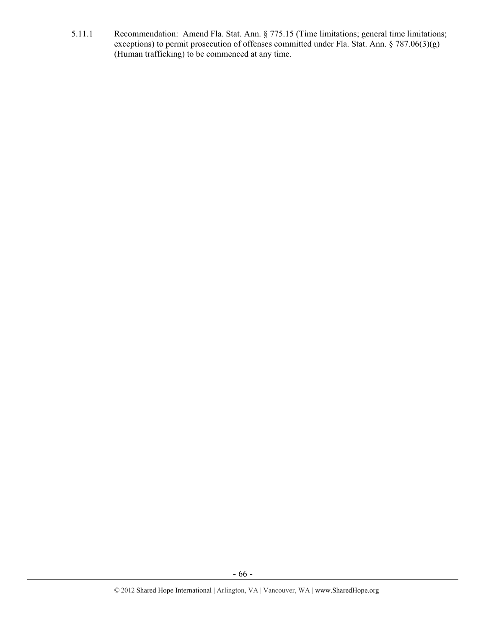5.11.1 Recommendation: Amend Fla. Stat. Ann. § 775.15 (Time limitations; general time limitations; exceptions) to permit prosecution of offenses committed under Fla. Stat. Ann. § 787.06(3)(g) (Human trafficking) to be commenced at any time.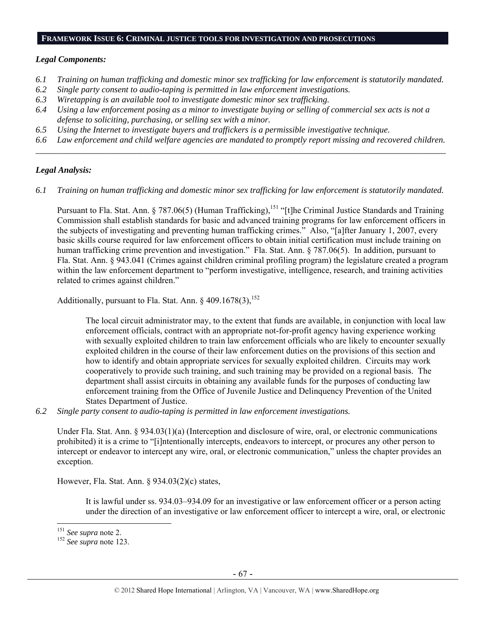#### **FRAMEWORK ISSUE 6: CRIMINAL JUSTICE TOOLS FOR INVESTIGATION AND PROSECUTIONS**

#### *Legal Components:*

- *6.1 Training on human trafficking and domestic minor sex trafficking for law enforcement is statutorily mandated.*
- *6.2 Single party consent to audio-taping is permitted in law enforcement investigations.*
- *6.3 Wiretapping is an available tool to investigate domestic minor sex trafficking.*
- *6.4 Using a law enforcement posing as a minor to investigate buying or selling of commercial sex acts is not a defense to soliciting, purchasing, or selling sex with a minor.*
- *6.5 Using the Internet to investigate buyers and traffickers is a permissible investigative technique.*
- *6.6 Law enforcement and child welfare agencies are mandated to promptly report missing and recovered children. \_\_\_\_\_\_\_\_\_\_\_\_\_\_\_\_\_\_\_\_\_\_\_\_\_\_\_\_\_\_\_\_\_\_\_\_\_\_\_\_\_\_\_\_\_\_\_\_\_\_\_\_\_\_\_\_\_\_\_\_\_\_\_\_\_\_\_\_\_\_\_\_\_\_\_\_\_\_\_\_\_\_\_\_\_\_\_\_\_\_\_\_\_\_*

## *Legal Analysis:*

*6.1 Training on human trafficking and domestic minor sex trafficking for law enforcement is statutorily mandated.* 

Pursuant to Fla. Stat. Ann. § 787.06(5) (Human Trafficking), <sup>151</sup> "[t]he Criminal Justice Standards and Training Commission shall establish standards for basic and advanced training programs for law enforcement officers in the subjects of investigating and preventing human trafficking crimes." Also, "[a]fter January 1, 2007, every basic skills course required for law enforcement officers to obtain initial certification must include training on human trafficking crime prevention and investigation." Fla. Stat. Ann. § 787.06(5). In addition, pursuant to Fla. Stat. Ann. § 943.041 (Crimes against children criminal profiling program) the legislature created a program within the law enforcement department to "perform investigative, intelligence, research, and training activities related to crimes against children."

Additionally, pursuant to Fla. Stat. Ann.  $\S$  409.1678(3),  $^{152}$ 

The local circuit administrator may, to the extent that funds are available, in conjunction with local law enforcement officials, contract with an appropriate not-for-profit agency having experience working with sexually exploited children to train law enforcement officials who are likely to encounter sexually exploited children in the course of their law enforcement duties on the provisions of this section and how to identify and obtain appropriate services for sexually exploited children. Circuits may work cooperatively to provide such training, and such training may be provided on a regional basis. The department shall assist circuits in obtaining any available funds for the purposes of conducting law enforcement training from the Office of Juvenile Justice and Delinquency Prevention of the United States Department of Justice.

*6.2 Single party consent to audio-taping is permitted in law enforcement investigations.* 

Under Fla. Stat. Ann. § 934.03(1)(a) (Interception and disclosure of wire, oral, or electronic communications prohibited) it is a crime to "[i]ntentionally intercepts, endeavors to intercept, or procures any other person to intercept or endeavor to intercept any wire, oral, or electronic communication," unless the chapter provides an exception.

However, Fla. Stat. Ann. § 934.03(2)(c) states,

It is lawful under ss. 934.03–934.09 for an investigative or law enforcement officer or a person acting under the direction of an investigative or law enforcement officer to intercept a wire, oral, or electronic

<sup>151</sup> *See supra* note 2. 152 *See supra* note 123.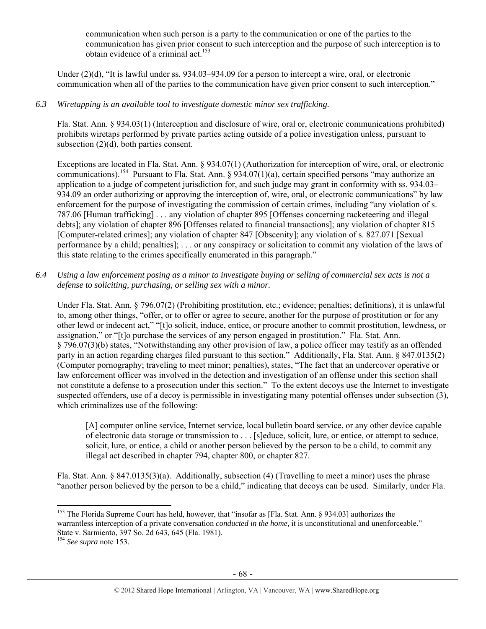communication when such person is a party to the communication or one of the parties to the communication has given prior consent to such interception and the purpose of such interception is to obtain evidence of a criminal act.<sup>153</sup>

Under (2)(d), "It is lawful under ss. 934.03–934.09 for a person to intercept a wire, oral, or electronic communication when all of the parties to the communication have given prior consent to such interception."

## *6.3 Wiretapping is an available tool to investigate domestic minor sex trafficking.*

Fla. Stat. Ann. § 934.03(1) (Interception and disclosure of wire, oral or, electronic communications prohibited) prohibits wiretaps performed by private parties acting outside of a police investigation unless, pursuant to subsection (2)(d), both parties consent.

Exceptions are located in Fla. Stat. Ann. § 934.07(1) (Authorization for interception of wire, oral, or electronic communications).<sup>154</sup> Pursuant to Fla. Stat. Ann. § 934.07(1)(a), certain specified persons "may authorize an application to a judge of competent jurisdiction for, and such judge may grant in conformity with ss. 934.03– 934.09 an order authorizing or approving the interception of, wire, oral, or electronic communications" by law enforcement for the purpose of investigating the commission of certain crimes, including "any violation of s. 787.06 [Human trafficking] . . . any violation of chapter 895 [Offenses concerning racketeering and illegal debts]; any violation of chapter 896 [Offenses related to financial transactions]; any violation of chapter 815 [Computer-related crimes]; any violation of chapter 847 [Obscenity]; any violation of s. 827.071 [Sexual performance by a child; penalties]; . . . or any conspiracy or solicitation to commit any violation of the laws of this state relating to the crimes specifically enumerated in this paragraph."

*6.4 Using a law enforcement posing as a minor to investigate buying or selling of commercial sex acts is not a defense to soliciting, purchasing, or selling sex with a minor.* 

Under Fla. Stat. Ann. § 796.07(2) (Prohibiting prostitution, etc.; evidence; penalties; definitions), it is unlawful to, among other things, "offer, or to offer or agree to secure, another for the purpose of prostitution or for any other lewd or indecent act," "[t]o solicit, induce, entice, or procure another to commit prostitution, lewdness, or assignation," or "[t]o purchase the services of any person engaged in prostitution." Fla. Stat. Ann. § 796.07(3)(b) states, "Notwithstanding any other provision of law, a police officer may testify as an offended party in an action regarding charges filed pursuant to this section." Additionally, Fla. Stat. Ann. § 847.0135(2) (Computer pornography; traveling to meet minor; penalties), states, "The fact that an undercover operative or law enforcement officer was involved in the detection and investigation of an offense under this section shall not constitute a defense to a prosecution under this section." To the extent decoys use the Internet to investigate suspected offenders, use of a decoy is permissible in investigating many potential offenses under subsection (3), which criminalizes use of the following:

[A] computer online service, Internet service, local bulletin board service, or any other device capable of electronic data storage or transmission to . . . [s]educe, solicit, lure, or entice, or attempt to seduce, solicit, lure, or entice, a child or another person believed by the person to be a child, to commit any illegal act described in chapter 794, chapter 800, or chapter 827.

 Fla. Stat. Ann. § 847.0135(3)(a). Additionally, subsection (4) (Travelling to meet a minor) uses the phrase "another person believed by the person to be a child," indicating that decoys can be used. Similarly, under Fla.

<sup>&</sup>lt;sup>153</sup> The Florida Supreme Court has held, however, that "insofar as [Fla. Stat. Ann. § 934.03] authorizes the warrantless interception of a private conversation *conducted in the home*, it is unconstitutional and unenforceable." State v. Sarmiento, 397 So. 2d 643, 645 (Fla. 1981).

<sup>154</sup> *See supra* note 153.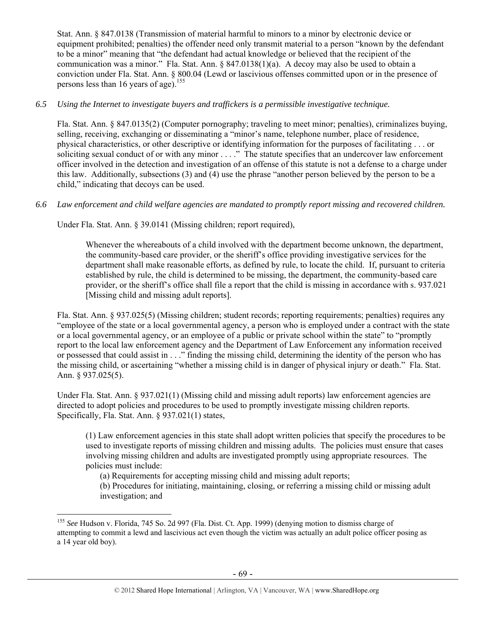Stat. Ann. § 847.0138 (Transmission of material harmful to minors to a minor by electronic device or equipment prohibited; penalties) the offender need only transmit material to a person "known by the defendant to be a minor" meaning that "the defendant had actual knowledge or believed that the recipient of the communication was a minor." Fla. Stat. Ann. § 847.0138(1)(a). A decoy may also be used to obtain a conviction under Fla. Stat. Ann. § 800.04 (Lewd or lascivious offenses committed upon or in the presence of persons less than 16 years of age).<sup>155</sup>

## *6.5 Using the Internet to investigate buyers and traffickers is a permissible investigative technique.*

Fla. Stat. Ann. § 847.0135(2) (Computer pornography; traveling to meet minor; penalties), criminalizes buying, selling, receiving, exchanging or disseminating a "minor's name, telephone number, place of residence, physical characteristics, or other descriptive or identifying information for the purposes of facilitating . . . or soliciting sexual conduct of or with any minor . . . ." The statute specifies that an undercover law enforcement officer involved in the detection and investigation of an offense of this statute is not a defense to a charge under this law. Additionally, subsections (3) and (4) use the phrase "another person believed by the person to be a child," indicating that decoys can be used.

## *6.6 Law enforcement and child welfare agencies are mandated to promptly report missing and recovered children.*

Under Fla. Stat. Ann. § 39.0141 (Missing children; report required),

Whenever the whereabouts of a child involved with the department become unknown, the department, the community-based care provider, or the sheriff's office providing investigative services for the department shall make reasonable efforts, as defined by rule, to locate the child. If, pursuant to criteria established by rule, the child is determined to be missing, the department, the community-based care provider, or the sheriff's office shall file a report that the child is missing in accordance with s. 937.021 [Missing child and missing adult reports].

Fla. Stat. Ann. § 937.025(5) (Missing children; student records; reporting requirements; penalties) requires any "employee of the state or a local governmental agency, a person who is employed under a contract with the state or a local governmental agency, or an employee of a public or private school within the state" to "promptly report to the local law enforcement agency and the Department of Law Enforcement any information received or possessed that could assist in . . ." finding the missing child, determining the identity of the person who has the missing child, or ascertaining "whether a missing child is in danger of physical injury or death." Fla. Stat. Ann. § 937.025(5).

Under Fla. Stat. Ann. § 937.021(1) (Missing child and missing adult reports) law enforcement agencies are directed to adopt policies and procedures to be used to promptly investigate missing children reports. Specifically, Fla. Stat. Ann. § 937.021(1) states,

(1) Law enforcement agencies in this state shall adopt written policies that specify the procedures to be used to investigate reports of missing children and missing adults. The policies must ensure that cases involving missing children and adults are investigated promptly using appropriate resources. The policies must include:

(a) Requirements for accepting missing child and missing adult reports;

(b) Procedures for initiating, maintaining, closing, or referring a missing child or missing adult investigation; and

 $\overline{a}$ <sup>155</sup> *See* Hudson v. Florida, 745 So. 2d 997 (Fla. Dist. Ct. App. 1999) (denying motion to dismiss charge of attempting to commit a lewd and lascivious act even though the victim was actually an adult police officer posing as a 14 year old boy).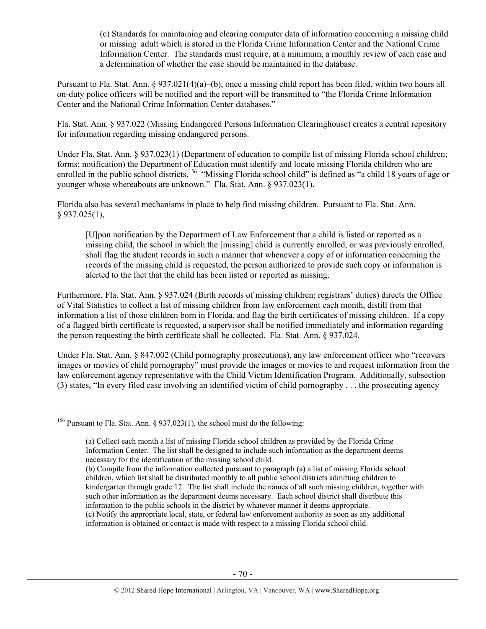(c) Standards for maintaining and clearing computer data of information concerning a missing child or missing adult which is stored in the Florida Crime Information Center and the National Crime Information Center. The standards must require, at a minimum, a monthly review of each case and a determination of whether the case should be maintained in the database.

Pursuant to Fla. Stat. Ann. § 937.021(4)(a)–(b), once a missing child report has been filed, within two hours all on-duty police officers will be notified and the report will be transmitted to "the Florida Crime Information Center and the National Crime Information Center databases."

Fla. Stat. Ann. § 937.022 (Missing Endangered Persons Information Clearinghouse) creates a central repository for information regarding missing endangered persons.

Under Fla. Stat. Ann. § 937.023(1) (Department of education to compile list of missing Florida school children; forms; notification) the Department of Education must identify and locate missing Florida children who are enrolled in the public school districts.<sup>156</sup> "Missing Florida school child" is defined as "a child 18 years of age or younger whose whereabouts are unknown." Fla. Stat. Ann. § 937.023(1).

Florida also has several mechanisms in place to help find missing children. Pursuant to Fla. Stat. Ann.  $§$  937.025(1),

[U]pon notification by the Department of Law Enforcement that a child is listed or reported as a missing child, the school in which the [missing] child is currently enrolled, or was previously enrolled, shall flag the student records in such a manner that whenever a copy of or information concerning the records of the missing child is requested, the person authorized to provide such copy or information is alerted to the fact that the child has been listed or reported as missing.

Furthermore, Fla. Stat. Ann. § 937.024 (Birth records of missing children; registrars' duties) directs the Office of Vital Statistics to collect a list of missing children from law enforcement each month, distill from that information a list of those children born in Florida, and flag the birth certificates of missing children. If a copy of a flagged birth certificate is requested, a supervisor shall be notified immediately and information regarding the person requesting the birth certificate shall be collected. Fla. Stat. Ann. § 937.024.

Under Fla. Stat. Ann. § 847.002 (Child pornography prosecutions), any law enforcement officer who "recovers images or movies of child pornography" must provide the images or movies to and request information from the law enforcement agency representative with the Child Victim Identification Program. Additionally, subsection (3) states, "In every filed case involving an identified victim of child pornography . . . the prosecuting agency

<sup>&</sup>lt;sup>156</sup> Pursuant to Fla. Stat. Ann. § 937.023(1), the school must do the following:

<sup>(</sup>a) Collect each month a list of missing Florida school children as provided by the Florida Crime Information Center. The list shall be designed to include such information as the department deems necessary for the identification of the missing school child. (b) Compile from the information collected pursuant to paragraph (a) a list of missing Florida school children, which list shall be distributed monthly to all public school districts admitting children to

kindergarten through grade 12. The list shall include the names of all such missing children, together with such other information as the department deems necessary. Each school district shall distribute this information to the public schools in the district by whatever manner it deems appropriate. (c) Notify the appropriate local, state, or federal law enforcement authority as soon as any additional information is obtained or contact is made with respect to a missing Florida school child.